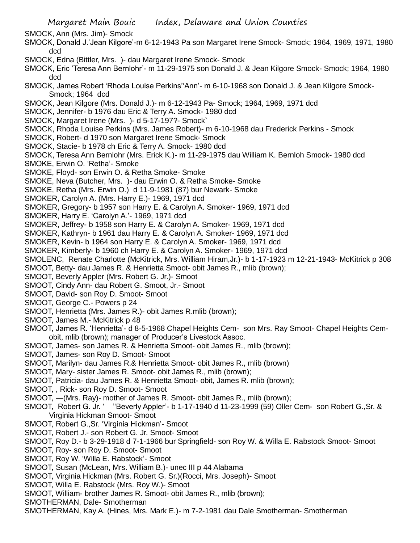SMOCK, Ann (Mrs. Jim)- Smock

- SMOCK, Donald J.'Jean Kilgore'-m 6-12-1943 Pa son Margaret Irene Smock- Smock; 1964, 1969, 1971, 1980 dcd
- SMOCK, Edna (Bittler, Mrs. )- dau Margaret Irene Smock- Smock
- SMOCK, Eric 'Teresa Ann Bernlohr'- m 11-29-1975 son Donald J. & Jean Kilgore Smock- Smock; 1964, 1980 dcd
- SMOCK, James Robert 'Rhoda Louise Perkins''Ann'- m 6-10-1968 son Donald J. & Jean Kilgore Smock-Smock; 1964 dcd
- SMOCK, Jean Kilgore (Mrs. Donald J.)- m 6-12-1943 Pa- Smock; 1964, 1969, 1971 dcd
- SMOCK, Jennifer- b 1976 dau Eric & Terry A. Smock- 1980 dcd
- SMOCK, Margaret Irene (Mrs. )- d 5-17-197?- Smock`
- SMOCK, Rhoda Louise Perkins (Mrs. James Robert)- m 6-10-1968 dau Frederick Perkins Smock
- SMOCK, Robert- d 1970 son Margaret Irene Smock- Smock
- SMOCK, Stacie- b 1978 ch Eric & Terry A. Smock- 1980 dcd
- SMOCK, Teresa Ann Bernlohr (Mrs. Erick K.)- m 11-29-1975 dau William K. Bernloh Smock- 1980 dcd
- SMOKE, Erwin O. 'Retha'- Smoke
- SMOKE, Floyd- son Erwin O. & Retha Smoke- Smoke
- SMOKE, Neva (Butcher, Mrs. )- dau Erwin O. & Retha Smoke- Smoke
- SMOKE, Retha (Mrs. Erwin O.) d 11-9-1981 (87) bur Newark- Smoke
- SMOKER, Carolyn A. (Mrs. Harry E.)- 1969, 1971 dcd
- SMOKER, Gregory- b 1957 son Harry E. & Carolyn A. Smoker- 1969, 1971 dcd
- SMOKER, Harry E. 'Carolyn A.'- 1969, 1971 dcd
- SMOKER, Jeffrey- b 1958 son Harry E. & Carolyn A. Smoker- 1969, 1971 dcd
- SMOKER, Kathryn- b 1961 dau Harry E. & Carolyn A. Smoker- 1969, 1971 dcd
- SMOKER, Kevin- b 1964 son Harry E. & Carolyn A. Smoker- 1969, 1971 dcd
- SMOKER, Kimberly- b 1960 ch Harry E. & Carolyn A. Smoker- 1969, 1971 dcd
- SMOLENC, Renate Charlotte (McKitrick, Mrs. William Hiram,Jr.)- b 1-17-1923 m 12-21-1943- McKitrick p 308
- SMOOT, Betty- dau James R. & Henrietta Smoot- obit James R., mlib (brown);
- SMOOT, Beverly Appler (Mrs. Robert G. Jr.)- Smoot
- SMOOT, Cindy Ann- dau Robert G. Smoot, Jr.- Smoot
- SMOOT, David- son Roy D. Smoot- Smoot
- SMOOT, George C.- Powers p 24
- SMOOT, Henrietta (Mrs. James R.)- obit James R.mlib (brown);
- SMOOT, James M.- McKitrick p 48
- SMOOT, James R. 'Henrietta'- d 8-5-1968 Chapel Heights Cem- son Mrs. Ray Smoot- Chapel Heights Cemobit, mlib (brown); manager of Producer's Livestock Assoc.
- SMOOT, James- son James R. & Henrietta Smoot- obit James R., mlib (brown);
- SMOOT, James- son Roy D. Smoot- Smoot
- SMOOT, Marilyn- dau James R.& Henrietta Smoot- obit James R., mlib (brown)
- SMOOT, Mary- sister James R. Smoot- obit James R., mlib (brown);
- SMOOT, Patricia- dau James R. & Henrietta Smoot- obit, James R. mlib (brown);
- SMOOT, , Rick- son Roy D. Smoot- Smoot
- SMOOT, —(Mrs. Ray)- mother of James R. Smoot- obit James R., mlib (brown);
- SMOOT, Robert G. Jr. ' ''Beverly Appler'- b 1-17-1940 d 11-23-1999 (59) Oller Cem- son Robert G.,Sr. & Virginia Hickman Smoot- Smoot
- SMOOT, Robert G.,Sr. 'Virginia Hickman'- Smoot
- SMOOT, Robert J.- son Robert G. Jr. Smoot- Smoot
- SMOOT, Roy D.- b 3-29-1918 d 7-1-1966 bur Springfield- son Roy W. & Willa E. Rabstock Smoot- Smoot
- SMOOT, Roy- son Roy D. Smoot- Smoot
- SMOOT, Roy W. 'Willa E. Rabstock'- Smoot
- SMOOT, Susan (McLean, Mrs. William B.)- unec III p 44 Alabama
- SMOOT, Virginia Hickman (Mrs. Robert G. Sr.)(Rocci, Mrs. Joseph)- Smoot
- SMOOT, Willa E. Rabstock (Mrs. Roy W.)- Smoot
- SMOOT, William- brother James R. Smoot- obit James R., mlib (brown);
- SMOTHERMAN, Dale- Smotherman
- SMOTHERMAN, Kay A. (Hines, Mrs. Mark E.)- m 7-2-1981 dau Dale Smotherman- Smotherman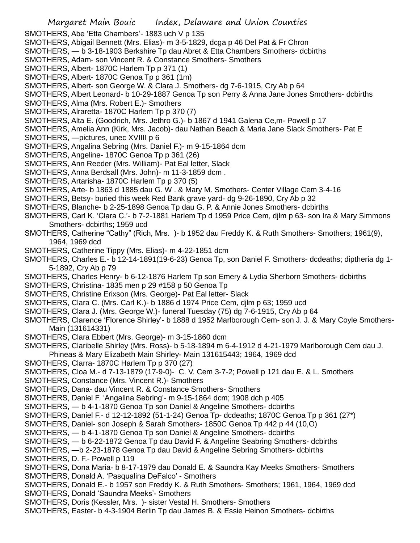SMOTHERS, Abe 'Etta Chambers'- 1883 uch V p 135

SMOTHERS, Abigail Bennett (Mrs. Elias)- m 3-5-1829, dcga p 46 Del Pat & Fr Chron

- SMOTHERS, b 3-18-1903 Berkshire Tp dau Abret & Etta Chambers Smothers- dcbirths
- SMOTHERS, Adam- son Vincent R. & Constance Smothers- Smothers
- SMOTHERS, Albert- 1870C Harlem Tp p 371 (1)
- SMOTHERS, Albert- 1870C Genoa Tp p 361 (1m)
- SMOTHERS, Albert- son George W. & Clara J. Smothers- dg 7-6-1915, Cry Ab p 64
- SMOTHERS, Albert Leonard- b 10-29-1887 Genoa Tp son Perry & Anna Jane Jones Smothers- dcbirths
- SMOTHERS, Alma (Mrs. Robert E.)- Smothers
- SMOTHERS, Alraretta- 1870C Harlem Tp p 370 (7)
- SMOTHERS, Alta E. (Goodrich, Mrs. Jethro G.)- b 1867 d 1941 Galena Ce,m- Powell p 17
- SMOTHERS, Amelia Ann (Kirk, Mrs. Jacob)- dau Nathan Beach & Maria Jane Slack Smothers- Pat E
- SMOTHERS, —pictures, unec XVIIII p 6
- SMOTHERS, Angalina Sebring (Mrs. Daniel F.)- m 9-15-1864 dcm
- SMOTHERS, Angeline- 1870C Genoa Tp p 361 (26)
- SMOTHERS, Ann Reeder (Mrs. William)- Pat Eal letter, Slack
- SMOTHERS, Anna Berdsall (Mrs. John)- m 11-3-1859 dcm .
- SMOTHERS, Artarisha- 1870C Harlem Tp p 370 (5)
- SMOTHERS, Arte- b 1863 d 1885 dau G. W . & Mary M. Smothers- Center Village Cem 3-4-16
- SMOTHERS, Betsy- buried this week Red Bank grave yard- dg 9-26-1890, Cry Ab p 32
- SMOTHERS, Blanche- b 2-25-1898 Genoa Tp dau G. P. & Annie Jones Smothers- dcbirths
- SMOTHERS, Carl K. 'Clara C.'- b 7-2-1881 Harlem Tp d 1959 Price Cem, djlm p 63- son Ira & Mary Simmons Smothers- dcbirths; 1959 ucd
- SMOTHERS, Catherine "Cathy" (Rich, Mrs. )- b 1952 dau Freddy K. & Ruth Smothers- Smothers; 1961(9), 1964, 1969 dcd
- SMOTHERS, Catherine Tippy (Mrs. Elias)- m 4-22-1851 dcm
- SMOTHERS, Charles E.- b 12-14-1891(19-6-23) Genoa Tp, son Daniel F. Smothers- dcdeaths; diptheria dg 1- 5-1892, Cry Ab p 79
- SMOTHERS, Charles Henry- b 6-12-1876 Harlem Tp son Emery & Lydia Sherborn Smothers- dcbirths
- SMOTHERS, Christina- 1835 men p 29 #158 p 50 Genoa Tp
- SMOTHERS, Christine Erixson (Mrs. George)- Pat Eal letter- Slack
- SMOTHERS, Clara C. (Mrs. Carl K.)- b 1886 d 1974 Price Cem, djlm p 63; 1959 ucd
- SMOTHERS, Clara J. (Mrs. George W.)- funeral Tuesday (75) dg 7-6-1915, Cry Ab p 64
- SMOTHERS, Clarence 'Florence Shirley'- b 1888 d 1952 Marlborough Cem- son J. J. & Mary Coyle Smothers-Main (131614331)
- SMOTHERS, Clara Ebbert (Mrs. George)- m 3-15-1860 dcm
- SMOTHERS, Claribelle Shirley (Mrs. Ross)- b 5-18-1894 m 6-4-1912 d 4-21-1979 Marlborough Cem dau J. Phineas & Mary Elizabeth Main Shirley- Main 131615443; 1964, 1969 dcd
- SMOTHERS, Clarra- 1870C Harlem Tp p 370 (27)
- SMOTHERS, Cloa M.- d 7-13-1879 (17-9-0)- C. V. Cem 3-7-2; Powell p 121 dau E. & L. Smothers
- SMOTHERS, Constance (Mrs. Vincent R.)- Smothers
- SMOTHERS, Dana- dau Vincent R. & Constance Smothers- Smothers
- SMOTHERS, Daniel F. 'Angalina Sebring'- m 9-15-1864 dcm; 1908 dch p 405
- SMOTHERS, b 4-1-1870 Genoa Tp son Daniel & Angeline Smothers- dcbirths
- SMOTHERS, Daniel F.- d 12-12-1892 (51-1-24) Genoa Tp- dcdeaths; 1870C Genoa Tp p 361 (27\*)
- SMOTHERS, Daniel- son Joseph & Sarah Smothers- 1850C Genoa Tp 442 p 44 (10,O)
- SMOTHERS, b 4-1-1870 Genoa Tp son Daniel & Angeline Smothers- dcbirths
- SMOTHERS, b 6-22-1872 Genoa Tp dau David F. & Angeline Seabring Smothers- dcbirths
- SMOTHERS, —b 2-23-1878 Genoa Tp dau David & Angeline Sebring Smothers- dcbirths
- SMOTHERS, D. F.- Powell p 119
- SMOTHERS, Dona Maria- b 8-17-1979 dau Donald E. & Saundra Kay Meeks Smothers- Smothers SMOTHERS, Donald A. 'Pasqualina DeFalco' - Smothers
- SMOTHERS, Donald E.- b 1957 son Freddy K. & Ruth Smothers- Smothers; 1961, 1964, 1969 dcd SMOTHERS, Donald 'Saundra Meeks'- Smothers
- SMOTHERS, Doris (Kessler, Mrs. )- sister Vestal H. Smothers- Smothers
- SMOTHERS, Easter- b 4-3-1904 Berlin Tp dau James B. & Essie Heinon Smothers- dcbirths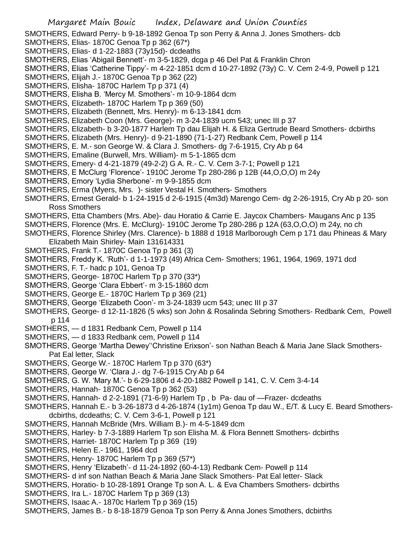- Margaret Main Bouic Index, Delaware and Union Counties SMOTHERS, Edward Perry- b 9-18-1892 Genoa Tp son Perry & Anna J. Jones Smothers- dcb SMOTHERS, Elias- 1870C Genoa Tp p 362 (67\*) SMOTHERS, Elias- d 1-22-1883 (73y15d)- dcdeaths SMOTHERS, Elias 'Abigail Bennett'- m 3-5-1829, dcga p 46 Del Pat & Franklin Chron SMOTHERS, Elias 'Catherine Tippy'- m 4-22-1851 dcm d 10-27-1892 (73y) C. V. Cem 2-4-9, Powell p 121 SMOTHERS, Elijah J.- 1870C Genoa Tp p 362 (22) SMOTHERS, Elisha- 1870C Harlem Tp p 371 (4) SMOTHERS, Elisha B. 'Mercy M. Smothers'- m 10-9-1864 dcm SMOTHERS, Elizabeth- 1870C Harlem Tp p 369 (50) SMOTHERS, Elizabeth (Bennett, Mrs. Henry)- m 6-13-1841 dcm SMOTHERS, Elizabeth Coon (Mrs. George)- m 3-24-1839 ucm 543; unec III p 37 SMOTHERS, Elizabeth- b 3-20-1877 Harlem Tp dau Elijah H. & Eliza Gertrude Beard Smothers- dcbirths SMOTHERS, Elizabeth (Mrs. Henry)- d 9-21-1890 (71-1-27) Redbank Cem, Powell p 114 SMOTHERS, E. M.- son George W. & Clara J. Smothers- dg 7-6-1915, Cry Ab p 64 SMOTHERS, Emaline (Burwell, Mrs. William)- m 5-1-1865 dcm SMOTHERS, Emery- d 4-21-1879 (49-2-2) G A. R.- C. V. Cem 3-7-1; Powell p 121 SMOTHERS, E McClurg 'Florence'- 1910C Jerome Tp 280-286 p 12B (44,O,O,O) m 24y SMOTHERS, Emory 'Lydia Sherbone'- m 9-9-1855 dcm SMOTHERS, Erma (Myers, Mrs. )- sister Vestal H. Smothers- Smothers SMOTHERS, Ernest Gerald- b 1-24-1915 d 2-6-1915 (4m3d) Marengo Cem- dg 2-26-1915, Cry Ab p 20- son Ross Smothers SMOTHERS, Etta Chambers (Mrs. Abe)- dau Horatio & Carrie E. Jaycox Chambers- Maugans Anc p 135 SMOTHERS, Florence (Mrs. E. McClurg)- 1910C Jerome Tp 280-286 p 12A (63,O,O,O) m 24y, no ch SMOTHERS, Florence Shirley (Mrs. Clarence)- b 1888 d 1918 Marlborough Cem p 171 dau Phineas & Mary Elizabeth Main Shirley- Main 131614331 SMOTHERS, Frank T.- 1870C Genoa Tp p 361 (3) SMOTHERS, Freddy K. 'Ruth'- d 1-1-1973 (49) Africa Cem- Smothers; 1961, 1964, 1969, 1971 dcd SMOTHERS, F. T.- hadc p 101, Genoa Tp SMOTHERS, George- 1870C Harlem Tp p 370 (33\*) SMOTHERS, George 'Clara Ebbert'- m 3-15-1860 dcm SMOTHERS, George E.- 1870C Harlem Tp p 369 (21) SMOTHERS, George 'Elizabeth Coon'- m 3-24-1839 ucm 543; unec III p 37 SMOTHERS, George- d 12-11-1826 (5 wks) son John & Rosalinda Sebring Smothers- Redbank Cem, Powell p 114 SMOTHERS, — d 1831 Redbank Cem, Powell p 114 SMOTHERS, — d 1833 Redbank cem, Powell p 114 SMOTHERS, George 'Martha Dewey''Christine Erixson'- son Nathan Beach & Maria Jane Slack Smothers-Pat Eal letter, Slack SMOTHERS, George W.- 1870C Harlem Tp p 370 (63\*) SMOTHERS, George W. 'Clara J.- dg 7-6-1915 Cry Ab p 64 SMOTHERS, G. W. 'Mary M.'- b 6-29-1806 d 4-20-1882 Powell p 141, C. V. Cem 3-4-14 SMOTHERS, Hannah- 1870C Genoa Tp p 362 (53) SMOTHERS, Hannah- d 2-2-1891 (71-6-9) Harlem Tp , b Pa- dau of —Frazer- dcdeaths SMOTHERS, Hannah E.- b 3-26-1873 d 4-26-1874 (1y1m) Genoa Tp dau W., E/T. & Lucy E. Beard Smothersdcbirths, dcdeaths; C. V. Cem 3-6-1, Powell p 121 SMOTHERS, Hannah McBride (Mrs. William B.)- m 4-5-1849 dcm SMOTHERS, Harley- b 7-3-1889 Harlem Tp son Elisha M. & Flora Bennett Smothers- dcbirths SMOTHERS, Harriet- 1870C Harlem Tp p 369 (19) SMOTHERS, Helen E.- 1961, 1964 dcd SMOTHERS, Henry- 1870C Harlem Tp p 369 (57\*) SMOTHERS, Henry 'Elizabeth'- d 11-24-1892 (60-4-13) Redbank Cem- Powell p 114 SMOTHERS- d inf son Nathan Beach & Maria Jane Slack Smothers- Pat Eal letter- Slack SMOTHERS, Horatio- b 10-28-1891 Orange Tp son A. L. & Eva Chambers Smothers- dcbirths SMOTHERS, Ira L.- 1870C Harlem Tp p 369 (13) SMOTHERS, Isaac A.- 1870c Harlem Tp p 369 (15)
- SMOTHERS, James B.- b 8-18-1879 Genoa Tp son Perry & Anna Jones Smothers, dcbirths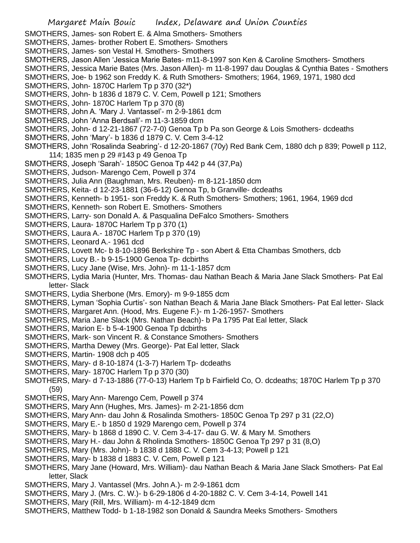- SMOTHERS, James- son Robert E. & Alma Smothers- Smothers
- SMOTHERS, James- brother Robert E. Smothers- Smothers
- SMOTHERS, James- son Vestal H. Smothers- Smothers
- SMOTHERS, Jason Allen 'Jessica Marie Bates- m11-8-1997 son Ken & Caroline Smothers- Smothers
- SMOTHERS, Jessica Marie Bates (Mrs. Jason Allen)- m 11-8-1997 dau Douglas & Cynthia Bates Smothers
- SMOTHERS, Joe- b 1962 son Freddy K. & Ruth Smothers- Smothers; 1964, 1969, 1971, 1980 dcd
- SMOTHERS, John- 1870C Harlem Tp p 370 (32\*)
- SMOTHERS, John- b 1836 d 1879 C. V. Cem, Powell p 121; Smothers
- SMOTHERS, John- 1870C Harlem Tp p 370 (8)
- SMOTHERS, John A. 'Mary J. Vantassel'- m 2-9-1861 dcm
- SMOTHERS, John 'Anna Berdsall'- m 11-3-1859 dcm
- SMOTHERS, John- d 12-21-1867 (72-7-0) Genoa Tp b Pa son George & Lois Smothers- dcdeaths
- SMOTHERS, John 'Mary'- b 1836 d 1879 C. V. Cem 3-4-12
- SMOTHERS, John 'Rosalinda Seabring'- d 12-20-1867 (70y) Red Bank Cem, 1880 dch p 839; Powell p 112, 114; 1835 men p 29 #143 p 49 Genoa Tp
- SMOTHERS, Joseph 'Sarah'- 1850C Genoa Tp 442 p 44 (37,Pa)
- SMOTHERS, Judson- Marengo Cem, Powell p 374
- SMOTHERS, Julia Ann (Baughman, Mrs. Reuben)- m 8-121-1850 dcm
- SMOTHERS, Keita- d 12-23-1881 (36-6-12) Genoa Tp, b Granville- dcdeaths
- SMOTHERS, Kenneth- b 1951- son Freddy K. & Ruth Smothers- Smothers; 1961, 1964, 1969 dcd
- SMOTHERS, Kenneth- son Robert E. Smothers- Smothers
- SMOTHERS, Larry- son Donald A. & Pasqualina DeFalco Smothers- Smothers
- SMOTHERS, Laura- 1870C Harlem Tp p 370 (1)
- SMOTHERS, Laura A.- 1870C Harlem Tp p 370 (19)
- SMOTHERS, Leonard A.- 1961 dcd
- SMOTHERS, Lovett Mc- b 8-10-1896 Berkshire Tp son Abert & Etta Chambas Smothers, dcb
- SMOTHERS, Lucy B.- b 9-15-1900 Genoa Tp- dcbirths
- SMOTHERS, Lucy Jane (Wise, Mrs. John)- m 11-1-1857 dcm
- SMOTHERS, Lydia Maria (Hunter, Mrs. Thomas- dau Nathan Beach & Maria Jane Slack Smothers- Pat Eal letter- Slack
- SMOTHERS, Lydia Sherbone (Mrs. Emory)- m 9-9-1855 dcm
- SMOTHERS, Lyman 'Sophia Curtis'- son Nathan Beach & Maria Jane Black Smothers- Pat Eal letter- Slack
- SMOTHERS, Margaret Ann. (Hood, Mrs. Eugene F.)- m 1-26-1957- Smothers
- SMOTHERS, Maria Jane Slack (Mrs. Nathan Beach)- b Pa 1795 Pat Eal letter, Slack
- SMOTHERS, Marion E- b 5-4-1900 Genoa Tp dcbirths
- SMOTHERS, Mark- son Vincent R. & Constance Smothers- Smothers
- SMOTHERS, Martha Dewey (Mrs. George)- Pat Eal letter, Slack
- SMOTHERS, Martin- 1908 dch p 405
- SMOTHERS, Mary- d 8-10-1874 (1-3-7) Harlem Tp- dcdeaths
- SMOTHERS, Mary- 1870C Harlem Tp p 370 (30)
- SMOTHERS, Mary- d 7-13-1886 (77-0-13) Harlem Tp b Fairfield Co, O. dcdeaths; 1870C Harlem Tp p 370 (59)
- SMOTHERS, Mary Ann- Marengo Cem, Powell p 374
- SMOTHERS, Mary Ann (Hughes, Mrs. James)- m 2-21-1856 dcm
- SMOTHERS, Mary Ann- dau John & Rosalinda Smothers- 1850C Genoa Tp 297 p 31 (22,O)
- SMOTHERS, Mary E.- b 1850 d 1929 Marengo cem, Powell p 374
- SMOTHERS, Mary- b 1868 d 1890 C. V. Cem 3-4-17- dau G. W. & Mary M. Smothers
- SMOTHERS, Mary H.- dau John & Rholinda Smothers- 1850C Genoa Tp 297 p 31 (8,O)
- SMOTHERS, Mary (Mrs. John)- b 1838 d 1888 C. V. Cem 3-4-13; Powell p 121
- SMOTHERS, Mary- b 1838 d 1883 C. V. Cem, Powell p 121
- SMOTHERS, Mary Jane (Howard, Mrs. William)- dau Nathan Beach & Maria Jane Slack Smothers- Pat Eal letter, Slack
- SMOTHERS, Mary J. Vantassel (Mrs. John A.)- m 2-9-1861 dcm
- SMOTHERS, Mary J. (Mrs. C. W.)- b 6-29-1806 d 4-20-1882 C. V. Cem 3-4-14, Powell 141
- SMOTHERS, Mary (Rill, Mrs. William)- m 4-12-1849 dcm
- SMOTHERS, Matthew Todd- b 1-18-1982 son Donald & Saundra Meeks Smothers- Smothers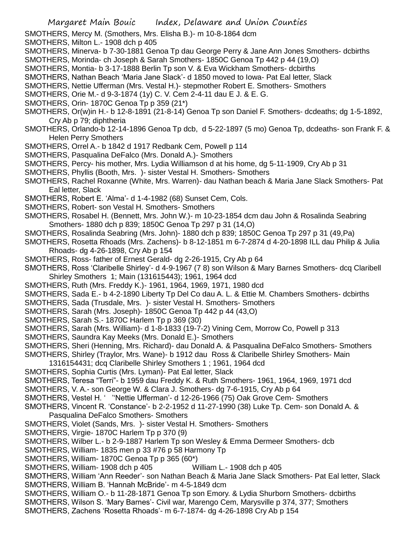- SMOTHERS, Mercy M. (Smothers, Mrs. Elisha B.)- m 10-8-1864 dcm
- SMOTHERS, Milton L.- 1908 dch p 405
- SMOTHERS, Minerva- b 7-30-1881 Genoa Tp dau George Perry & Jane Ann Jones Smothers- dcbirths
- SMOTHERS, Morinda- ch Joseph & Sarah Smothers- 1850C Genoa Tp 442 p 44 (19,O)
- SMOTHERS, Montia- b 3-17-1888 Berlin Tp son V. & Eva Wickham Smothers- dcbirths
- SMOTHERS, Nathan Beach 'Maria Jane Slack'- d 1850 moved to Iowa- Pat Eal letter, Slack
- SMOTHERS, Nettie Ufferman (Mrs. Vestal H.)- stepmother Robert E. Smothers- Smothers
- SMOTHERS, Orie M.- d 9-3-1874 (1y) C. V. Cem 2-4-11 dau E J. & E. G.
- SMOTHERS, Orin- 1870C Genoa Tp p 359 (21\*)
- SMOTHERS, Or(w)in H.- b 12-8-1891 (21-8-14) Genoa Tp son Daniel F. Smothers- dcdeaths; dg 1-5-1892, Cry Ab p 79; diphtheria
- SMOTHERS, Orlando-b 12-14-1896 Genoa Tp dcb, d 5-22-1897 (5 mo) Genoa Tp, dcdeaths- son Frank F. & Helen Perry Smothers
- SMOTHERS, Orrel A.- b 1842 d 1917 Redbank Cem, Powell p 114
- SMOTHERS, Pasqualina DeFalco (Mrs. Donald A.)- Smothers
- SMOTHERS, Percy- his mother, Mrs. Lydia Williamson d at his home, dg 5-11-1909, Cry Ab p 31
- SMOTHERS, Phyllis (Booth, Mrs. )- sister Vestal H. Smothers- Smothers
- SMOTHERS, Rachel Roxanne (White, Mrs. Warren)- dau Nathan beach & Maria Jane Slack Smothers- Pat Eal letter, Slack
- SMOTHERS, Robert E. 'Alma'- d 1-4-1982 (68) Sunset Cem, Cols.
- SMOTHERS, Robert- son Vestal H. Smothers- Smothers
- SMOTHERS, Rosabel H. (Bennett, Mrs. John W.)- m 10-23-1854 dcm dau John & Rosalinda Seabring Smothers- 1880 dch p 839; 1850C Genoa Tp 297 p 31 (14,O)
- SMOTHERS, Rosalinda Seabring (Mrs. John)- 1880 dch p 839; 1850C Genoa Tp 297 p 31 (49,Pa)
- SMOTHERS, Rosetta Rhoads (Mrs. Zachens)- b 8-12-1851 m 6-7-2874 d 4-20-1898 ILL dau Philip & Julia Rhoads- dg 4-26-1898, Cry Ab p 154
- SMOTHERS, Ross- father of Ernest Gerald- dg 2-26-1915, Cry Ab p 64
- SMOTHERS, Ross 'Claribelle Shirley'- d 4-9-1967 (7 8) son Wilson & Mary Barnes Smothers- dcq Claribell Shirley Smothers 1; Main (131615443); 1961, 1964 dcd
- SMOTHERS, Ruth (Mrs. Freddy K.)- 1961, 1964, 1969, 1971, 1980 dcd
- SMOTHERS, Sada E.- b 4-2-1890 Liberty Tp Del Co dau A. L. & Ettie M. Chambers Smothers- dcbirths
- SMOTHERS, Sada (Trusdale, Mrs. )- sister Vestal H. Smothers- Smothers
- SMOTHERS, Sarah (Mrs. Joseph)- 1850C Genoa Tp 442 p 44 (43,O)
- SMOTHERS, Sarah S.- 1870C Harlem Tp p 369 (30)
- SMOTHERS, Sarah (Mrs. William)- d 1-8-1833 (19-7-2) Vining Cem, Morrow Co, Powell p 313
- SMOTHERS, Saundra Kay Meeks (Mrs. Donald E.)- Smothers
- SMOTHERS, Sheri (Henning, Mrs. Richard)- dau Donald A. & Pasqualina DeFalco Smothers- Smothers
- SMOTHERS, Shirley (Traylor, Mrs. Wane)- b 1912 dau Ross & Claribelle Shirley Smothers- Main
- 1316154431; dcq Claribelle Shirley Smothers 1 ; 1961, 1964 dcd
- SMOTHERS, Sophia Curtis (Mrs. Lyman)- Pat Eal letter, Slack
- SMOTHERS, Teresa "Terri"- b 1959 dau Freddy K. & Ruth Smothers- 1961, 1964, 1969, 1971 dcd
- SMOTHERS, V. A.- son George W. & Clara J. Smothers- dg 7-6-1915, Cry Ab p 64
- SMOTHERS, Vestel H. ' ''Nettie Ufferman'- d 12-26-1966 (75) Oak Grove Cem- Smothers
- SMOTHERS, Vincent R. 'Constance'- b 2-2-1952 d 11-27-1990 (38) Luke Tp. Cem- son Donald A. & Pasqualina DeFalco Smothers- Smothers
- SMOTHERS, Violet (Sands, Mrs. )- sister Vestal H. Smothers- Smothers
- SMOTHERS, Virgie- 1870C Harlem Tp p 370 (9)
- SMOTHERS, Wilber L.- b 2-9-1887 Harlem Tp son Wesley & Emma Dermeer Smothers- dcb
- SMOTHERS, William- 1835 men p 33 #76 p 58 Harmony Tp
- SMOTHERS, William- 1870C Genoa Tp p 365 (60\*)
- SMOTHERS, William- 1908 dch p 405 William L.- 1908 dch p 405
- SMOTHERS, William 'Ann Reeder'- son Nathan Beach & Maria Jane Slack Smothers- Pat Eal letter, Slack SMOTHERS, William B. 'Hannah McBride'- m 4-5-1849 dcm
- SMOTHERS, William O.- b 11-28-1871 Genoa Tp son Emory. & Lydia Shurborn Smothers- dcbirths
- SMOTHERS, Wilson S. 'Mary Barnes'- Civil war, Marengo Cem, Marysville p 374, 377; Smothers
- SMOTHERS, Zachens 'Rosetta Rhoads'- m 6-7-1874- dg 4-26-1898 Cry Ab p 154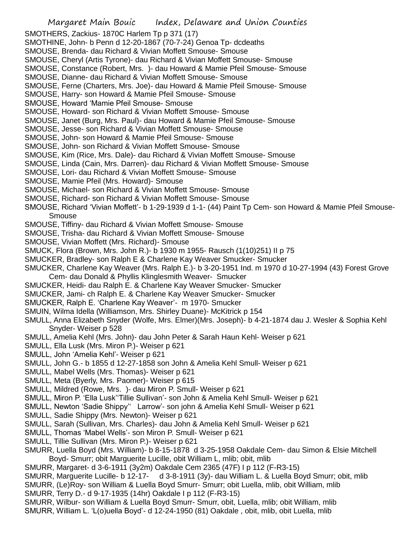SMOTHERS, Zackius- 1870C Harlem Tp p 371 (17)

- SMOTHINE, John- b Penn d 12-20-1867 (70-7-24) Genoa Tp- dcdeaths
- SMOUSE, Brenda- dau Richard & Vivian Moffett Smouse- Smouse
- SMOUSE, Cheryl (Artis Tyrone)- dau Richard & Vivian Moffett Smouse- Smouse
- SMOUSE, Constance (Robert, Mrs. )- dau Howard & Mamie Pfeil Smouse- Smouse
- SMOUSE, Dianne- dau Richard & Vivian Moffett Smouse- Smouse
- SMOUSE, Ferne (Charters, Mrs. Joe)- dau Howard & Mamie Pfeil Smouse- Smouse
- SMOUSE, Harry- son Howard & Mamie Pfeil Smouse- Smouse
- SMOUSE, Howard 'Mamie Pfeil Smouse- Smouse
- SMOUSE, Howard- son Richard & Vivian Moffett Smouse- Smouse
- SMOUSE, Janet (Burg, Mrs. Paul)- dau Howard & Mamie Pfeil Smouse- Smouse
- SMOUSE, Jesse- son Richard & Vivian Moffett Smouse- Smouse
- SMOUSE, John- son Howard & Mamie Pfeil Smouse- Smouse
- SMOUSE, John- son Richard & Vivian Moffett Smouse- Smouse
- SMOUSE, Kim (Rice, Mrs. Dale)- dau Richard & Vivian Moffett Smouse- Smouse
- SMOUSE, Linda (Cain, Mrs. Darren)- dau Richard & Vivian Moffett Smouse- Smouse
- SMOUSE, Lori- dau Richard & Vivian Moffett Smouse- Smouse
- SMOUSE, Mamie Pfeil (Mrs. Howard)- Smouse
- SMOUSE, Michael- son Richard & Vivian Moffett Smouse- Smouse
- SMOUSE, Richard- son Richard & Vivian Moffett Smouse- Smouse
- SMOUSE, Richard 'Vivian Moffett'- b 1-29-1939 d 1-1- (44) Paint Tp Cem- son Howard & Mamie Pfeil Smouse-Smouse
- SMOUSE, Tiffiny- dau Richard & Vivian Moffett Smouse- Smouse
- SMOUSE, Trisha- dau Richard & Vivian Moffett Smouse- Smouse
- SMOUSE, Vivian Moffett (Mrs. Richard)- Smouse
- SMUCK, Flora (Brown, Mrs. John R.)- b 1930 m 1955- Rausch (1(10)251) II p 75
- SMUCKER, Bradley- son Ralph E & Charlene Kay Weaver Smucker- Smucker
- SMUCKER, Charlene Kay Weaver (Mrs. Ralph E.)- b 3-20-1951 Ind. m 1970 d 10-27-1994 (43) Forest Grove Cem- dau Donald & Phyllis Klinglesmith Weaver- Smucker
- SMUCKER, Heidi- dau Ralph E. & Charlene Kay Weaver Smucker- Smucker
- SMUCKER, Jami- ch Ralph E. & Charlene Kay Weaver Smucker- Smucker
- SMUCKER, Ralph E. 'Charlene Kay Weaver'- m 1970- Smucker
- SMUIN, Wilma Idella (Williamson, Mrs. Shirley Duane)- McKitrick p 154
- SMULL, Anna Elizabeth Snyder (Wolfe, Mrs. Elmer)(Mrs. Joseph)- b 4-21-1874 dau J. Wesler & Sophia Kehl Snyder- Weiser p 528
- SMULL, Amelia Kehl (Mrs. John)- dau John Peter & Sarah Haun Kehl- Weiser p 621
- SMULL, Ella Lusk (Mrs. Miron P.)- Weiser p 621
- SMULL, John 'Amelia Kehl'- Weiser p 621
- SMULL, John G.- b 1855 d 12-27-1858 son John & Amelia Kehl Smull- Weiser p 621
- SMULL, Mabel Wells (Mrs. Thomas)- Weiser p 621
- SMULL, Meta (Byerly, Mrs. Paomer)- Weiser p 615
- SMULL, Mildred (Rowe, Mrs. )- dau Miron P. Smull- Weiser p 621
- SMULL, Miron P. 'Ella Lusk''Tillie Sullivan'- son John & Amelia Kehl Smull- Weiser p 621
- SMULL, Newton 'Sadie Shippy'' Larrow'- son john & Amelia Kehl Smull- Weiser p 621
- SMULL, Sadie Shippy (Mrs. Newton)- Weiser p 621
- SMULL, Sarah (Sullivan, Mrs. Charles)- dau John & Amelia Kehl Smull- Weiser p 621
- SMULL, Thomas 'Mabel Wells'- son Miron P. Smull- Weiser p 621
- SMULL, Tillie Sullivan (Mrs. Miron P.)- Weiser p 621
- SMURR, Luella Boyd (Mrs. William)- b 8-15-1878 d 3-25-1958 Oakdale Cem- dau Simon & Elsie Mitchell Boyd- Smurr; obit Marguerite Lucille, obit William L, mlib; obit, mlib
- SMURR, Margaret- d 3-6-1911 (3y2m) Oakdale Cem 2365 (47F) I p 112 (F-R3-15)
- SMURR, Marguerite Lucille- b 12-17- d 3-8-1911 (3y)- dau William L. & Luella Boyd Smurr; obit, mlib
- SMURR, (Le)Roy- son William & Luella Boyd Smurr- Smurr; obit Luella, mlib, obit William, mlib
- SMURR, Terry D.- d 9-17-1935 (14hr) Oakdale I p 112 (F-R3-15)
- SMURR, Wilbur- son William & Luella Boyd Smurr- Smurr, obit, Luella, mlib; obit William, mlib
- SMURR, William L. 'L(o)uella Boyd'- d 12-24-1950 (81) Oakdale , obit, mlib, obit Luella, mlib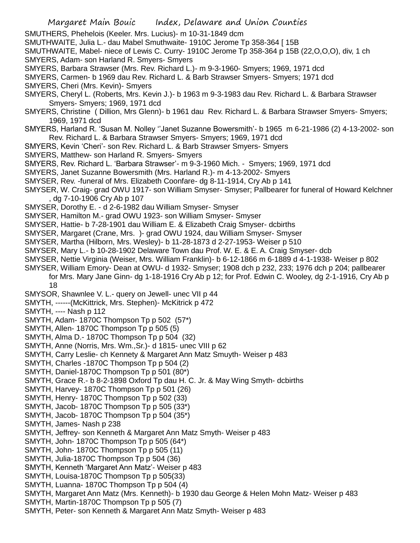- SMUTHERS, Phehelois (Keeler. Mrs. Lucius)- m 10-31-1849 dcm
- SMUTHWAITE, Julia L.- dau Mabel Smuthwaite- 1910C Jerome Tp 358-364 [ 15B
- SMUTHWAITE, Mabel- niece of Lewis C. Curry- 1910C Jerome Tp 358-364 p 15B (22,O,O,O), div, 1 ch SMYERS, Adam- son Harland R. Smyers- Smyers
- SMYERS, Barbara Strawser (Mrs. Rev. Richard L.)- m 9-3-1960- Smyers; 1969, 1971 dcd
- SMYERS, Carmen- b 1969 dau Rev. Richard L. & Barb Strawser Smyers- Smyers; 1971 dcd
- SMYERS, Cheri (Mrs. Kevin)- Smyers
- SMYERS, Cheryl L. (Roberts, Mrs. Kevin J.)- b 1963 m 9-3-1983 dau Rev. Richard L. & Barbara Strawser Smyers- Smyers; 1969, 1971 dcd
- SMYERS, Christine ( Dillion, Mrs Glenn)- b 1961 dau Rev. Richard L. & Barbara Strawser Smyers- Smyers; 1969, 1971 dcd
- SMYERS, Harland R. 'Susan M. Nolley ''Janet Suzanne Bowersmith'- b 1965 m 6-21-1986 (2) 4-13-2002- son Rev. Richard L. & Barbara Strawser Smyers- Smyers; 1969, 1971 dcd
- SMYERS, Kevin 'Cheri'- son Rev. Richard L. & Barb Strawser Smyers- Smyers
- SMYERS, Matthew- son Harland R. Smyers- Smyers
- SMYERS, Rev. Richard L. 'Barbara Strawser'- m 9-3-1960 Mich. Smyers; 1969, 1971 dcd
- SMYERS, Janet Suzanne Bowersmith (Mrs. Harland R.)- m 4-13-2002- Smyers
- SMYSER, Rev. -funeral of Mrs. Elizabeth Coonfare- dg 8-11-1914, Cry Ab p 141
- SMYSER, W. Craig- grad OWU 1917- son William Smyser- Smyser; Pallbearer for funeral of Howard Kelchner , dg 7-10-1906 Cry Ab p 107
- SMYSER, Dorothy E. d 2-6-1982 dau William Smyser- Smyser
- SMYSER, Hamilton M.- grad OWU 1923- son William Smyser- Smyser
- SMYSER, Hattie- b 7-28-1901 dau William E. & Elizabeth Craig Smyser- dcbirths
- SMYSER, Margaret (Crane, Mrs. )- grad OWU 1924, dau William Smyser- Smyser
- SMYSER, Martha (Hilborn, Mrs. Wesley)- b 11-28-1873 d 2-27-1953- Weiser p 510
- SMYSER, Mary L.- b 10-28-1902 Delaware Town dau Prof. W. E. & E. A. Craig Smyser- dcb
- SMYSER, Nettie Virginia (Weiser, Mrs. William Franklin)- b 6-12-1866 m 6-1889 d 4-1-1938- Weiser p 802
- SMYSER, William Emory- Dean at OWU- d 1932- Smyser; 1908 dch p 232, 233; 1976 dch p 204; pallbearer for Mrs. Mary Jane Ginn- dg 1-18-1916 Cry Ab p 12; for Prof. Edwin C. Wooley, dg 2-1-1916, Cry Ab p 18
- SMYSOR, Shawnlee V. L.- query on Jewell- unec VII p 44
- SMYTH, ------(McKittrick, Mrs. Stephen)- McKitrick p 472
- SMYTH, ---- Nash p 112
- SMYTH, Adam- 1870C Thompson Tp p 502 (57\*)
- SMYTH, Allen- 1870C Thompson Tp p 505 (5)
- SMYTH, Alma D.- 1870C Thompson Tp p 504 (32)
- SMYTH, Anne (Norris, Mrs. Wm.,Sr.)- d 1815- unec VIII p 62
- SMYTH, Carry Leslie- ch Kennety & Margaret Ann Matz Smuyth- Weiser p 483
- SMYTH, Charles -1870C Thompson Tp p 504 (2)
- SMYTH, Daniel-1870C Thompson Tp p 501 (80\*)
- SMYTH, Grace R.- b 8-2-1898 Oxford Tp dau H. C. Jr. & May Wing Smyth- dcbirths
- SMYTH, Harvey- 1870C Thompson Tp p 501 (26)
- SMYTH, Henry- 1870C Thompson Tp p 502 (33)
- SMYTH, Jacob- 1870C Thompson Tp p 505 (33\*)
- SMYTH, Jacob- 1870C Thompson Tp p 504 (35\*)
- SMYTH, James- Nash p 238
- SMYTH, Jeffrey- son Kenneth & Margaret Ann Matz Smyth- Weiser p 483
- SMYTH, John- 1870C Thompson Tp p 505 (64\*)
- SMYTH, John- 1870C Thompson Tp p 505 (11)
- SMYTH, Julia-1870C Thompson Tp p 504 (36)
- SMYTH, Kenneth 'Margaret Ann Matz'- Weiser p 483
- SMYTH, Louisa-1870C Thompson Tp p 505(33)
- SMYTH, Luanna- 1870C Thompson Tp p 504 (4)
- SMYTH, Margaret Ann Matz (Mrs. Kenneth)- b 1930 dau George & Helen Mohn Matz- Weiser p 483
- SMYTH, Martin-1870C Thompson Tp p 505 (7)
- SMYTH, Peter- son Kenneth & Margaret Ann Matz Smyth- Weiser p 483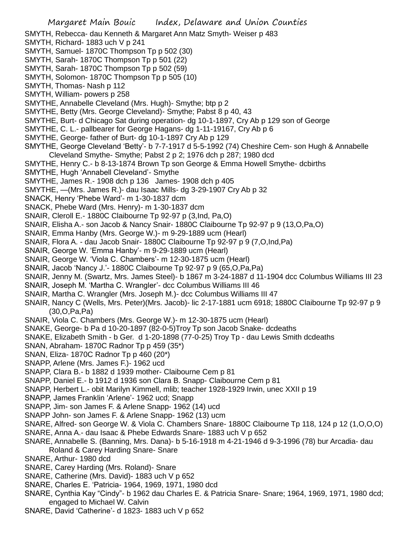- SMYTH, Rebecca- dau Kenneth & Margaret Ann Matz Smyth- Weiser p 483
- SMYTH, Richard- 1883 uch V p 241
- SMYTH, Samuel- 1870C Thompson Tp p 502 (30)
- SMYTH, Sarah- 1870C Thompson Tp p 501 (22)
- SMYTH, Sarah- 1870C Thompson Tp p 502 (59)
- SMYTH, Solomon- 1870C Thompson Tp p 505 (10)
- SMYTH, Thomas- Nash p 112
- SMYTH, William- powers p 258
- SMYTHE, Annabelle Cleveland (Mrs. Hugh)- Smythe; btp p 2
- SMYTHE, Betty (Mrs. George Cleveland)- Smythe; Pabst 8 p 40, 43
- SMYTHE, Burt- d Chicago Sat during operation- dg 10-1-1897, Cry Ab p 129 son of George
- SMYTHE, C. L.- pallbearer for George Hagans- dg 1-11-19167, Cry Ab p 6
- SMYTHE, George- father of Burt- dg 10-1-1897 Cry Ab p 129
- SMYTHE, George Cleveland 'Betty'- b 7-7-1917 d 5-5-1992 (74) Cheshire Cem- son Hugh & Annabelle Cleveland Smythe- Smythe; Pabst 2 p 2; 1976 dch p 287; 1980 dcd
- SMYTHE, Henry C.- b 8-13-1874 Brown Tp son George & Emma Howell Smythe- dcbirths
- SMYTHE, Hugh 'Annabell Cleveland'- Smythe
- SMYTHE, James R.- 1908 dch p 136 James- 1908 dch p 405
- SMYTHE, —(Mrs. James R.)- dau Isaac Mills- dg 3-29-1907 Cry Ab p 32
- SNACK, Henry 'Phebe Ward'- m 1-30-1837 dcm
- SNACK, Phebe Ward (Mrs. Henry)- m 1-30-1837 dcm
- SNAIR, Cleroll E.- 1880C Claibourne Tp 92-97 p (3,Ind, Pa,O)
- SNAIR, Elisha A.- son Jacob & Nancy Snair- 1880C Claibourne Tp 92-97 p 9 (13,O,Pa,O)
- SNAIR, Emma Hanby (Mrs. George W.)- m 9-29-1889 ucm (Hearl)
- SNAIR, Flora A. dau Jacob Snair- 1880C Claibourne Tp 92-97 p 9 (7,O,Ind,Pa)
- SNAIR, George W. 'Emma Hanby'- m 9-29-1889 ucm (Hearl)
- SNAIR, George W. 'Viola C. Chambers'- m 12-30-1875 ucm (Hearl)
- SNAIR, Jacob 'Nancy J.'- 1880C Claibourne Tp 92-97 p 9 (65,O,Pa,Pa)
- SNAIR, Jenny M. (Swartz, Mrs. James Steel)- b 1867 m 3-24-1887 d 11-1904 dcc Columbus Williams III 23
- SNAIR, Joseph M. 'Martha C. Wrangler'- dcc Columbus Williams III 46
- SNAIR, Martha C. Wrangler (Mrs. Joseph M.)- dcc Columbus Williams III 47
- SNAIR, Nancy C (Wells, Mrs. Peter)(Mrs. Jacob)- lic 2-17-1881 ucm 6918; 1880C Claibourne Tp 92-97 p 9 (30,O,Pa,Pa)
- SNAIR, Viola C. Chambers (Mrs. George W.)- m 12-30-1875 ucm (Hearl)
- SNAKE, George- b Pa d 10-20-1897 (82-0-5)Troy Tp son Jacob Snake- dcdeaths
- SNAKE, Elizabeth Smith b Ger. d 1-20-1898 (77-0-25) Troy Tp dau Lewis Smith dcdeaths
- SNAN, Abraham- 1870C Radnor Tp p 459 (35\*)
- SNAN, Eliza- 1870C Radnor Tp p 460 (20\*)
- SNAPP, Arlene (Mrs. James F.)- 1962 ucd
- SNAPP, Clara B.- b 1882 d 1939 mother- Claibourne Cem p 81
- SNAPP, Daniel E.- b 1912 d 1936 son Clara B. Snapp- Claibourne Cem p 81
- SNAPP, Herbert L.- obit Marilyn Kimmell, mlib; teacher 1928-1929 Irwin, unec XXII p 19
- SNAPP, James Franklin 'Arlene'- 1962 ucd; Snapp
- SNAPP, Jim- son James F. & Arlene Snapp- 1962 (14) ucd
- SNAPP John- son James F. & Arlene Snapp- 1962 (13) ucm
- SNARE, Alfred- son George W. & Viola C. Chambers Snare- 1880C Claibourne Tp 118, 124 p 12 (1,O,O,O)
- SNARE, Anna A.- dau Isaac & Phebe Edwards Snare- 1883 uch V p 652
- SNARE, Annabelle S. (Banning, Mrs. Dana)- b 5-16-1918 m 4-21-1946 d 9-3-1996 (78) bur Arcadia- dau Roland & Carey Harding Snare- Snare
- SNARE, Arthur- 1980 dcd
- SNARE, Carey Harding (Mrs. Roland)- Snare
- SNARE, Catherine (Mrs. David)- 1883 uch V p 652
- SNARE, Charles E. 'Patricia- 1964, 1969, 1971, 1980 dcd
- SNARE, Cynthia Kay "Cindy"- b 1962 dau Charles E. & Patricia Snare- Snare; 1964, 1969, 1971, 1980 dcd; engaged to Michael W. Calvin
- SNARE, David 'Catherine'- d 1823- 1883 uch V p 652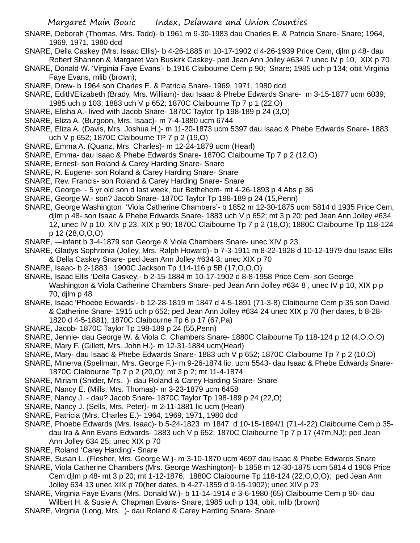- SNARE, Deborah (Thomas, Mrs. Todd)- b 1961 m 9-30-1983 dau Charles E. & Patricia Snare- Snare; 1964, 1969, 1971, 1980 dcd
- SNARE, Della Caskey (Mrs. Isaac Ellis)- b 4-26-1885 m 10-17-1902 d 4-26-1939 Price Cem, djlm p 48- dau Robert Shannon & Margaret Van Buskirk Caskey- ped Jean Ann Jolley #634 7 unec IV p 10, XIX p 70
- SNARE, Donald W. 'Virginia Faye Evans'- b 1916 Claibourne Cem p 90; Snare; 1985 uch p 134; obit Virginia Faye Evans, mlib (brown);
- SNARE, Drew- b 1964 son Charles E. & Patricia Snare- 1969, 1971, 1980 dcd
- SNARE, Edith/Elizabeth (Brady, Mrs. William)- dau Isaac & Phebe Edwards Snare- m 3-15-1877 ucm 6039; 1985 uch p 103; 1883 uch V p 652; 1870C Claibourne Tp 7 p 1 (22,O)
- SNARE, Elisha A.- lived with Jacob Snare- 1870C Taylor Tp 198-189 p 24 (3,O)
- SNARE, Eliza A. (Burgoon, Mrs. Isaac)- m 7-4-1880 ucm 6744
- SNARE, Eliza A. (Davis, Mrs. Joshua H.)- m 11-20-1873 ucm 5397 dau Isaac & Phebe Edwards Snare- 1883 uch V p 652; 1870C Claibourne TP 7 p 2 (19,O)
- SNARE, Emma A. (Quanz, Mrs. Charles)- m 12-24-1879 ucm (Hearl)
- SNARE, Emma- dau Isaac & Phebe Edwards Snare- 1870C Claibourne Tp 7 p 2 (12,O)
- SNARE, Ernest- son Roland & Carey Harding Snare- Snare
- SNARE, R. Eugene- son Roland & Carey Harding Snare- Snare
- SNARE, Rev. Francis- son Roland & Carey Harding Snare- Snare
- SNARE, George- 5 yr old son d last week, bur Bethehem- mt 4-26-1893 p 4 Abs p 36
- SNARE, George W.- son? Jacob Snare- 1870C Taylor Tp 198-189 p 24 (15,Penn)
- SNARE, George Washington 'Viola Catherine Chambers'- b 1852 m 12-30-1875 ucm 5814 d 1935 Price Cem, djlm p 48- son Isaac & Phebe Edwards Snare- 1883 uch V p 652; mt 3 p 20; ped Jean Ann Jolley #634 12, unec IV p 10, XIV p 23, XIX p 90; 1870C Claibourne Tp 7 p 2 (18,O); 1880C Claibourne Tp 118-124 p 12 (28,O,O,O)
- SNARE, —infant b 3-4-1879 son George & Viola Chambers Snare- unec XIV p 23
- SNARE, Gladys Sophronia (Jolley, Mrs. Ralph Howard)- b 7-3-1911 m 8-22-1928 d 10-12-1979 dau Isaac Ellis & Della Caskey Snare- ped Jean Ann Jolley #634 3; unec XIX p 70
- SNARE, Isaac- b 2-1883 1900C Jackson Tp 114-116 p 5B (17,O,O,O)
- SNARE, Isaac Ellis 'Della Caskey;- b 2-15-1884 m 10-17-1902 d 8-8-1958 Price Cem- son George Washington & Viola Catherine Chambers Snare- ped Jean Ann Jolley #634 8, unec IV p 10, XIX p p 70, djlm p 48
- SNARE, Isaac 'Phoebe Edwards'- b 12-28-1819 m 1847 d 4-5-1891 (71-3-8) Claibourne Cem p 35 son David & Catherine Snare- 1915 uch p 652; ped Jean Ann Jolley #634 24 unec XIX p 70 (her dates, b 8-28- 1820 d 4-5-1881); 1870C Claibourne Tp 6 p 17 (67,Pa)
- SNARE, Jacob- 1870C Taylor Tp 198-189 p 24 (55,Penn)
- SNARE, Jennie- dau George W. & Viola C. Chambers Snare- 1880C Claibourne Tp 118-124 p 12 (4,O,O,O)
- SNARE, Mary F. (Gillett, Mrs. John H.)- m 12-31-1884 ucm(Hearl)
- SNARE, Mary- dau Isaac & Phebe Edwards Snare- 1883 uch V p 652; 1870C Claibourne Tp 7 p 2 (10,O)
- SNARE, Minerva (Spellman, Mrs. George F.)- m 9-26-1874 lic, ucm 5543- dau Isaac & Phebe Edwards Snare-1870C Claibourne Tp 7 p 2 (20,O); mt 3 p 2; mt 11-4-1874
- SNARE, Miriam (Snider, Mrs. )- dau Roland & Carey Harding Snare- Snare
- SNARE, Nancy E. (Mills, Mrs. Thomas)- m 3-23-1879 ucm 6458
- SNARE, Nancy J. dau? Jacob Snare- 1870C Taylor Tp 198-189 p 24 (22,O)
- SNARE, Nancy J. (Sells, Mrs. Peter)- m 2-11-1881 lic ucm (Hearl)
- SNARE, Patricia (Mrs. Charles E.)- 1964, 1969, 1971, 1980 dcd
- SNARE, Phoebe Edwards (Mrs. Isaac)- b 5-24-1823 m 1847 d 10-15-1894/1 (71-4-22) Claibourne Cem p 35 dau Ira & Ann Evans Edwards- 1883 uch V p 652; 1870C Claibourne Tp 7 p 17 (47m,NJ); ped Jean Ann Jolley 634 25; unec XIX p 70
- SNARE, Roland 'Carey Harding'- Snare
- SNARE, Susan L. (Flesher, Mrs. George W.)- m 3-10-1870 ucm 4697 dau Isaac & Phebe Edwards Snare
- SNARE, Viola Catherine Chambers (Mrs. George Washington)- b 1858 m 12-30-1875 ucm 5814 d 1908 Price Cem djlm p 48- mt 3 p 20; mt 1-12-1876; 1880C Claibourne Tp 118-124 (22,O,O,O); ped Jean Ann Jolley 634 13 unec XIX p 70(her dates, b 4-27-1859 d 9-15-1902); unec XIV p 23
- SNARE, Virginia Faye Evans (Mrs. Donald W.)- b 11-14-1914 d 3-6-1980 (65) Claibourne Cem p 90- dau Wilbert H. & Susie A. Chapman Evans- Snare; 1985 uch p 134; obit, mlib (brown)
- SNARE, Virginia (Long, Mrs. )- dau Roland & Carey Harding Snare- Snare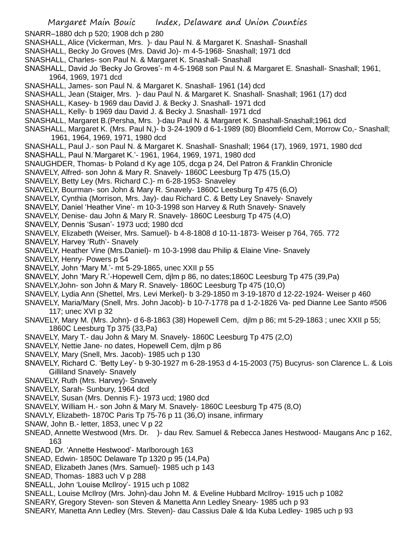SNARR–1880 dch p 520; 1908 dch p 280 SNASHALL, Alice (Vickerman, Mrs. )- dau Paul N. & Margaret K. Snashall- Snashall SNASHALL, Becky Jo Groves (Mrs. David Jo)- m 4-5-1968- Snashall; 1971 dcd SNASHALL, Charles- son Paul N. & Margaret K. Snashall- Snashall SNASHALL, David Jo 'Becky Jo Groves'- m 4-5-1968 son Paul N. & Margaret E. Snashall- Snashall; 1961, 1964, 1969, 1971 dcd SNASHALL, James- son Paul N. & Margaret K. Snashall- 1961 (14) dcd SNASHALL, Jean (Staiger, Mrs. )- dau Paul N. & Margaret K. Snashall- Snashall; 1961 (17) dcd SNASHALL, Kasey- b 1969 dau David J. & Becky J. Snashall- 1971 dcd SNASHALL, Kelly- b 1969 dau David J. & Becky J. Snashall- 1971 dcd SNASHALL, Margaret B.(Persha, Mrs. )-dau Paul N. & Margaret K. Snashall-Snashall;1961 dcd SNASHALL, Margaret K. (Mrs. Paul N,)- b 3-24-1909 d 6-1-1989 (80) Bloomfield Cem, Morrow Co,- Snashall; 1961, 1964, 1969, 1971, 1980 dcd SNASHALL, Paul J.- son Paul N. & Margaret K. Snashall- Snashall; 1964 (17), 1969, 1971, 1980 dcd SNASHALL, Paul N.'Margaret K.'- 1961, 1964, 1969, 1971, 1980 dcd SNAUGHDER, Thomas- b Poland d Ky age 105, dcga p 24, Del Patron & Franklin Chronicle SNAVELY, Alfred- son John & Mary R. Snavely- 1860C Leesburg Tp 475 (15,O) SNAVELY, Betty Ley (Mrs. Richard C.)- m 6-28-1953- Snaveley SNAVELY, Bourman- son John & Mary R. Snavely- 1860C Leesburg Tp 475 (6,O) SNAVELY, Cynthia (Morrison, Mrs. Jay)- dau Richard C. & Betty Ley Snavely- Snavely SNAVELY, Daniel 'Heather Vine'- m 10-3-1998 son Harvey & Ruth Snavely- Snavely SNAVELY, Denise- dau John & Mary R. Snavely- 1860C Leesburg Tp 475 (4,O) SNAVELY, Dennis 'Susan'- 1973 ucd; 1980 dcd SNAVELY, Elizabeth (Weiser, Mrs. Samuel)- b 4-8-1808 d 10-11-1873- Weiser p 764, 765. 772 SNAVELY, Harvey 'Ruth'- Snavely SNAVELY, Heather Vine (Mrs.Daniel)- m 10-3-1998 dau Philip & Elaine Vine- Snavely SNAVELY, Henry- Powers p 54 SNAVELY, John 'Mary M.'- mt 5-29-1865, unec XXII p 55 SNAVELY, John 'Mary R.'-Hopewell Cem, djlm p 86, no dates;1860C Leesburg Tp 475 (39,Pa) SNAVELY,John- son John & Mary R. Snavely- 1860C Leesburg Tp 475 (10,O) SNAVELY, Lydia Ann (Shettel, Mrs. Levi Merkel)- b 3-29-1850 m 3-19-1870 d 12-22-1924- Weiser p 460 SNAVELY, Maria/Mary (Snell, Mrs. John Jacob)- b 10-7-1778 pa d 1-2-1826 Va- ped Dianne Lee Santo #506 117; unec XVI p 32 SNAVELY, Mary M. (Mrs. John)- d 6-8-1863 (38) Hopewell Cem, djlm p 86; mt 5-29-1863 ; unec XXII p 55; 1860C Leesburg Tp 375 (33,Pa) SNAVELY, Mary T.- dau John & Mary M. Snavely- 1860C Leesburg Tp 475 (2,O) SNAVELY, Nettie Jane- no dates, Hopewell Cem, djlm p 86 SNAVELY, Mary (Snell, Mrs. Jacob)- 1985 uch p 130 SNAVELY, Richard C. 'Betty Ley'- b 9-30-1927 m 6-28-1953 d 4-15-2003 (75) Bucyrus- son Clarence L. & Lois Gilliland Snavely- Snavely SNAVELY, Ruth (Mrs. Harvey)- Snavely SNAVELY, Sarah- Sunbury, 1964 dcd SNAVELY, Susan (Mrs. Dennis F.)- 1973 ucd; 1980 dcd SNAVELY, William H.- son John & Mary M. Snavely- 1860C Leesburg Tp 475 (8,O) SNAVLY, Elizabeth- 1870C Paris Tp 75-76 p 11 (36,O) insane, infirmary SNAW, John B.- letter, 1853, unec V p 22 SNEAD, Annette Westwood (Mrs. Dr. )- dau Rev. Samuel & Rebecca Janes Hestwood- Maugans Anc p 162, 163 SNEAD, Dr. 'Annette Hestwood'- Marlborough 163 SNEAD, Edwin- 1850C Delaware Tp 1320 p 95 (14,Pa) SNEAD, Elizabeth Janes (Mrs. Samuel)- 1985 uch p 143 SNEAD, Thomas- 1883 uch V p 288

- SNEALL, John 'Louise McIlroy'- 1915 uch p 1082
- SNEALL, Louise McIlroy (Mrs. John)-dau John M. & Eveline Hubbard McIlroy- 1915 uch p 1082
- SNEARY, Gregory Steven- son Steven & Manetta Ann Ledley Sneary- 1985 uch p 93
- SNEARY, Manetta Ann Ledley (Mrs. Steven)- dau Cassius Dale & Ida Kuba Ledley- 1985 uch p 93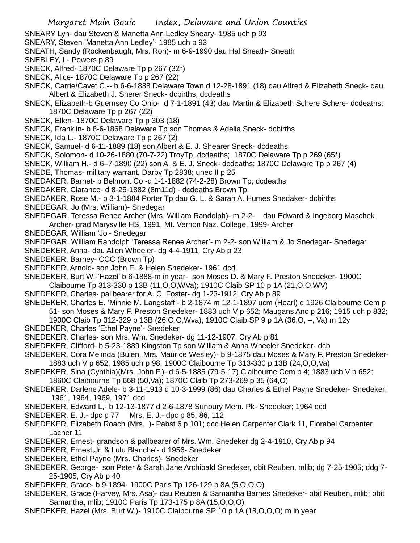- SNEARY Lyn- dau Steven & Manetta Ann Ledley Sneary- 1985 uch p 93
- SNEARY, Steven 'Manetta Ann Ledley'- 1985 uch p 93
- SNEATH, Sandy (Rockenbaugh, Mrs. Ron)- m 6-9-1990 dau Hal Sneath- Sneath
- SNEBLEY, I.- Powers p 89
- SNECK, Alfred- 1870C Delaware Tp p 267 (32\*)
- SNECK, Alice- 1870C Delaware Tp p 267 (22)
- SNECK, Carrie/Cavet C.-- b 6-6-1888 Delaware Town d 12-28-1891 (18) dau Alfred & Elizabeth Sneck- dau Albert & Elizabeth J. Sherer Sneck- dcbirths, dcdeaths
- SNECK, Elizabeth-b Guernsey Co Ohio- d 7-1-1891 (43) dau Martin & Elizabeth Schere Schere- dcdeaths; 1870C Delaware Tp p 267 (22)
- SNECK, Ellen- 1870C Delaware Tp p 303 (18)
- SNECK, Franklin- b 8-6-1868 Delaware Tp son Thomas & Adelia Sneck- dcbirths
- SNECK, Ida L.- 1870C Delaware Tp p 267 (2)
- SNECK, Samuel- d 6-11-1889 (18) son Albert & E. J. Shearer Sneck- dcdeaths
- SNECK, Solomon- d 10-26-1880 (70-7-22) TroyTp, dcdeaths; 1870C Delaware Tp p 269 (65\*)
- SNECK, William H.- d 6–7-1890 (22) son A. & E. J. Sneck- dcdeaths; 1870C Delaware Tp p 267 (4)
- SNEDE, Thomas- military warrant, Darby Tp 2838; unec II p 25
- SNEDAKER, Barnet- b Belmont Co -d 1-1-1882 (74-2-28) Brown Tp; dcdeaths
- SNEDAKER, Clarance- d 8-25-1882 (8m11d) dcdeaths Brown Tp
- SNEDAKER, Rose M.- b 3-1-1884 Porter Tp dau G. L. & Sarah A. Humes Snedaker- dcbirths
- SNEDEGAR, Jo (Mrs. William)- Snedegar
- SNEDEGAR, Teressa Renee Archer (Mrs. William Randolph)- m 2-2- dau Edward & Ingeborg Maschek Archer- grad Marysville HS. 1991, Mt. Vernon Naz. College, 1999- Archer
- SNEDEGAR, William 'Jo'- Snedegar
- SNEDEGAR, William Randolph 'Teressa Renee Archer'- m 2-2- son William & Jo Snedegar- Snedegar
- SNEDEKER, Anna- dau Allen Wheeler- dg 4-4-1911, Cry Ab p 23
- SNEDEKER, Barney- CCC (Brown Tp)
- SNEDEKER, Arnold- son John E. & Helen Snedeker- 1961 dcd
- SNEDEKER, Burt W.-'Hazel' b 6-1888-m in year- son Moses D. & Mary F. Preston Snedeker- 1900C Claibourne Tp 313-330 p 13B (11,O,O,WVa); 1910C Claib SP 10 p 1A (21,O,O,WV)
- SNEDEKER, Charles- pallbearer for A. C. Foster- dg 1-23-1912, Cry Ab p 89
- SNEDEKER, Charles E. 'Minnie M. Langstaff'- b 2-1874 m 12-1-1897 ucm (Hearl) d 1926 Claibourne Cem p 51- son Moses & Mary F. Preston Snedeker- 1883 uch V p 652; Maugans Anc p 216; 1915 uch p 832;
	- 1900C Claib Tp 312-329 p 13B (26,O,O,Wva); 1910C Claib SP 9 p 1A (36,O, –, Va) m 12y
- SNEDEKER, Charles 'Ethel Payne'- Snedeker
- SNEDEKER, Charles- son Mrs. Wm. Snedeker- dg 11-12-1907, Cry Ab p 81
- SNEDEKER, Clifford- b 5-23-1889 Kingston Tp son William & Anna Wheeler Snedeker- dcb
- SNEDEKER, Cora Melinda (Bulen, Mrs. Maurice Wesley)- b 9-1875 dau Moses & Mary F. Preston Snedeker-1883 uch V p 652; 1985 uch p 98; 1900C Claibourne Tp 313-330 p 13B (24,O,O,Va)
- SNEDEKER, Sina (Cynthia)(Mrs. John F.)- d 6-5-1885 (79-5-17) Claibourne Cem p 4; 1883 uch V p 652;
	- 1860C Claibourne Tp 668 (50,Va); 1870C Claib Tp 273-269 p 35 (64,O)
- SNEDEKER, Darlene Adele- b 3-11-1913 d 10-3-1999 (86) dau Charles & Ethel Payne Snedeker- Snedeker; 1961, 1964, 1969, 1971 dcd
- SNEDEKER, Edward L,- b 12-13-1877 d 2-6-1878 Sunbury Mem. Pk- Snedeker; 1964 dcd
- SNEDEKER, E. J.- dpc p 77 Mrs. E. J.- dpc p 85, 86, 112
- SNEDEKER, Elizabeth Roach (Mrs. )- Pabst 6 p 101; dcc Helen Carpenter Clark 11, Florabel Carpenter Lacher 11
- SNEDEKER, Ernest- grandson & pallbearer of Mrs. Wm. Snedeker dg 2-4-1910, Cry Ab p 94
- SNEDEKER, Ernest,Jr. & Lulu Blanche'- d 1956- Snedeker
- SNEDEKER, Ethel Payne (Mrs. Charles)- Snedeker
- SNEDEKER, George- son Peter & Sarah Jane Archibald Snedeker, obit Reuben, mlib; dg 7-25-1905; ddg 7- 25-1905, Cry Ab p 40
- SNEDEKER, Grace- b 9-1894- 1900C Paris Tp 126-129 p 8A (5,O,O,O)
- SNEDEKER, Grace (Harvey, Mrs. Asa)- dau Reuben & Samantha Barnes Snedeker- obit Reuben, mlib; obit Samantha, mlib; 1910C Paris Tp 173-175 p 8A (15,O,O,O)
- SNEDEKER, Hazel (Mrs. Burt W.)- 1910C Claibourne SP 10 p 1A (18,O,O,O) m in year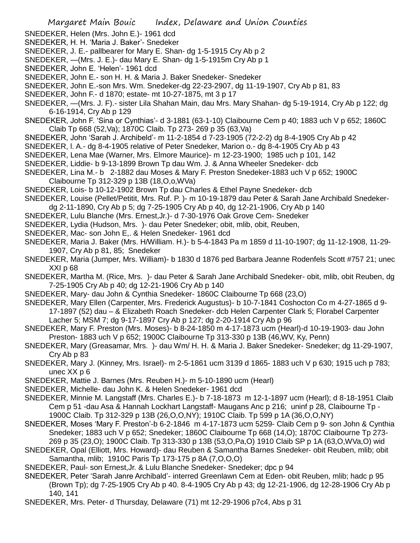- SNEDEKER, Helen (Mrs. John E.)- 1961 dcd
- SNEDEKER, H. H. 'Maria J. Baker'- Snedeker
- SNEDEKER, J. E.- pallbearer for Mary E. Shan- dg 1-5-1915 Cry Ab p 2
- SNEDEKER, —(Mrs. J. E.)- dau Mary E. Shan- dg 1-5-1915m Cry Ab p 1
- SNEDEKER, John E. 'Helen'- 1961 dcd
- SNEDEKER, John E.- son H. H. & Maria J. Baker Snedeker- Snedeker
- SNEDEKER, John E.-son Mrs. Wm. Snedeker-dg 22-23-2907, dg 11-19-1907, Cry Ab p 81, 83
- SNEDEKER, John F.- d 1870; estate- mt 10-27-1875, mt 3 p 17
- SNEDEKER, —(Mrs. J. F).- sister Lila Shahan Main, dau Mrs. Mary Shahan- dg 5-19-1914, Cry Ab p 122; dg 6-16-1914, Cry Ab p 129
- SNEDEKER, John F. 'Sina or Cynthias'- d 3-1881 (63-1-10) Claibourne Cem p 40; 1883 uch V p 652; 1860C Claib Tp 668 (52,Va); 1870C Claib. Tp 273- 269 p 35 (63,Va)
- SNEDEKER, John 'Sarah J. Archibeld'- m 11-2-1854 d 7-23-1905 (72-2-2) dg 8-4-1905 Cry Ab p 42
- SNEDEKER, l. A.- dg 8-4-1905 relative of Peter Snedeker, Marion o.- dg 8-4-1905 Cry Ab p 43
- SNEDEKER, Lena Mae (Warner, Mrs. Elmore Maurice)- m 12-23-1900; 1985 uch p 101, 142
- SNEDEKER, Liddie- b 9-13-1899 Brown Tp dau Wm. J. & Anna Wheeler Snedeker- dcb
- SNEDEKER, Lina M.- b 2-1882 dau Moses & Mary F. Preston Snedeker-1883 uch V p 652; 1900C Claibourne Tp 312-329 p 13B (18,O,o,WVa)
- SNEDEKER, Lois- b 10-12-1902 Brown Tp dau Charles & Ethel Payne Snedeker- dcb
- SNEDEKER, Louise (Pellet/Petitit, Mrs. Ruf. P. )- m 10-19-1879 dau Peter & Sarah Jane Archibald Snedeker-
- dg 2-11-1890, Cry Ab p 5; dg 7-25-1905 Cry Ab p 40, dg 12-21-1906, Cry Ab p 140
- SNEDEKER, Lulu Blanche (Mrs. Ernest,Jr.)- d 7-30-1976 Oak Grove Cem- Snedeker
- SNEDEKER, Lydia (Hudson, Mrs. )- dau Peter Snedeker; obit, mlib, obit, Reuben,
- SNEDEKER, Mac- son John E,. & Helen Snedeker- 1961 dcd
- SNEDEKER, Maria J. Baker (Mrs. H/William. H.)- b 5-4-1843 Pa m 1859 d 11-10-1907; dg 11-12-1908, 11-29- 1907, Cry Ab p 81, 85; Snedeker
- SNEDEKER, Maria (Jumper, Mrs. William)- b 1830 d 1876 ped Barbara Jeanne Rodenfels Scott #757 21; unec XXI p 68
- SNEDEKER, Martha M. (Rice, Mrs. )- dau Peter & Sarah Jane Archibald Snedeker- obit, mlib, obit Reuben, dg 7-25-1905 Cry Ab p 40; dg 12-21-1906 Cry Ab p 140
- SNEDEKER, Mary- dau John & Cynthia Snedeker- 1860C Claibourne Tp 668 (23,O)
- SNEDEKER, Mary Ellen (Carpenter, Mrs. Frederick Augustus)- b 10-7-1841 Coshocton Co m 4-27-1865 d 9-
- 17-1897 (52) dau & Elizabeth Roach Snedeker- dcb Helen Carpenter Clark 5; Florabel Carpenter Lacher 5; MSM 7; dg 9-17-1897 Cry Ab p 127; dg 2-20-1914 Cry Ab p 96
- SNEDEKER, Mary F. Preston (Mrs. Moses)- b 8-24-1850 m 4-17-1873 ucm (Hearl)-d 10-19-1903- dau John Preston- 1883 uch V p 652; 1900C Claibourne Tp 313-330 p 13B (46,WV, Ky, Penn)
- SNEDEKER, Mary (Greasamar, Mrs. )- dau Wm/ H. H. & Maria J. Baker Snedeker- Snedeker; dg 11-29-1907, Cry Ab p 83
- SNEDEKER, Mary J. (Kinney, Mrs. Israel)- m 2-5-1861 ucm 3139 d 1865- 1883 uch V p 630; 1915 uch p 783; unec XX p 6
- SNEDEKER, Mattie J. Barnes (Mrs. Reuben H.)- m 5-10-1890 ucm (Hearl)
- SNEDEKER, Michelle- dau John K. & Helen Snedeker- 1961 dcd
- SNEDEKER, Minnie M. Langstaff (Mrs. Charles E.)- b 7-18-1873 m 12-1-1897 ucm (Hearl); d 8-18-1951 Claib Cem p 51 -dau Asa & Hannah Lockhart Langstaff- Maugans Anc p 216; uninf p 28, Claibourne Tp - 1900C Claib. Tp 312-329 p 13B (26,O,O,NY); 1910C Claib. Tp 599 p 1A (36,O,O,NY)
- SNEDEKER, Moses 'Mary F. Preston'-b 6-2-1846 m 4-17-1873 ucm 5259- Claib Cem p 9- son John & Cynthia Snedeker; 1883 uch V p 652; Snedeker; 1860C Claibourne Tp 668 (14,O); 1870C Claibourne Tp 273- 269 p 35 (23,O); 1900C Claib. Tp 313-330 p 13B (53,O,Pa,O) 1910 Claib SP p 1A (63,O,WVa,O) wid
- SNEDEKER, Opal (Elliott, Mrs. Howard)- dau Reuben & Samantha Barnes Snedeker- obit Reuben, mlib; obit Samantha, mlib; 1910C Paris Tp 173-175 p 8A (7,O,O,O)
- SNEDEKER, Paul- son Ernest,Jr. & Lulu Blanche Snedeker- Snedeker; dpc p 94
- SNEDEKER, Peter 'Sarah Janre Archibald'- interred Greenlawn Cem at Eden- obit Reuben, mlib; hadc p 95 (Brown Tp); dg 7-25-1905 Cry Ab p 40. 8-4-1905 Cry Ab p 43; dg 12-21-1906, dg 12-28-1906 Cry Ab p 140, 141
- SNEDEKER, Mrs. Peter- d Thursday, Delaware (71) mt 12-29-1906 p7c4, Abs p 31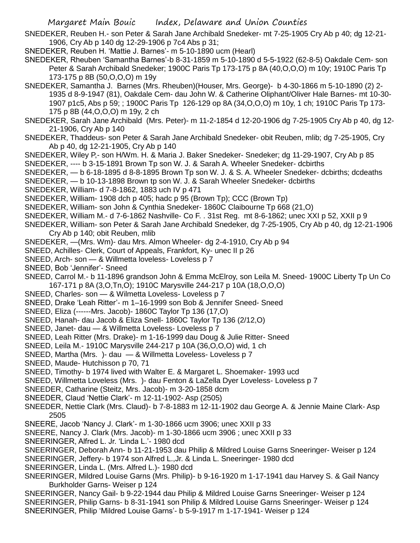- SNEDEKER, Reuben H.- son Peter & Sarah Jane Archibald Snedeker- mt 7-25-1905 Cry Ab p 40; dg 12-21- 1906, Cry Ab p 140 dg 12-29-1906 p 7c4 Abs p 31;
- SNEDEKER, Reuben H. 'Mattie J. Barnes'- m 5-10-1890 ucm (Hearl)
- SNEDEKER, Rheuben 'Samantha Barnes'-b 8-31-1859 m 5-10-1890 d 5-5-1922 (62-8-5) Oakdale Cem- son Peter & Sarah Archibald Snedeker; 1900C Paris Tp 173-175 p 8A (40, O, O, O) m 10y; 1910C Paris Tp 173-175 p 8B (50,O,O,O) m 19y
- SNEDEKER, Samantha J. Barnes (Mrs. Rheuben)(Houser, Mrs. George)- b 4-30-1866 m 5-10-1890 (2) 2- 1935 d 8-9-1947 (81), Oakdale Cem- dau John W. & Catherine Oliphant/Oliver Hale Barnes- mt 10-30- 1907 p1c5, Abs p 59; ; 1900C Paris Tp 126-129 op 8A (34,O,O,O) m 10y, 1 ch; 1910C Paris Tp 173- 175 p 8B (44,O,O,O) m 19y, 2 ch
- SNEDEKER, Sarah Jane Archibald (Mrs. Peter)- m 11-2-1854 d 12-20-1906 dg 7-25-1905 Cry Ab p 40, dg 12- 21-1906, Cry Ab p 140
- SNEDEKER, Thaddeus- son Peter & Sarah Jane Archibald Snedeker- obit Reuben, mlib; dg 7-25-1905, Cry Ab p 40, dg 12-21-1905, Cry Ab p 140
- SNEDEKER, Wiley P,- son H/Wm. H. & Maria J. Baker Snedeker- Snedeker; dg 11-29-1907, Cry Ab p 85
- SNEDEKER, ---- b 3-15-1891 Brown Tp son W. J. & Sarah A. Wheeler Snedeker- dcbirths
- SNEDEKER, b 6-18-1895 d 8-8-1895 Brown Tp son W. J. & S. A. Wheeler Snedeker- dcbirths; dcdeaths
- SNEDEKER, b 10-13-1898 Brown tp son W. J. & Sarah Wheeler Snedeker- dcbirths
- SNEDEKER, William- d 7-8-1862, 1883 uch IV p 471
- SNEDEKER, William- 1908 dch p 405; hadc p 95 (Brown Tp); CCC (Brown Tp)
- SNEDEKER, William- son John & Cynthia Snedeker- 1860C Claibourne Tp 668 (21,O)
- SNEDEKER, William M.- d 7-6-1862 Nashville- Co F. . 31st Reg. mt 8-6-1862; unec XXI p 52, XXII p 9
- SNEDEKER, William- son Peter & Sarah Jane Archibald Snedeker, dg 7-25-1905, Cry Ab p 40, dg 12-21-1906 Cry Ab p 140; obit Reuben, mlib
- SNEDEKER, —(Mrs. Wm)- dau Mrs. Almon Wheeler- dg 2-4-1910, Cry Ab p 94
- SNEED, Achilles- Clerk, Court of Appeals, Frankfort, Ky- unec II p 26
- SNEED, Arch- son & Willmetta loveless- Loveless p 7
- SNEED, Bob 'Jennifer'- Sneed
- SNEED, Carrol M.- b 11-1896 grandson John & Emma McElroy, son Leila M. Sneed- 1900C Liberty Tp Un Co 167-171 p 8A (3,O,Tn,O); 1910C Marysville 244-217 p 10A (18,O,O,O)
- SNEED, Charles- son & Wilmetta Loveless- Loveless p 7
- SNEED, Drake 'Leah Ritter'- m 1–16-1999 son Bob & Jennifer Sneed- Sneed
- SNEED, Eliza (------Mrs. Jacob)- 1860C Taylor Tp 136 (17,O)
- SNEED, Hanah- dau Jacob & Eliza Snell- 1860C Taylor Tp 136 (2/12,O)
- SNEED, Janet- dau & Willmetta Loveless- Loveless p 7
- SNEED, Leah Ritter (Mrs. Drake)- m 1-16-1999 dau Doug & Julie Ritter- Sneed
- SNEED, Leila M.- 1910C Marysville 244-217 p 10A (36,O,O,O) wid, 1 ch
- SNEED, Martha (Mrs. )- dau & Willmetta Loveless- Loveless p 7
- SNEED, Maude- Hutchisson p 70, 71
- SNEED, Timothy- b 1974 lived with Walter E. & Margaret L. Shoemaker- 1993 ucd
- SNEED, Willmetta Loveless (Mrs. )- dau Fenton & LaZella Dyer Loveless- Loveless p 7
- SNEEDER, Catharine (Steitz, Mrs. Jacob)- m 3-20-1858 dcm
- SNEEDER, Claud 'Nettie Clark'- m 12-11-1902- Asp (2505)
- SNEEDER, Nettie Clark (Mrs. Claud)- b 7-8-1883 m 12-11-1902 dau George A. & Jennie Maine Clark- Asp 2505
- SNEERE, Jacob 'Nancy J. Clark'- m 1-30-1866 ucm 3906; unec XXII p 33
- SNEERE, Nancy J. Clark (Mrs. Jacob)- m 1-30-1866 ucm 3906 ; unec XXII p 33
- SNEERINGER, Alfred L. Jr. 'Linda L.'- 1980 dcd
- SNEERINGER, Deborah Ann- b 11-21-1953 dau Philip & Mildred Louise Garns Sneeringer- Weiser p 124
- SNEERINGER, Jeffery- b 1974 son Alfred L.,Jr. & Linda L. Sneeringer- 1980 dcd
- SNEERINGER, Linda L. (Mrs. Alfred L.)- 1980 dcd
- SNEERINGER, Mildred Louise Garns (Mrs. Philip)- b 9-16-1920 m 1-17-1941 dau Harvey S. & Gail Nancy Burkholder Garns- Weiser p 124
- SNEERINGER, Nancy Gail- b 9-22-1944 dau Philip & Mildred Louise Garns Sneeringer- Weiser p 124 SNEERINGER, Philip Garns- b 8-31-1941 son Philip & Mildred Louise Garns Sneeringer- Weiser p 124 SNEERINGER, Philip 'Mildred Louise Garns'- b 5-9-1917 m 1-17-1941- Weiser p 124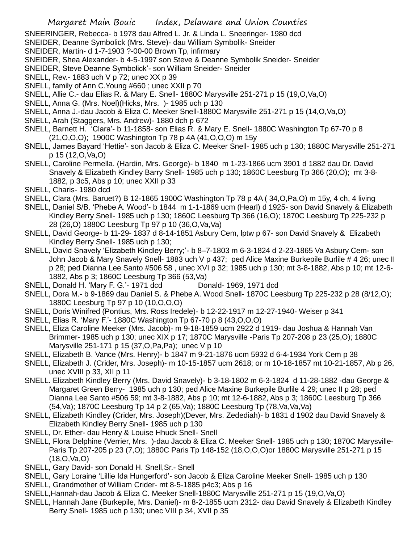- SNEERINGER, Rebecca- b 1978 dau Alfred L. Jr. & Linda L. Sneeringer- 1980 dcd
- SNEIDER, Deanne Symbolick (Mrs. Steve)- dau William Symbolik- Sneider
- SNEIDER, Martin- d 1-7-1903 ?-00-00 Brown Tp, infirmary
- SNEIDER, Shea Alexander- b 4-5-1997 son Steve & Deanne Symbolik Sneider- Sneider
- SNEIDER, Steve Deanne Symbolick'- son William Sneider- Sneider
- SNELL, Rev.- 1883 uch V p 72; unec XX p 39
- SNELL, family of Ann C.Young #660 ; unec XXII p 70
- SNELL, Allie C.- dau Elias R. & Mary E. Snell- 1880C Marysville 251-271 p 15 (19,O,Va,O)
- SNELL, Anna G. (Mrs. Noel)(Hicks, Mrs. )- 1985 uch p 130
- SNELL, Anna J.-dau Jacob & Eliza C. Meeker Snell-1880C Marysville 251-271 p 15 (14,O,Va,O)
- SNELL, Arah (Staggers, Mrs. Andrew)- 1880 dch p 672
- SNELL, Barnett H. 'Clara'- b 11-1858- son Elias R. & Mary E. Snell- 1880C Washington Tp 67-70 p 8 (21,O,O,O); 1900C Washington Tp 78 p 4A (41,O,O,O) m 15y
- SNELL, James Bayard 'Hettie'- son Jacob & Eliza C. Meeker Snell- 1985 uch p 130; 1880C Marysville 251-271 p 15 (12,O,Va,O)
- SNELL, Caroline Permella. (Hardin, Mrs. George)- b 1840 m 1-23-1866 ucm 3901 d 1882 dau Dr. David Snavely & Elizabeth Kindley Barry Snell- 1985 uch p 130; 1860C Leesburg Tp 366 (20,O); mt 3-8- 1882, p 3c5, Abs p 10; unec XXII p 33
- SNELL, Charis- 1980 dcd
- SNELL, Clara (Mrs. Baruet?) B 12-1865 1900C Washington Tp 78 p 4A ( 34,O,Pa,O) m 15y, 4 ch, 4 living
- SNELL, Daniel S/B. 'Phebe A. Wood'- b 1844 m 1-1-1869 ucm (Hearl) d 1925- son David Snavely & Elizabeth Kindley Berry Snell- 1985 uch p 130; 1860C Leesburg Tp 366 (16,O); 1870C Leesburg Tp 225-232 p 28 (26,O) 1880C Leesburg Tp 97 p 10 (36,O,Va,Va)
- SNELL, David George- b 11-29- 1837 d 8-14-1851 Asbury Cem, lptw p 67- son David Snavely & Elizabeth Kindley Berry Snell- 1985 uch p 130;
- SNELL, David Snavely 'Elizabeth Kindley Berry;'- b 8–7-1803 m 6-3-1824 d 2-23-1865 Va Asbury Cem- son John Jacob & Mary Snavely Snell- 1883 uch V p 437; ped Alice Maxine Burkepile Burlile # 4 26; unec II p 28; ped Dianna Lee Santo #506 58 , unec XVI p 32; 1985 uch p 130; mt 3-8-1882, Abs p 10; mt 12-6- 1882, Abs p 3; 1860C Leesburg Tp 366 (53,Va)
- SNELL, Donald H. 'Mary F. G.'- 1971 dcd Donald- 1969, 1971 dcd
- SNELL, Dora M.- b 9-1869 dau Daniel S. & Phebe A. Wood Snell- 1870C Leesburg Tp 225-232 p 28 (8/12,O); 1880C Leesburg Tp 97 p 10 (10,O,O,O)
- SNELL, Doris Winifred (Pontius, Mrs. Ross Iredele)- b 12-22-1917 m 12-27-1940- Weiser p 341
- SNELL, Elias R. 'Mary F.'- 1880C Washington Tp 67-70 p 8 (43,O,O,O)
- SNELL, Eliza Caroline Meeker (Mrs. Jacob)- m 9-18-1859 ucm 2922 d 1919- dau Joshua & Hannah Van Brimmer- 1985 uch p 130; unec XIX p 17; 1870C Marysville -Paris Tp 207-208 p 23 (25,O); 1880C Marysville 251-171 p 15 (37,O,Pa,Pa); unec V p 10
- SNELL, Elizabeth B. Vance (Mrs. Henry)- b 1847 m 9-21-1876 ucm 5932 d 6-4-1934 York Cem p 38
- SNELL, Elizabeth J. (Crider, Mrs. Joseph)- m 10-15-1857 ucm 2618; or m 10-18-1857 mt 10-21-1857, Ab p 26, unec XVIII p 33, XII p 11
- SNELL. Elizabeth Kindley Berry (Mrs. David Snavely)- b 3-18-1802 m 6-3-1824 d 11-28-1882 -dau George & Margaret Green Berry- 1985 uch p 130; ped Alice Maxine Burkepile Burlile 4 29; unec II p 28; ped Dianna Lee Santo #506 59; mt 3-8-1882, Abs p 10; mt 12-6-1882, Abs p 3; 1860C Leesburg Tp 366 (54,Va); 1870C Leesburg Tp 14 p 2 (65,Va); 1880C Leesburg Tp (78,Va,Va,Va)
- SNELL, Elizabeth Kindley (Crider, Mrs. Joseph)(Dever, Mrs. Zedediah)- b 1831 d 1902 dau David Snavely & Elizabeth Kindley Berry Snell- 1985 uch p 130
- SNELL, Dr. Ether- dau Henry & Louise Hhuck Snell- Snell
- SNELL, Flora Delphine (Verrier, Mrs. )-dau Jacob & Eliza C. Meeker Snell- 1985 uch p 130; 1870C Marysville-Paris Tp 207-205 p 23 (7,O); 1880C Paris Tp 148-152 (18,O,O,O)or 1880C Marysville 251-271 p 15 (18,O,Va,O)
- SNELL, Gary David- son Donald H. Snell,Sr.- Snell
- SNELL, Gary Loraine 'Lillie Ida Hungerford'- son Jacob & Eliza Caroline Meeker Snell- 1985 uch p 130 SNELL, Grandmother of William Crider- mt 8-5-1885 p4c3; Abs p 16
- SNELL,Hannah-dau Jacob & Eliza C. Meeker Snell-1880C Marysville 251-271 p 15 (19,O,Va,O)
- SNELL, Hannah Jane (Burkepile, Mrs. Daniel)- m 8-2-1855 ucm 2312- dau David Snavely & Elizabeth Kindley Berry Snell- 1985 uch p 130; unec VIII p 34, XVII p 35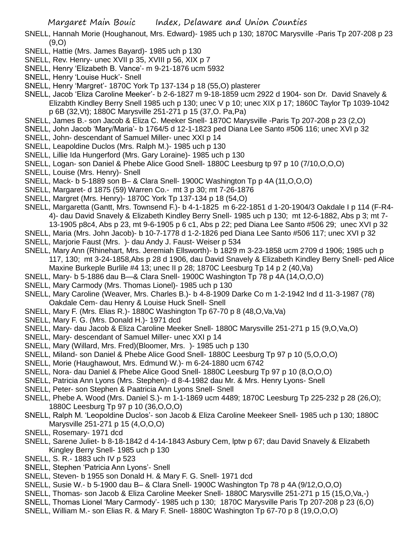SNELL, Hannah Morie (Houghanout, Mrs. Edward)- 1985 uch p 130; 1870C Marysville -Paris Tp 207-208 p 23 (9,O)

- SNELL, Hattie (Mrs. James Bayard)- 1985 uch p 130
- SNELL, Rev. Henry- unec XVII p 35, XVIII p 56, XIX p 7
- SNELL, Henry 'Elizabeth B. Vance'- m 9-21-1876 ucm 5932
- SNELL, Henry 'Louise Huck'- Snell
- SNELL, Henry 'Margret'- 1870C York Tp 137-134 p 18 (55,O) plasterer
- SNELL, Jacob 'Eliza Caroline Meeker'- b 2-6-1827 m 9-18-1859 ucm 2922 d 1904- son Dr. David Snavely & Elizabth Kindley Berry Snell 1985 uch p 130; unec V p 10; unec XIX p 17; 1860C Taylor Tp 1039-1042 p 6B (32,Vt); 1880C Marysville 251-271 p 15 (37,O. Pa,Pa)
- SNELL, James B.- son Jacob & Eliza C. Meeker Snell- 1870C Marysville -Paris Tp 207-208 p 23 (2,O)
- SNELL, John Jacob 'Mary/Maria'- b 1764/5 d 12-1-1823 ped Diana Lee Santo #506 116; unec XVI p 32
- SNELL, John- descendant of Samuel Miller- unec XXI p 14
- SNELL, Leapoldine Duclos (Mrs. Ralph M.)- 1985 uch p 130
- SNELL, Lillie Ida Hungerford (Mrs. Gary Loraine)- 1985 uch p 130
- SNELL, Logan- son Daniel & Phebe Alice Good Snell- 1880C Leesburg tp 97 p 10 (7/10,O,O,O)
- SNELL, Louise (Mrs. Henry)- Snell
- SNELL, Mack- b 5-1889 son B– & Clara Snell- 1900C Washington Tp p 4A (11,O,O,O)
- SNELL, Margaret- d 1875 (59) Warren Co.- mt 3 p 30; mt 7-26-1876
- SNELL, Margret (Mrs. Henry)- 1870C York Tp 137-134 p 18 (54,O)
- SNELL, Margaretta (Gantt, Mrs. Townsend F.)- b 4-1-1825 m 6-22-1851 d 1-20-1904/3 Oakdale I p 114 (F-R4- 4)- dau David Snavely & Elizabeth Kindley Berry Snell- 1985 uch p 130; mt 12-6-1882, Abs p 3; mt 7- 13-1905 p8c4, Abs p 23, mt 9-6-1905 p 6 c1, Abs p 22; ped Diana Lee Santo #506 29; unec XVI p 32
- SNELL, Maria (Mrs. John Jacob)- b 10-7-1778 d 1-2-1826 ped Diana Lee Santo #506 117; unec XVI p 32
- SNELL, Marjorie Faust (Mrs. )- dau Andy J. Faust- Weiser p 534
- SNELL, Mary Ann (Rhinehart, Mrs. Jeremiah Ellsworth)- b 1829 m 3-23-1858 ucm 2709 d 1906; 1985 uch p 117, 130; mt 3-24-1858,Abs p 28 d 1906, dau David Snavely & Elizabeth Kindley Berry Snell- ped Alice Maxine Burkeple Burlile #4 13; unec II p 28; 1870C Leesburg Tp 14 p 2 (40,Va)
- SNELL, Mary- b 5-1886 dau B—& Clara Snell- 1900C Washington Tp 78 p 4A (14,O,O,O)
- SNELL, Mary Carmody (Mrs. Thomas Lionel)- 1985 uch p 130
- SNELL, Mary Caroline (Weaver, Mrs. Charles B.)- b 4-8-1909 Darke Co m 1-2-1942 Ind d 11-3-1987 (78) Oakdale Cem- dau Henry & Louise Huck Snell- Snell
- SNELL, Mary F. (Mrs. Elias R.)- 1880C Washington Tp 67-70 p 8 (48,O,Va,Va)
- SNELL, Mary F. G. (Mrs. Donald H.)- 1971 dcd
- SNELL, Mary- dau Jacob & Eliza Caroline Meeker Snell- 1880C Marysville 251-271 p 15 (9,O,Va,O)
- SNELL, Mary- descendant of Samuel Miller- unec XXI p 14
- SNELL, Mary (Willard, Mrs. Fred)(Bloomer, Mrs. )- 1985 uch p 130
- SNELL, Miland- son Daniel & Phebe Alice Good Snell- 1880C Leesburg Tp 97 p 10 (5,O,O,O)
- SNELL, Morie (Haughawout, Mrs. Edmund W.)- m 6-24-1880 ucm 6742
- SNELL, Nora- dau Daniel & Phebe Alice Good Snell- 1880C Leesburg Tp 97 p 10 (8,O,O,O)
- SNELL, Patricia Ann Lyons (Mrs. Stephen)- d 8-4-1982 dau Mr. & Mrs. Henry Lyons- Snell
- SNELL, Peter- son Stephen & Paatricia Ann Lyons Snell- Snell
- SNELL, Phebe A. Wood (Mrs. Daniel S.)- m 1-1-1869 ucm 4489; 1870C Leesburg Tp 225-232 p 28 (26,O); 1880C Leesburg Tp 97 p 10 (36,O,O,O)
- SNELL, Ralph M. 'Leopoldine Duclos'- son Jacob & Eliza Caroline Meekeer Snell- 1985 uch p 130; 1880C Marysville 251-271 p 15 (4,O,O,O)
- SNELL, Rosemary- 1971 dcd
- SNELL, Sarene Juliet- b 8-18-1842 d 4-14-1843 Asbury Cem, lptw p 67; dau David Snavely & Elizabeth Kingley Berry Snell- 1985 uch p 130
- SNELL, S. R.- 1883 uch IV p 523
- SNELL, Stephen 'Patricia Ann Lyons'- Snell
- SNELL, Steven- b 1955 son Donald H. & Mary F. G. Snell- 1971 dcd
- SNELL, Susie W.- b 5-1900 dau B– & Clara Snell- 1900C Washington Tp 78 p 4A (9/12,O,O,O)
- SNELL, Thomas- son Jacob & Eliza Caroline Meeker Snell- 1880C Marysville 251-271 p 15 (15,O,Va,-)
- SNELL, Thomas Lionel 'Mary Carmody'- 1985 uch p 130; 1870C Marysville Paris Tp 207-208 p 23 (6,O)
- SNELL, William M.- son Elias R. & Mary F. Snell- 1880C Washington Tp 67-70 p 8 (19,O,O,O)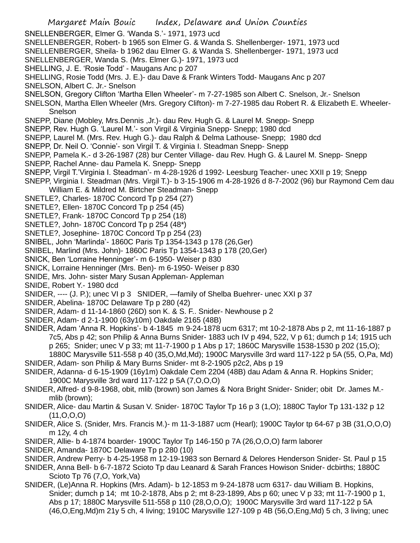- Margaret Main Bouic Index, Delaware and Union Counties SNELLENBERGER, Elmer G. 'Wanda S.'- 1971, 1973 ucd SNELLENBERGER, Robert- b 1965 son Elmer G. & Wanda S. Shellenberger- 1971, 1973 ucd SNELLENBERGER, Sheila- b 1962 dau Elmer G. & Wanda S. Shellenberger- 1971, 1973 ucd SNELLENBERGER, Wanda S. (Mrs. Elmer G.)- 1971, 1973 ucd SHELLING, J. E. 'Rosie Todd' - Maugans Anc p 207 SHELLING, Rosie Todd (Mrs. J. E.)- dau Dave & Frank Winters Todd- Maugans Anc p 207 SNELSON, Albert C. Jr.- Snelson SNELSON, Gregory Clifton 'Martha Ellen Wheeler'- m 7-27-1985 son Albert C. Snelson, Jr.- Snelson SNELSON, Martha Ellen Wheeler (Mrs. Gregory Clifton)- m 7-27-1985 dau Robert R. & Elizabeth E. Wheeler-Snelson SNEPP, Diane (Mobley, Mrs.Dennis ,Jr.)- dau Rev. Hugh G. & Laurel M. Snepp- Snepp SNEPP, Rev. Hugh G. 'Laurel M.'- son Virgil & Virginia Snepp- Snepp; 1980 dcd SNEPP, Laurel M. (Mrs. Rev. Hugh G.)- dau Ralph & Delma Lathouse- Snepp; 1980 dcd SNEPP, Dr. Neil O. 'Connie'- son Virgil T. & Virginia I. Steadman Snepp- Snepp SNEPP, Pamela K.- d 3-26-1987 (28) bur Center Village- dau Rev. Hugh G. & Laurel M. Snepp- Snepp SNEPP, Rachel Anne- dau Pamela K. Snepp- Snepp SNEPP, Virgil T.'Virginia I. Steadman'- m 4-28-1926 d 1992- Leesburg Teacher- unec XXII p 19; Snepp SNEPP, Virginia I. Steadman (Mrs. Virgil T.)- b 3-15-1906 m 4-28-1926 d 8-7-2002 (96) bur Raymond Cem dau William E. & Mildred M. Birtcher Steadman- Snepp SNETLE?, Charles- 1870C Concord Tp p 254 (27) SNETLE?, Ellen- 1870C Concord Tp p 254 (45) SNETLE?, Frank- 1870C Concord Tp p 254 (18) SNETLE?, John- 1870C Concord Tp p 254 (48\*) SNETLE?, Josephine- 1870C Concord Tp p 254 (23) SNIBEL, John 'Marlinda'- 1860C Paris Tp 1354-1343 p 178 (26,Ger) SNIBEL, Marlind (Mrs. John)- 1860C Paris Tp 1354-1343 p 178 (20,Ger) SNICK, Ben 'Lorraine Henninger'- m 6-1950- Weiser p 830 SNICK, Lorraine Henninger (Mrs. Ben)- m 6-1950- Weiser p 830 SNIDE, Mrs. John- sister Mary Susan Appleman- Appleman SNIDE, Robert Y.- 1980 dcd SNIDER, ---- (J. P.); unec VI p 3 SNIDER, —family of Shelba Buehrer- unec XXI p 37 SNIDER, Abelina- 1870C Delaware Tp p 280 (42) SNIDER, Adam- d 11-14-1860 (26D) son K. & S. F.. Snider- Newhouse p 2 SNIDER, Adam- d 2-1-1900 (63y10m) Oakdale 2165 (48B) SNIDER, Adam 'Anna R. Hopkins'- b 4-1845 m 9-24-1878 ucm 6317; mt 10-2-1878 Abs p 2, mt 11-16-1887 p 7c5, Abs p 42; son Philip & Anna Burns Snider- 1883 uch IV p 494, 522, V p 61; dumch p 14; 1915 uch p 265; Snider; unec V p 33; mt 11-7-1900 p 1 Abs p 17; 1860C Marysville 1538-1530 p 202 (15,O); 1880C Marysville 511-558 p 40 (35,O,Md,Md); 1900C Marysville 3rd ward 117-122 p 5A (55, O,Pa, Md) SNIDER, Adam- son Philip & Mary Burns Snider- mt 8-2-1905 p2c2, Abs p 19 SNIDER, Adanna- d 6-15-1909 (16y1m) Oakdale Cem 2204 (48B) dau Adam & Anna R. Hopkins Snider; 1900C Marysville 3rd ward 117-122 p 5A (7,O,O,O) SNIDER, Alfred- d 9-8-1968, obit, mlib (brown) son James & Nora Bright Snider- Snider; obit Dr. James M. mlib (brown); SNIDER, Alice- dau Martin & Susan V. Snider- 1870C Taylor Tp 16 p 3 (1,O); 1880C Taylor Tp 131-132 p 12 (11,O,O,O) SNIDER, Alice S. (Snider, Mrs. Francis M.)- m 11-3-1887 ucm (Hearl); 1900C Taylor tp 64-67 p 3B (31,O,O,O) m 12y, 4 ch SNIDER, Allie- b 4-1874 boarder- 1900C Taylor Tp 146-150 p 7A (26,O,O,O) farm laborer SNIDER, Amanda- 1870C Delaware Tp p 280 (10) SNIDER, Andrew Perry- b 4-25-1958 m 12-19-1983 son Bernard & Delores Henderson Snider- St. Paul p 15 SNIDER, Anna Bell- b 6-7-1872 Scioto Tp dau Leanard & Sarah Frances Howison Snider- dcbirths; 1880C Scioto Tp 76 (7,O, York,Va)
- SNIDER, (Le)Anna R. Hopkins (Mrs. Adam)- b 12-1853 m 9-24-1878 ucm 6317- dau William B. Hopkins, Snider; dumch p 14; mt 10-2-1878, Abs p 2; mt 8-23-1899, Abs p 60; unec V p 33; mt 11-7-1900 p 1, Abs p 17; 1880C Marysville 511-558 p 110 (28,O,O,O); 1900C Marysville 3rd ward 117-122 p 5A (46,O,Eng,Md)m 21y 5 ch, 4 living; 1910C Marysville 127-109 p 4B (56,O,Eng,Md) 5 ch, 3 living; unec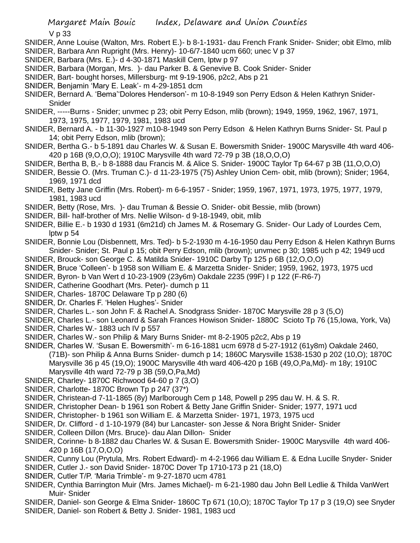V p 33

- SNIDER, Anne Louise (Walton, Mrs. Robert E.)- b 8-1-1931- dau French Frank Snider- Snider; obit Elmo, mlib SNIDER, Barbara Ann Rupright (Mrs. Henry)- 10-6/7-1840 ucm 660; unec V p 37
- SNIDER, Barbara (Mrs. E.)- d 4-30-1871 Maskill Cem, lptw p 97
- SNIDER, Barbara (Morgan, Mrs. )- dau Parker B. & Genevive B. Cook Snider- Snider
- SNIDER, Bart- bought horses, Millersburg- mt 9-19-1906, p2c2, Abs p 21
- SNIDER, Benjamin 'Mary E. Leak'- m 4-29-1851 dcm
- SNIDER, Bernard A. 'Bema''Dolores Henderson'- m 10-8-1949 son Perry Edson & Helen Kathryn Snider-Snider
- SNIDER, -----Burns Snider; unvmec p 23; obit Perry Edson, mlib (brown); 1949, 1959, 1962, 1967, 1971, 1973, 1975, 1977, 1979, 1981, 1983 ucd
- SNIDER, Bernard A. b 11-30-1927 m10-8-1949 son Perry Edson & Helen Kathryn Burns Snider- St. Paul p 14; obit Perry Edson, mlib (brown);
- SNIDER, Bertha G.- b 5-1891 dau Charles W. & Susan E. Bowersmith Snider- 1900C Marysville 4th ward 406- 420 p 16B (9,O,O,O); 1910C Marysville 4th ward 72-79 p 3B (18,O,O,O)
- SNIDER, Bertha B, B,- b 8-1888 dau Francis M. & Alice S. Snider- 1900C Taylor Tp 64-67 p 3B (11,O,O,O)
- SNIDER, Bessie O. (Mrs. Truman C.)- d 11-23-1975 (75) Ashley Union Cem- obit, mlib (brown); Snider; 1964, 1969, 1971 dcd
- SNIDER, Betty Jane Griffin (Mrs. Robert)- m 6-6-1957 Snider; 1959, 1967, 1971, 1973, 1975, 1977, 1979, 1981, 1983 ucd
- SNIDER, Betty (Rose, Mrs. )- dau Truman & Bessie O. Snider- obit Bessie, mlib (brown)
- SNIDER, Bill- half-brother of Mrs. Nellie Wilson- d 9-18-1949, obit, mlib
- SNIDER, Billie E.- b 1930 d 1931 (6m21d) ch James M. & Rosemary G. Snider- Our Lady of Lourdes Cem, lptw p 54
- SNIDER, Bonnie Lou (Disbennett, Mrs. Ted)- b 5-2-1930 m 4-16-1950 dau Perry Edson & Helen Kathryn Burns Snider- Snider; St. Paul p 15; obit Perry Edson, mlib (brown); unvmec p 30; 1985 uch p 42; 1949 ucd
- SNIDER, Brouck- son George C. & Matilda Snider- 1910C Darby Tp 125 p 6B (12,O,O,O)
- SNIDER, Bruce 'Colleen'- b 1958 son William E. & Marzetta Snider- Snider; 1959, 1962, 1973, 1975 ucd
- SNIDER, Byron- b Van Wert d 10-23-1909 (23y6m) Oakdale 2235 (99F) I p 122 (F-R6-7)
- SNIDER, Catherine Goodhart (Mrs. Peter)- dumch p 11
- SNIDER, Charles- 1870C Delaware Tp p 280 (6)
- SNIDER, Dr. Charles F. 'Helen Hughes'- Snider
- SNIDER, Charles L.- son John F. & Rachel A. Snodgrass Snider- 1870C Marysville 28 p 3 (5,O)
- SNIDER, Charles L.- son Leonard & Sarah Frances Howison Snider- 1880C Scioto Tp 76 (15,Iowa, York, Va)
- SNIDER, Charles W.- 1883 uch IV p 557
- SNIDER, Charles W.- son Philip & Mary Burns Snider- mt 8-2-1905 p2c2, Abs p 19
- SNIDER, Charles W. 'Susan E. Bowersmith'- m 6-16-1881 ucm 6978 d 5-27-1912 (61y8m) Oakdale 2460, (71B)- son Philip & Anna Burns Snider- dumch p 14; 1860C Marysville 1538-1530 p 202 (10,O); 1870C Marysville 36 p 45 (19,O); 1900C Marysville 4th ward 406-420 p 16B (49,O,Pa,Md)- m 18y; 1910C Marysville 4th ward 72-79 p 3B (59,O,Pa,Md)
- SNIDER, Charley- 1870C Richwood 64-60 p 7 (3,O)
- SNIDER, Charlotte- 1870C Brown Tp p 247 (37\*)
- SNIDER, Christean-d 7-11-1865 (8y) Marlborough Cem p 148, Powell p 295 dau W. H. & S. R.
- SNIDER, Christopher Dean- b 1961 son Robert & Betty Jane Griffin Snider- Snider; 1977, 1971 ucd
- SNIDER, Christopher- b 1961 son William E. & Marzetta Snider- 1971, 1973, 1975 ucd
- SNIDER, Dr. Clifford d 1-10-1979 (84) bur Lancaster- son Jesse & Nora Bright Snider- Snider
- SNIDER, Colleen Dillon (Mrs. Bruce)- dau Alan Dillon- Snider
- SNIDER, Corinne- b 8-1882 dau Charles W. & Susan E. Bowersmith Snider- 1900C Marysville 4th ward 406- 420 p 16B (17,O,O,O)
- SNIDER, Cunny Lou (Prytula, Mrs. Robert Edward)- m 4-2-1966 dau William E. & Edna Lucille Snyder- Snider
- SNIDER, Cutler J.- son David Snider- 1870C Dover Tp 1710-173 p 21 (18,O)
- SNIDER, Cutler T/P. 'Maria Trimble'- m 9-27-1870 ucm 4781
- SNIDER, Cynthia Barrington Muir (Mrs. James Michael)- m 6-21-1980 dau John Bell Ledlie & Thilda VanWert Muir- Snider
- SNIDER, Daniel- son George & Elma Snider- 1860C Tp 671 (10,O); 1870C Taylor Tp 17 p 3 (19,O) see Snyder
- SNIDER, Daniel- son Robert & Betty J. Snider- 1981, 1983 ucd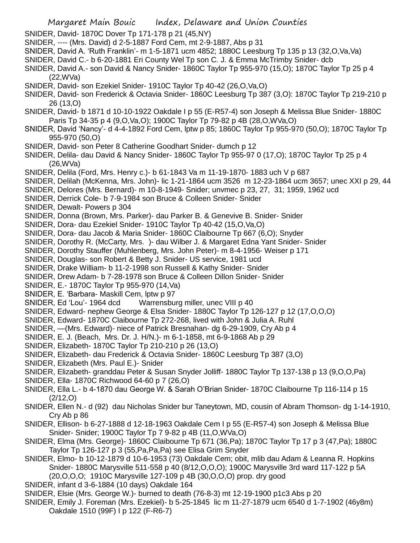- SNIDER, David- 1870C Dover Tp 171-178 p 21 (45,NY)
- SNIDER, ---- (Mrs. David) d 2-5-1887 Ford Cem, mt 2-9-1887, Abs p 31
- SNIDER, David A. 'Ruth Franklin'- m 1-5-1871 ucm 4852; 1880C Leesburg Tp 135 p 13 (32,O,Va,Va)
- SNIDER, David C.- b 6-20-1881 Eri County Wel Tp son C. J. & Emma McTrimby Snider- dcb
- SNIDER, David A.- son David & Nancy Snider- 1860C Taylor Tp 955-970 (15,O); 1870C Taylor Tp 25 p 4 (22,WVa)
- SNIDER, David- son Ezekiel Snider- 1910C Taylor Tp 40-42 (26,O,Va,O)
- SNIDER, David- son Frederick & Octavia Snider- 1860C Leesburg Tp 387 (3,O): 1870C Taylor Tp 219-210 p 26 (13,O)
- SNIDER, David- b 1871 d 10-10-1922 Oakdale I p 55 (E-R57-4) son Joseph & Melissa Blue Snider- 1880C Paris Tp 34-35 p 4 (9,O,Va,O); 1900C Taylor Tp 79-82 p 4B (28,O,WVa,O)
- SNIDER, David 'Nancy'- d 4-4-1892 Ford Cem, lptw p 85; 1860C Taylor Tp 955-970 (50,O); 1870C Taylor Tp 955-970 (50,O)
- SNIDER, David- son Peter 8 Catherine Goodhart Snider- dumch p 12
- SNIDER, Delila- dau David & Nancy Snider- 1860C Taylor Tp 955-97 0 (17,O); 1870C Taylor Tp 25 p 4 (26,WVa)
- SNIDER, Delila (Ford, Mrs. Henry c.)- b 61-1843 Va m 11-19-1870- 1883 uch V p 687
- SNIDER, Delilah (McKenna, Mrs. John)- lic 1-21-1864 ucm 3526 m 12-23-1864 ucm 3657; unec XXI p 29, 44
- SNIDER, Delores (Mrs. Bernard)- m 10-8-1949- Snider; unvmec p 23, 27, 31; 1959, 1962 ucd
- SNIDER, Derrick Cole- b 7-9-1984 son Bruce & Colleen Snider- Snider
- SNIDER, Dewalt- Powers p 304
- SNIDER, Donna (Brown, Mrs. Parker)- dau Parker B. & Genevive B. Snider- Snider
- SNIDER, Dora- dau Ezekiel Snider- 1910C Taylor Tp 40-42 (15,O,Va,O)
- SNIDER, Dora- dau Jacob & Maria Snider- 1860C Claibourne Tp 667 (6,O); Snyder
- SNIDER, Dorothy R. (McCarty, Mrs. )- dau Wilber J. & Margaret Edna Yant Snider- Snider
- SNIDER, Dorothy Stauffer (Muhlenberg, Mrs. John Peter)- m 8-4-1956- Weiser p 171
- SNIDER, Douglas- son Robert & Betty J. Snider- US service, 1981 ucd
- SNIDER, Drake William- b 11-2-1998 son Russell & Kathy Snider- Snider
- SNIDER, Drew Adam- b 7-28-1978 son Bruce & Colleen Dillon Snider- Snider
- SNIDER, E.- 1870C Taylor Tp 955-970 (14,Va)
- SNIDER, E. 'Barbara- Maskill Cem, lptw p 97
- SNIDER, Ed 'Lou'- 1964 dcd Warrensburg miller, unec VIII p 40
- SNIDER, Edward- nephew George & Elsa Snider- 1880C Taylor Tp 126-127 p 12 (17,O,O,O)
- SNIDER, Edward- 1870C Claibourne Tp 272-268, lived with John & Julia A. Ruhl
- SNIDER, —(Mrs. Edward)- niece of Patrick Bresnahan- dg 6-29-1909, Cry Ab p 4
- SNIDER, E. J. (Beach, Mrs. Dr. J. H/N.)- m 6-1-1858, mt 6-9-1868 Ab p 29
- SNIDER, Elizabeth- 1870C Taylor Tp 210-210 p 26 (13,O)
- SNIDER, Elizabeth- dau Frederick & Octavia Snider- 1860C Leesburg Tp 387 (3,O)
- SNIDER, Elizabeth (Mrs. Paul E.)- Snider
- SNIDER, Elizabeth- granddau Peter & Susan Snyder Jolliff- 1880C Taylor Tp 137-138 p 13 (9,O,O,Pa)
- SNIDER, Ella- 1870C Richwood 64-60 p 7 (26,O)
- SNIDER, Ella L.- b 4-1870 dau George W. & Sarah O'Brian Snider- 1870C Claibourne Tp 116-114 p 15  $(2/12,0)$
- SNIDER, Ellen N.- d (92) dau Nicholas Snider bur Taneytown, MD, cousin of Abram Thomson- dg 1-14-1910, Cry Ab p 86
- SNIDER, Ellison- b 6-27-1888 d 12-18-1963 Oakdale Cem I p 55 (E-R57-4) son Joseph & Melissa Blue Snider- Snider; 1900C Taylor Tp 7 9-82 p 4B (11,O,WVa,O)
- SNIDER, Elma (Mrs. George)- 1860C Claibourne Tp 671 (36,Pa); 1870C Taylor Tp 17 p 3 (47,Pa); 1880C Taylor Tp 126-127 p 3 (55,Pa,Pa,Pa) see Elisa Grim Snyder
- SNIDER, Elmo- b 10-12-1879 d 10-6-1953 (73) Oakdale Cem; obit, mlib dau Adam & Leanna R. Hopkins Snider- 1880C Marysville 511-558 p 40 (8/12,O,O,O); 1900C Marysville 3rd ward 117-122 p 5A (20,O,O,O; 1910C Marysville 127-109 p 4B (30,O,O,O) prop. dry good
- SNIDER, infant d 3-6-1884 (10 days) Oakdale 164
- SNIDER, Elsie (Mrs. George W.)- burned to death (76-8-3) mt 12-19-1900 p1c3 Abs p 20
- SNIDER, Emily J. Foreman (Mrs. Ezekiel)- b 5-25-1845 lic m 11-27-1879 ucm 6540 d 1-7-1902 (46y8m) Oakdale 1510 (99F) I p 122 (F-R6-7)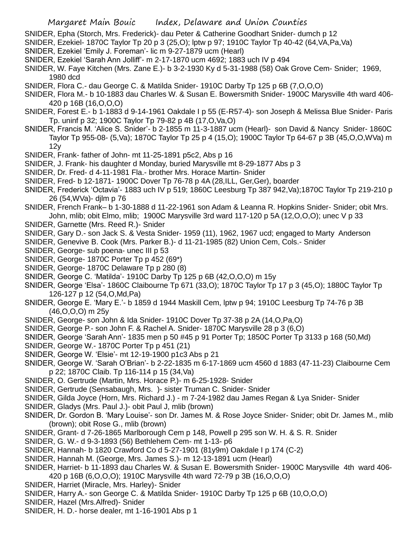- SNIDER, Epha (Storch, Mrs. Frederick)- dau Peter & Catherine Goodhart Snider- dumch p 12
- SNIDER, Ezekiel- 1870C Taylor Tp 20 p 3 (25,O); lptw p 97; 1910C Taylor Tp 40-42 (64,VA,Pa,Va)
- SNIDER, Ezekiel 'Emily J. Foreman'- lic m 9-27-1879 ucm (Hearl)
- SNIDER, Ezekiel 'Sarah Ann Jolliff'- m 2-17-1870 ucm 4692; 1883 uch IV p 494
- SNIDER, W. Faye Kitchen (Mrs. Zane E.)- b 3-2-1930 Ky d 5-31-1988 (58) Oak Grove Cem- Snider; 1969, 1980 dcd
- SNIDER, Flora C.- dau George C. & Matilda Snider- 1910C Darby Tp 125 p 6B (7,O,O,O)
- SNIDER, Flora M.- b 10-1883 dau Charles W. & Susan E. Bowersmith Snider- 1900C Marysville 4th ward 406- 420 p 16B (16,O,O,O)
- SNIDER, Forest E.- b 1-1883 d 9-14-1961 Oakdale I p 55 (E-R57-4)- son Joseph & Melissa Blue Snider- Paris Tp. uninf p 32; 1900C Taylor Tp 79-82 p 4B (17,O,Va,O)
- SNIDER, Francis M. 'Alice S. Snider'- b 2-1855 m 11-3-1887 ucm (Hearl)- son David & Nancy Snider- 1860C Taylor Tp 955-08- (5,Va); 1870C Taylor Tp 25 p 4 (15,O); 1900C Taylor Tp 64-67 p 3B (45,O,O,WVa) m 12y
- SNIDER, Frank- father of John- mt 11-25-1891 p5c2, Abs p 16
- SNIDER, J. Frank- his daughter d Monday, buried Marysville mt 8-29-1877 Abs p 3
- SNIDER, Dr. Fred- d 4-11-1981 Fla.- brother Mrs. Horace Martin- Snider
- SNIDER, Fred- b 12-1871- 1900C Dover Tp 76-78 p 4A (28,ILL, Ger,Ger), boarder
- SNIDER, Frederick 'Octavia'- 1883 uch IV p 519; 1860C Leesburg Tp 387 942,Va);1870C Taylor Tp 219-210 p 26 (54,WVa)- djlm p 76
- SNIDER, French Frank– b 1-30-1888 d 11-22-1961 son Adam & Leanna R. Hopkins Snider- Snider; obit Mrs. John, mlib; obit Elmo, mlib; 1900C Marysville 3rd ward 117-120 p 5A (12,O,O,O); unec V p 33
- SNIDER, Garnette (Mrs. Reed R.)- Snider
- SNIDER, Gary D.- son Jack S. & Vesta Snider- 1959 (11), 1962, 1967 ucd; engaged to Marty Anderson
- SNIDER, Genevive B. Cook (Mrs. Parker B.)- d 11-21-1985 (82) Union Cem, Cols.- Snider
- SNIDER, George- sub poena- unec III p 53
- SNIDER, George- 1870C Porter Tp p 452 (69\*)
- SNIDER, George- 1870C Delaware Tp p 280 (8)
- SNIDER, George C. 'Matilda'- 1910C Darby Tp 125 p 6B (42,O,O,O) m 15y
- SNIDER, George 'Elsa'- 1860C Claibourne Tp 671 (33,O); 1870C Taylor Tp 17 p 3 (45,O); 1880C Taylor Tp 126-127 p 12 (54,O,Md,Pa)
- SNIDER, George E. 'Mary E.'- b 1859 d 1944 Maskill Cem, lptw p 94; 1910C Leesburg Tp 74-76 p 3B (46,O,O,O) m 25y
- SNIDER, George- son John & Ida Snider- 1910C Dover Tp 37-38 p 2A (14,O,Pa,O)
- SNIDER, George P.- son John F. & Rachel A. Snider- 1870C Marysville 28 p 3 (6,O)
- SNIDER, George 'Sarah Ann'- 1835 men p 50 #45 p 91 Porter Tp; 1850C Porter Tp 3133 p 168 (50,Md)
- SNIDER, George W.- 1870C Porter Tp p 451 (21)
- SNIDER, George W. 'Elsie'- mt 12-19-1900 p1c3 Abs p 21
- SNIDER, George W. 'Sarah O'Brian'- b 2-22-1835 m 6-17-1869 ucm 4560 d 1883 (47-11-23) Claibourne Cem p 22; 1870C Claib. Tp 116-114 p 15 (34,Va)
- SNIDER, O. Gertrude (Martin, Mrs. Horace P.)- m 6-25-1928- Snider
- SNIDER, Gertrude (Sensabaugh, Mrs. )- sister Truman C. Snider- Snider
- SNIDER, Gilda Joyce (Horn, Mrs. Richard J.) m 7-24-1982 dau James Regan & Lya Snider- Snider
- SNIDER, Gladys (Mrs. Paul J.)- obit Paul J, mlib (brown)
- SNIDER, Dr. Gordon B. 'Mary Louise'- son Dr. James M. & Rose Joyce Snider- Snider; obit Dr. James M., mlib (brown); obit Rose G., mlib (brown)
- SNIDER, Grant- d 7-26-1865 Marlborough Cem p 148, Powell p 295 son W. H. & S. R. Snider
- SNIDER, G. W.- d 9-3-1893 (56) Bethlehem Cem- mt 1-13- p6
- SNIDER, Hannah- b 1820 Crawford Co d 5-27-1901 (81y9m) Oakdale I p 174 (C-2)
- SNIDER, Hannah M. (George, Mrs. James S.)- m 12-13-1891 ucm (Hearl)
- SNIDER, Harriet- b 11-1893 dau Charles W. & Susan E. Bowersmith Snider- 1900C Marysville 4th ward 406- 420 p 16B (6,O,O,O); 1910C Marysville 4th ward 72-79 p 3B (16,O,O,O)
- SNIDER, Harriet (Miracle, Mrs. Harley)- Snider
- SNIDER, Harry A.- son George C. & Matilda Snider- 1910C Darby Tp 125 p 6B (10,O,O,O)
- SNIDER, Hazel (Mrs.Alfred)- Snider
- SNIDER, H. D.- horse dealer, mt 1-16-1901 Abs p 1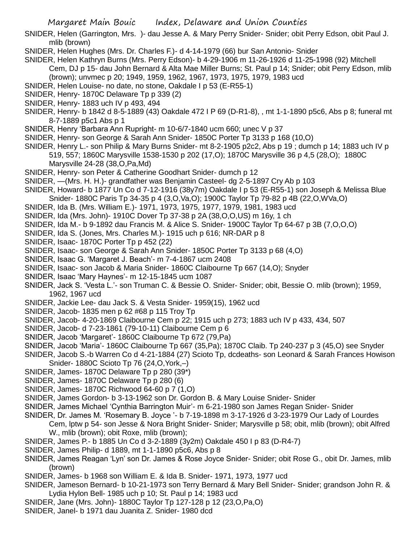SNIDER, Helen (Garrington, Mrs. )- dau Jesse A. & Mary Perry Snider- Snider; obit Perry Edson, obit Paul J. mlib (brown)

SNIDER, Helen Hughes (Mrs. Dr. Charles F.)- d 4-14-1979 (66) bur San Antonio- Snider

- SNIDER, Helen Kathryn Burns (Mrs. Perry Edson)- b 4-29-1906 m 11-26-1926 d 11-25-1998 (92) Mitchell Cem, DJ p 15- dau John Bernard & Alta Mae Miller Burns; St. Paul p 14; Snider; obit Perry Edson, mlib
	- (brown); unvmec p 20; 1949, 1959, 1962, 1967, 1973, 1975, 1979, 1983 ucd
- SNIDER, Helen Louise- no date, no stone, Oakdale I p 53 (E-R55-1)
- SNIDER, Henry- 1870C Delaware Tp p 339 (2)
- SNIDER, Henry- 1883 uch IV p 493, 494
- SNIDER, Henry- b 1842 d 8-5-1889 (43) Oakdale 472 I P 69 (D-R1-8), , mt 1-1-1890 p5c6, Abs p 8; funeral mt 8-7-1889 p5c1 Abs p 1
- SNIDER, Henry 'Barbara Ann Rupright- m 10-6/7-1840 ucm 660; unec V p 37
- SNIDER, Henry- son George & Sarah Ann Snider- 1850C Porter Tp 3133 p 168 (10,O)
- SNIDER, Henry L.- son Philip & Mary Burns Snider- mt 8-2-1905 p2c2, Abs p 19 ; dumch p 14; 1883 uch IV p 519, 557; 1860C Marysville 1538-1530 p 202 (17,O); 1870C Marysville 36 p 4,5 (28,O); 1880C Marysville 24-28 (38,O,Pa,Md)
- SNIDER, Henry- son Peter & Catherine Goodhart Snider- dumch p 12
- SNIDER, —(Mrs. H. H.)- grandfather was Benjamin Casteel- dg 2-5-1897 Cry Ab p 103
- SNIDER, Howard- b 1877 Un Co d 7-12-1916 (38y7m) Oakdale I p 53 (E-R55-1) son Joseph & Melissa Blue
- Snider- 1880C Paris Tp 34-35 p 4 (3,O,Va,O); 1900C Taylor Tp 79-82 p 4B (22,O,WVa,O)
- SNIDER, Ida B. (Mrs. William E.)- 1971, 1973, 1975, 1977, 1979, 1981, 1983 ucd
- SNIDER, Ida (Mrs. John)- 1910C Dover Tp 37-38 p 2A (38,O,O,US) m 16y, 1 ch
- SNIDER, Ida M.- b 9-1892 dau Francis M. & Alice S. Snider- 1900C Taylor Tp 64-67 p 3B (7,O,O,O)
- SNIDER, Ida S. (Jones, Mrs. Charles M.)- 1915 uch p 616; NR-DAR p 8
- SNIDER, Isaac- 1870C Porter Tp p 452 (22)
- SNIDER, Isaac- son George & Sarah Ann Snider- 1850C Porter Tp 3133 p 68 (4,O)
- SNIDER, Isaac G. 'Margaret J. Beach'- m 7-4-1867 ucm 2408
- SNIDER, Isaac- son Jacob & Maria Snider- 1860C Claibourne Tp 667 (14,O); Snyder
- SNIDER, Isaac 'Mary Haynes'- m 12-15-1845 ucm 1087
- SNIDER, Jack S. 'Vesta L.'- son Truman C. & Bessie O. Snider- Snider; obit, Bessie O. mlib (brown); 1959, 1962, 1967 ucd
- SNIDER, Jackie Lee- dau Jack S. & Vesta Snider- 1959(15), 1962 ucd
- SNIDER, Jacob- 1835 men p 62 #68 p 115 Troy Tp
- SNIDER, Jacob- 4-20-1869 Claibourne Cem p 22; 1915 uch p 273; 1883 uch IV p 433, 434, 507
- SNIDER, Jacob- d 7-23-1861 (79-10-11) Claibourne Cem p 6
- SNIDER, Jacob 'Margaret'- 1860C Claibourne Tp 672 (79,Pa)
- SNIDER, Jacob 'Maria'- 1860C Claibourne Tp 667 (35,Pa); 1870C Claib. Tp 240-237 p 3 (45,O) see Snyder
- SNIDER, Jacob S.-b Warren Co d 4-21-1884 (27) Scioto Tp, dcdeaths- son Leonard & Sarah Frances Howison Snider- 1880C Scioto Tp 76 (24,O,York,–)
- SNIDER, James- 1870C Delaware Tp p 280 (39\*)
- SNIDER, James- 1870C Delaware Tp p 280 (6)
- SNIDER, James- 1870C Richwood 64-60 p 7 (1,O)
- SNIDER, James Gordon- b 3-13-1962 son Dr. Gordon B. & Mary Louise Snider- Snider
- SNIDER, James Michael 'Cynthia Barrington Muir'- m 6-21-1980 son James Regan Snider- Snider
- SNIDER, Dr. James M. 'Rosemary B. Joyce '- b 7-19-1898 m 3-17-1926 d 3-23-1979 Our Lady of Lourdes
- Cem, lptw p 54- son Jesse & Nora Bright Snider- Snider; Marysville p 58; obit, mlib (brown); obit Alfred W., mlib (brown); obit Roxe, mlib (brown);
- SNIDER, James P.- b 1885 Un Co d 3-2-1889 (3y2m) Oakdale 450 I p 83 (D-R4-7)
- SNIDER, James Philip- d 1889, mt 1-1-1890 p5c6, Abs p 8
- SNIDER, James Reagan 'Lyn' son Dr. James & Rose Joyce Snider- Snider; obit Rose G., obit Dr. James, mlib (brown)
- SNIDER, James- b 1968 son William E. & Ida B. Snider- 1971, 1973, 1977 ucd
- SNIDER, Jameson Bernard- b 10-21-1973 son Terry Bernard & Mary Bell Snider- Snider; grandson John R. & Lydia Hylon Bell- 1985 uch p 10; St. Paul p 14; 1983 ucd
- SNIDER, Jane (Mrs. John)- 1880C Taylor Tp 127-128 p 12 (23,O,Pa,O)
- SNIDER, Janel- b 1971 dau Juanita Z. Snider- 1980 dcd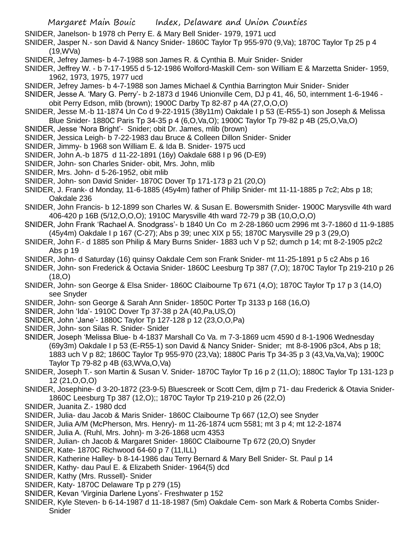- SNIDER, Janelson- b 1978 ch Perry E. & Mary Bell Snider- 1979, 1971 ucd
- SNIDER, Jasper N.- son David & Nancy Snider- 1860C Taylor Tp 955-970 (9,Va); 1870C Taylor Tp 25 p 4 (19,WVa)
- SNIDER, Jefrey James- b 4-7-1988 son James R. & Cynthia B. Muir Snider- Snider
- SNIDER, Jeffrey W. b 7-17-1955 d 5-12-1986 Wolford-Maskill Cem- son William E & Marzetta Snider- 1959, 1962, 1973, 1975, 1977 ucd
- SNIDER, Jefrey James- b 4-7-1988 son James Michael & Cynthia Barrington Muir Snider- Snider
- SNIDER, Jesse A. 'Mary G. Perry'- b 2-1873 d 1946 Unionville Cem, DJ p 41, 46, 50, internment 1-6-1946 obit Perry Edson, mlib (brown); 1900C Darby Tp 82-87 p 4A (27,O,O,O)
- SNIDER, Jesse M.-b 11-1874 Un Co d 9-22-1915 (38y11m) Oakdale I p 53 (E-R55-1) son Joseph & Melissa Blue Snider- 1880C Paris Tp 34-35 p 4 (6,O,Va,O); 1900C Taylor Tp 79-82 p 4B (25,O,Va,O)
- SNIDER, Jesse 'Nora Bright'- Snider; obit Dr. James, mlib (brown)
- SNIDER, Jessica Leigh- b 7-22-1983 dau Bruce & Colleen Dillon Snider- Snider
- SNIDER, Jimmy- b 1968 son William E. & Ida B. Snider- 1975 ucd
- SNIDER, John A.-b 1875 d 11-22-1891 (16y) Oakdale 688 I p 96 (D-E9)
- SNIDER, John- son Charles Snider- obit, Mrs. John, mlib
- SNIDER, Mrs. John- d 5-26-1952, obit mlib
- SNIDER, John- son David Snider- 1870C Dover Tp 171-173 p 21 (20,O)
- SNIDER, J. Frank- d Monday, 11-6-1885 (45y4m) father of Philip Snider- mt 11-11-1885 p 7c2; Abs p 18; Oakdale 236
- SNIDER, John Francis- b 12-1899 son Charles W. & Susan E. Bowersmith Snider- 1900C Marysville 4th ward 406-420 p 16B (5/12,O,O,O); 1910C Marysville 4th ward 72-79 p 3B (10,O,O,O)
- SNIDER, John Frank 'Rachael A. Snodgrass'- b 1840 Un Co m 2-28-1860 ucm 2996 mt 3-7-1860 d 11-9-1885 (45y4m) Oakdale I p 167 (C-27); Abs p 39; unec XIX p 55; 1870C Marysville 29 p 3 (29,O)
- SNIDER, John F.- d 1885 son Philip & Mary Burns Snider- 1883 uch V p 52; dumch p 14; mt 8-2-1905 p2c2 Abs p 19
- SNIDER, John- d Saturday (16) quinsy Oakdale Cem son Frank Snider- mt 11-25-1891 p 5 c2 Abs p 16
- SNIDER, John- son Frederick & Octavia Snider- 1860C Leesburg Tp 387 (7,O); 1870C Taylor Tp 219-210 p 26 (18,O)
- SNIDER, John- son George & Elsa Snider- 1860C Claibourne Tp 671 (4,O); 1870C Taylor Tp 17 p 3 (14,O) see Snyder
- SNIDER, John- son George & Sarah Ann Snider- 1850C Porter Tp 3133 p 168 (16,O)
- SNIDER, John 'Ida'- 1910C Dover Tp 37-38 p 2A (40,Pa,US,O)
- SNIDER, John 'Jane'- 1880C Taylor Tp 127-128 p 12 (23,O,O,Pa)
- SNIDER, John- son Silas R. Snider- Snider
- SNIDER, Joseph 'Melissa Blue- b 4-1837 Marshall Co Va. m 7-3-1869 ucm 4590 d 8-1-1906 Wednesday (69y3m) Oakdale I p 53 (E-R55-1) son David & Nancy Snider- Snider; mt 8-8-1906 p3c4, Abs p 18; 1883 uch V p 82; 1860C Taylor Tp 955-970 (23,Va); 1880C Paris Tp 34-35 p 3 (43,Va,Va,Va); 1900C Taylor Tp 79-82 p 4B (63,WVa,O,Va)
- SNIDER, Joseph T.- son Martin & Susan V. Snider- 1870C Taylor Tp 16 p 2 (11,O); 1880C Taylor Tp 131-123 p 12 (21,O,O,O)
- SNIDER, Josephine- d 3-20-1872 (23-9-5) Bluescreek or Scott Cem, djlm p 71- dau Frederick & Otavia Snider-1860C Leesburg Tp 387 (12,O);; 1870C Taylor Tp 219-210 p 26 (22,O)
- SNIDER, Juanita Z.- 1980 dcd
- SNIDER, Julia- dau Jacob & Maris Snider- 1860C Claibourne Tp 667 (12,O) see Snyder
- SNIDER, Julia A/M (McPherson, Mrs. Henry)- m 11-26-1874 ucm 5581; mt 3 p 4; mt 12-2-1874
- SNIDER, Julia A. (Ruhl, Mrs. John)- m 3-26-1868 ucm 4353
- SNIDER, Julian- ch Jacob & Margaret Snider- 1860C Claibourne Tp 672 (20,O) Snyder
- SNIDER, Kate- 1870C Richwood 64-60 p 7 (11,ILL)
- SNIDER, Katherine Halley- b 8-14-1986 dau Terry Bernard & Mary Bell Snider- St. Paul p 14
- SNIDER, Kathy- dau Paul E. & Elizabeth Snider- 1964(5) dcd
- SNIDER, Kathy (Mrs. Russell)- Snider
- SNIDER, Katy- 1870C Delaware Tp p 279 (15)
- SNIDER, Kevan 'Virginia Darlene Lyons'- Freshwater p 152
- SNIDER, Kyle Steven- b 6-14-1987 d 11-18-1987 (5m) Oakdale Cem- son Mark & Roberta Combs Snider-Snider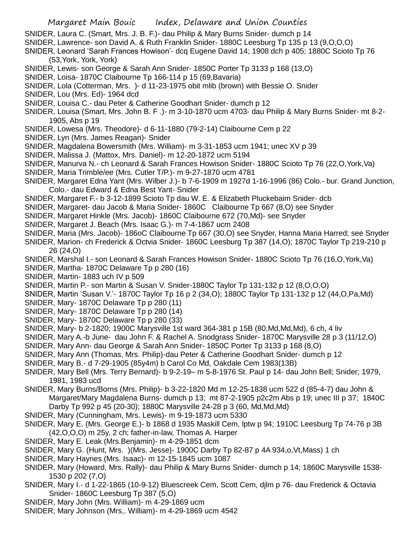- SNIDER, Laura C. (Smart, Mrs. J. B. F.)- dau Philip & Mary Burns Snider- dumch p 14
- SNIDER, Lawrence- son David A. & Ruth Franklin Snider- 1880C Leesburg Tp 135 p 13 (9,O,O,O)
- SNIDER, Leonard 'Sarah Frances Howison'- dcq Eugene David 14; 1908 dch p 405; 1880C Scioto Tp 76 (53,York, York, York)
- SNIDER, Lewis- son George & Sarah Ann Snider- 1850C Porter Tp 3133 p 168 (13,O)
- SNIDER, Loisa- 1870C Claibourne Tp 166-114 p 15 (69,Bavaria)
- SNIDER, Lola (Cotterman, Mrs. )- d 11-23-1975 obit mlib (brown) with Bessie O. Snider
- SNIDER, Lou (Mrs. Ed)- 1964 dcd
- SNIDER, Louisa C.- dau Peter & Catherine Goodhart Snider- dumch p 12
- SNIDER, Louisa (Smart, Mrs. John B. F .)- m 3-10-1870 ucm 4703- dau Philip & Mary Burns Snider- mt 8-2- 1905, Abs p 19
- SNIDER, Lowesa (Mrs. Theodore)- d 6-11-1880 (79-2-14) Claibourne Cem p 22
- SNIDER, Lyn (Mrs. James Reagan)- Snider
- SNIDER, Magdalena Bowersmith (Mrs. William)- m 3-31-1853 ucm 1941; unec XV p 39
- SNIDER, Malissa J. (Mattox, Mrs. Daniel)- m 12-20-1872 ucm 5194
- SNIDER, Manurva N.- ch Leonard & Sarah Frances Howison Snider- 1880C Scioto Tp 76 (22,O,York,Va)
- SNIDER, Maria Trimble/ee (Mrs. Cutler T/P.)- m 9-27-1870 ucm 4781
- SNIDER, Margaret Edna Yant (Mrs. Wilber J.)- b 7-6-1909 m 1927d 1-16-1996 (86) Colo.- bur. Grand Junction, Colo.- dau Edward & Edna Best Yant- Snider
- SNIDER, Margaret F.- b 3-12-1899 Scioto Tp dau W. E. & Elizabeth Pluckebaim Snider- dcb
- SNIDER, Margaret- dau Jacob & Maria Snider- 1860C Claibourne Tp 667 (8,O) see Snyder
- SNIDER, Margaret Hinkle (Mrs. Jacob)- 1860C Claibourne 672 (70,Md)- see Snyder
- SNIDER, Margaret J. Beach (Mrs. Isaac G.)- m 7-4-1867 ucm 2408
- SNIDER, Maria (Mrs. Jacob)- 186oC Claibourne Tp 667 (30,O) see Snyder, Hanna Maria Harred; see Snyder
- SNIDER, Marion- ch Frederick & Octvia Snider- 1860C Leesburg Tp 387 (14,O); 1870C Taylor Tp 219-210 p 26 (24,O)
- SNIDER, Marshal I.- son Leonard & Sarah Frances Howison Snider- 1880C Scioto Tp 76 (16,O,York,Va)
- SNIDER, Martha- 1870C Delaware Tp p 280 (16)
- SNIDER, Martin- 1883 uch IV p 509
- SNIDER, Martin P.- son Martin & Susan V. Snider-1880C Taylor Tp 131-132 p 12 (8,O,O,O)
- SNIDER, Martin 'Susan V.'- 1870C Taylor Tp 16 p 2 (34,O); 1880C Taylor Tp 131-132 p 12 (44,O,Pa,Md)
- SNIDER, Mary- 1870C Delaware Tp p 280 (11)
- SNIDER, Mary- 1870C Delaware Tp p 280 (14)
- SNIDER, Mary- 1870C Delaware Tp p 280 (33)
- SNIDER, Mary- b 2-1820; 1900C Marysville 1st ward 364-381 p 15B (80,Md,Md,Md), 6 ch, 4 liv
- SNIDER, Mary A.-b June- dau John F. & Rachel A. Snodgrass Snider- 1870C Marysville 28 p 3 (11/12,O)
- SNIDER, Mary Ann- dau George & Sarah Ann Snider- 1850C Porter Tp 3133 p 168 (8,O)
- SNIDER, Mary Ann (Thomas, Mrs. Philip)-dau Peter & Catherine Goodhart Snider- dumch p 12
- SNIDER, Mary B.- d 7-29-1905 (85y4m) b Carol Co Md, Oakdale Cem 1983(13B)
- SNIDER, Mary Bell (Mrs. Terry Bernard)- b 9-2-19– m 5-8-1976 St. Paul p 14- dau John Bell; Snider; 1979, 1981, 1983 ucd
- SNIDER, Mary Burns/Borns (Mrs. Philip)- b 3-22-1820 Md m 12-25-1838 ucm 522 d (85-4-7) dau John & Margaret/Mary Magdalena Burns- dumch p 13; mt 87-2-1905 p2c2m Abs p 19; unec III p 37; 1840C Darby Tp 992 p 45 (20-30); 1880C Marysville 24-28 p 3 (60, Md,Md,Md)
- SNIDER, Mary (Cunningham, Mrs. Lewis)- m 9-19-1873 ucm 5330
- SNIDER, Mary E. (Mrs. George E.)- b 1868 d 1935 Maskill Cem, lptw p 94; 1910C Leesburg Tp 74-76 p 3B (42,O,O,O) m 25y, 2 ch; father-in-law, Thomas A. Harper
- SNIDER, Mary E. Leak (Mrs.Benjamin)- m 4-29-1851 dcm
- SNIDER, Mary G. (Hunt, Mrs. )(Mrs. Jesse)- 1900C Darby Tp 82-87 p 4A 934,o,Vt,Mass) 1 ch
- SNIDER, Mary Haynes (Mrs. Isaac)- m 12-15-1845 ucm 1087
- SNIDER, Mary (Howard, Mrs. Rally)- dau Philip & Mary Burns Snider- dumch p 14; 1860C Marysville 1538- 1530 p 202 (7,O)
- SNIDER, Mary I.- d 1-22-1865 (10-9-12) Bluescreek Cem, Scott Cem, djlm p 76- dau Frederick & Octavia Snider- 1860C Leesburg Tp 387 (5,O)
- SNIDER, Mary John (Mrs. William)- m 4-29-1869 ucm
- SNIDER, Mary Johnson (Mrs,. William)- m 4-29-1869 ucm 4542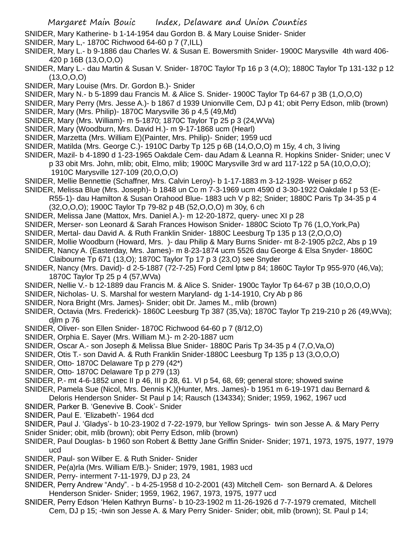- SNIDER, Mary Katherine- b 1-14-1954 dau Gordon B. & Mary Louise Snider- Snider
- SNIDER, Mary L,- 1870C Richwood 64-60 p 7 (7,ILL)
- SNIDER, Mary L.- b 9-1886 dau Charles W. & Susan E. Bowersmith Snider- 1900C Marysville 4th ward 406- 420 p 16B (13,O,O,O)
- SNIDER, Mary L.- dau Martin & Susan V. Snider- 1870C Taylor Tp 16 p 3 (4,O); 1880C Taylor Tp 131-132 p 12 (13,O,O,O)
- SNIDER, Mary Louise (Mrs. Dr. Gordon B.)- Snider
- SNIDER, Mary N.- b 5-1899 dau Francis M. & Alice S. Snider- 1900C Taylor Tp 64-67 p 3B (1,O,O,O)
- SNIDER, Mary Perry (Mrs. Jesse A.)- b 1867 d 1939 Unionville Cem, DJ p 41; obit Perry Edson, mlib (brown)
- SNIDER, Mary (Mrs. Philip)- 1870C Marysville 36 p 4,5 (49,Md)
- SNIDER, Mary (Mrs. William)- m 5-1870; 1870C Taylor Tp 25 p 3 (24,WVa)
- SNIDER, Mary (Woodburn, Mrs. David H.)- m 9-17-1868 ucm (Hearl)
- SNIDER, Marzetta (Mrs. William E)(Painter, Mrs. Philip)- Snider; 1959 ucd
- SNIDER, Matilda (Mrs. George C.)- 1910C Darby Tp 125 p 6B (14,O,O,O) m 15y, 4 ch, 3 living
- SNIDER, Mazil- b 4-1890 d 1-23-1965 Oakdale Cem- dau Adam & Leanna R. Hopkins Snider- Snider; unec V p 33 obit Mrs. John, mlib; obit, Elmo, mlib; 1900C Marysville 3rd w ard 117-122 p 5A (10,O,O,O); 1910C Marysville 127-109 (20,O,O,O)
- SNIDER, Mellie Bennettie (Schaffner, Mrs. Calvin Leroy)- b 1-17-1883 m 3-12-1928- Weiser p 652
- SNIDER, Melissa Blue (Mrs. Joseph)- b 1848 un Co m 7-3-1969 ucm 4590 d 3-30-1922 Oakdale I p 53 (E-
	- R55-1)- dau Hamilton & Susan Orahood Blue- 1883 uch V p 82; Snider; 1880C Paris Tp 34-35 p 4 (32,O,O,O); 1900C Taylor Tp 79-82 p 4B (52,O,O,O) m 30y, 6 ch
- SNIDER, Melissa Jane (Mattox, Mrs. Daniel A.)- m 12-20-1872, query- unec XI p 28
- SNIDER, Merser- son Leonard & Sarah Frances Howison Snider- 1880C Scioto Tp 76 (1,O,York,Pa)
- SNIDER, Mertal- dau David A. & Ruth Franklin Snider- 1880C Leesburg Tp 135 p 13 (2,O,O,O)
- SNIDER, Mollie Woodburn (Howard, Mrs. )- dau Philip & Mary Burns Snider- mt 8-2-1905 p2c2, Abs p 19
- SNIDER, Nancy A. (Easterday, Mrs. James)- m 8-23-1874 ucm 5526 dau George & Elsa Snyder- 1860C Claibourne Tp 671 (13,O); 1870C Taylor Tp 17 p 3 (23,O) see Snyder
- SNIDER, Nancy (Mrs. David)- d 2-5-1887 (72-7-25) Ford Ceml lptw p 84; 1860C Taylor Tp 955-970 (46,Va); 1870C Taylor Tp 25 p 4 (57,WVa)
- SNIDER, Nellie V.- b 12-1889 dau Francis M. & Alice S. Snider- 1900c Taylor Tp 64-67 p 3B (10,O,O,O)
- SNIDER, Nicholas- U. S. Marshal for western Maryland- dg 1-14-1910, Cry Ab p 86
- SNIDER, Nora Bright (Mrs. James)- Snider; obit Dr. James M., mlib (brown)
- SNIDER, Octavia (Mrs. Frederick)- 1860C Leesburg Tp 387 (35,Va); 1870C Taylor Tp 219-210 p 26 (49,WVa); djlm p 76
- SNIDER, Oliver- son Ellen Snider- 1870C Richwood 64-60 p 7 (8/12,O)
- SNIDER, Orphia E. Sayer (Mrs. William M.)- m 2-20-1887 ucm
- SNIDER, Oscar A.- son Joseph & Melissa Blue Snider- 1880C Paris Tp 34-35 p 4 (7,O,Va,O)
- SNIDER, Otis T.- son David A. & Ruth Franklin Snider-1880C Leesburg Tp 135 p 13 (3,O,O,O)
- SNIDER, Otto- 1870C Delaware Tp p 279 (42\*)
- SNIDER, Otto- 1870C Delaware Tp p 279 (13)
- SNIDER, P.- mt 4-6-1852 unec II p 46, III p 28, 61. VI p 54, 68, 69; general store; showed swine
- SNIDER, Pamela Sue (Nicol, Mrs. Dennis K.)(Hunter, Mrs. James)- b 1951 m 6-19-1971 dau Bernard & Deloris Henderson Snider- St Paul p 14; Rausch (134334); Snider; 1959, 1962, 1967 ucd
- SNIDER, Parker B. 'Genevive B. Cook'- Snider
- SNIDER, Paul E. 'Elizabeth'- 1964 dcd
- SNIDER, Paul J. 'Gladys'- b 10-23-1902 d 7-22-1979, bur Yellow Springs- twin son Jesse A. & Mary Perry
- Snider Snider; obit, mlib (brown); obit Perry Edson, mlib (brown)
- SNIDER, Paul Douglas- b 1960 son Robert & Bettty Jane Griffin Snider- Snider; 1971, 1973, 1975, 1977, 1979 ucd
- SNIDER, Paul- son Wilber E. & Ruth Snider- Snider
- SNIDER, Pe(a)rla (Mrs. William E/B.)- Snider; 1979, 1981, 1983 ucd
- SNIDER, Perry- interment 7-11-1979, DJ p 23, 24
- SNIDER, Perry Andrew "Andy". b 4-25-1958 d 10-2-2001 (43) Mitchell Cem- son Bernard A. & Delores Henderson Snider- Snider; 1959, 1962, 1967, 1973, 1975, 1977 ucd
- SNIDER, Perry Edson 'Helen Kathryn Burns'- b 10-23-1902 m 11-26-1926 d 7-7-1979 cremated, Mitchell Cem, DJ p 15; -twin son Jesse A. & Mary Perry Snider- Snider; obit, mlib (brown); St. Paul p 14;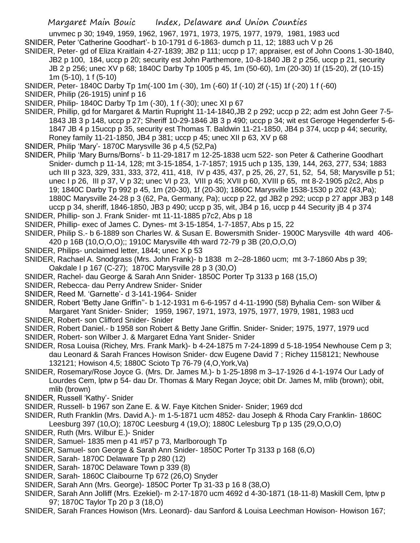unvmec p 30; 1949, 1959, 1962, 1967, 1971, 1973, 1975, 1977, 1979, 1981, 1983 ucd SNIDER, Peter 'Catherine Goodhart'- b 10-1791 d 6-1863- dumch p 11, 12; 1883 uch V p 26

SNIDER, Peter- gd of Eliza Kraitlain 4-27-1839; JB2 p 111; uccp p 17; appraiser, est of John Coons 1-30-1840, JB2 p 100, 184, uccp p 20; security est John Parthemore, 10-8-1840 JB 2 p 256, uccp p 21, security JB 2 p 256; unec XV p 68; 1840C Darby Tp 1005 p 45, 1m (50-60), 1m (20-30) 1f (15-20), 2f (10-15) 1m (5-10), 1 f (5-10)

- SNIDER, Peter- 1840C Darby Tp 1m(-100 1m (-30), 1m (-60) 1f (-10) 2f (-15) 1f (-20) 1 f (-60)
- SNIDER, Philip (26-1915) uninf p 16

SNIDER, Philip- 1840C Darby Tp 1m (-30), 1 f (-30); unec XI p 67

- SNIDER, Phillip, gd for Margaret & Martin Rupright 11-14-1840,JB 2 p 292; uccp p 22; adm est John Geer 7-5- 1843 JB 3 p 148, uccp p 27; Sheriff 10-29-1846 JB 3 p 490; uccp p 34; wit est Geroge Hegenderfer 5-6- 1847 JB 4 p 15uccp p 35, security est Thomas T. Baldwin 11-21-1850, JB4 p 374, uccp p 44; security, Roney family 11-21-1850, JB4 p 381; uccp p 45; unec XII p 63, XV p 68
- SNIDER, Philip 'Mary'- 1870C Marysville 36 p 4,5 (52,Pa)
- SNIDER, Philip 'Mary Burns/Borns'- b 11-29-1817 m 12-25-1838 ucm 522- son Peter & Catherine Goodhart Snider- dumch p 11-14, 128; mt 3-15-1854, 1-7-1857; 1915 uch p 135, 139, 144, 263, 277, 534; 1883 uch III p 323, 329, 331, 333, 372, 411, 418, IV p 435, 437, p 25, 26, 27, 51, 52, 54, 58; Marysville p 51; unec I p 26, III p 37, V p 32; unec VI p 23, VIII p 45; XVII p 60, XVIII p 65, mt 8-2-1905 p2c2, Abs p 19; 1840C Darby Tp 992 p 45, 1m (20-30), 1f (20-30); 1860C Marysville 1538-1530 p 202 (43,Pa); 1880C Marysville 24-28 p 3 (62, Pa, Germany, Pa); uccp p 22, gd JB2 p 292; uccp p 27 appr JB3 p 148 uccp p 34, sheriff, 1846-1850, JB3 p 490; uccp p 35, wit, JB4 p 16, uccp p 44 Security jB 4 p 374

SNIDER, Phillip- son J. Frank Snider- mt 11-11-1885 p7c2, Abs p 18

- SNIDER, Phillip- exec of James C. Dynes- mt 3-15-1854, 1-7-1857, Abs p 15, 22
- SNIDER, Philip S.- b 6-1889 son Charles W. & Susan E. Bowersmith Snider- 1900C Marysville 4th ward 406- 420 p 16B (10,O,O,O);; 1910C Marysville 4th ward 72-79 p 3B (20,O,O,O)
- SNIDER, Philips- unclaimed letter, 1844; unec X p 53

SNIDER, Rachael A. Snodgrass (Mrs. John Frank)- b 1838 m 2–28-1860 ucm; mt 3-7-1860 Abs p 39;

- Oakdale I p 167 (C-27); 1870C Marysville 28 p 3 (30,O)
- SNIDER, Rachel- dau George & Sarah Ann Snider- 1850C Porter Tp 3133 p 168 (15,O)
- SNIDER, Rebecca- dau Perry Andrew Snider- Snider
- SNIDER, Reed M. 'Garnette'- d 3-141-1964- Snider

SNIDER, Robert 'Betty Jane Griffin''- b 1-12-1931 m 6-6-1957 d 4-11-1990 (58) Byhalia Cem- son Wilber &

Margaret Yant Snider- Snider; 1959, 1967, 1971, 1973, 1975, 1977, 1979, 1981, 1983 ucd

- SNIDER, Robert- son Clifford Snider- Snider
- SNIDER, Robert Daniel.- b 1958 son Robert & Betty Jane Griffin. Snider- Snider; 1975, 1977, 1979 ucd
- SNIDER, Robert- son Wilber J. & Margaret Edna Yant Snider- Snider
- SNIDER, Rosa Louisa (Richey, Mrs. Frank Mark)- b 4-24-1875 m 7-24-1899 d 5-18-1954 Newhouse Cem p 3; dau Leonard & Sarah Frances Howison Snider- dcw Eugene David 7 ; Richey 1158121; Newhouse 132121; Howison 4,5; 1880C Scioto Tp 76-79 (4,O,York,Va)
- SNIDER, Rosemary/Rose Joyce G. (Mrs. Dr. James M.)- b 1-25-1898 m 3–17-1926 d 4-1-1974 Our Lady of Lourdes Cem, lptw p 54- dau Dr. Thomas & Mary Regan Joyce; obit Dr. James M, mlib (brown); obit, mlib (brown)
- SNIDER, Russell 'Kathy'- Snider
- SNIDER, Russell- b 1967 son Zane E. & W. Faye Kitchen Snider- Snider; 1969 dcd
- SNIDER, Ruth Franklin (Mrs. David A.)- m 1-5-1871 ucm 4852- dau Joseph & Rhoda Cary Franklin- 1860C Leesburg 397 (10,O); 1870C Leesburg 4 (19,O); 1880C Lelesburg Tp p 135 (29,O,O,O)
- SNIDER, Ruth (Mrs. Wilbur E.)- Snider
- SNIDER, Samuel- 1835 men p 41 #57 p 73, Marlborough Tp
- SNIDER, Samuel- son George & Sarah Ann Snider- 1850C Porter Tp 3133 p 168 (6,O)
- SNIDER, Sarah- 1870C Delaware Tp p 280 (12)
- SNIDER, Sarah- 1870C Delaware Town p 339 (8)
- SNIDER, Sarah- 1860C Claibourne Tp 672 (26,O) Snyder
- SNIDER, Sarah Ann (Mrs. George)- 1850C Porter Tp 31-33 p 16 8 (38,O)
- SNIDER, Sarah Ann Jolliff (Mrs. Ezekiel)- m 2-17-1870 ucm 4692 d 4-30-1871 (18-11-8) Maskill Cem, lptw p 97; 1870C Taylor Tp 20 p 3 (18,O)
- SNIDER, Sarah Frances Howison (Mrs. Leonard)- dau Sanford & Louisa Leechman Howison- Howison 167;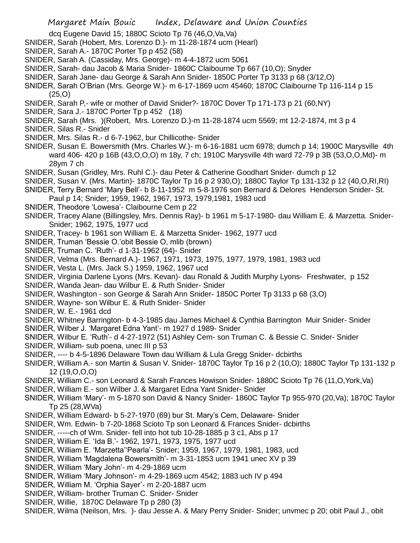dcq Eugene David 15; 1880C Scioto Tp 76 (46,O,Va,Va)

- SNIDER, Sarah (Hobert, Mrs. Lorenzo D.)- m 11-28-1874 ucm (Hearl)
- SNIDER, Sarah A.- 1870C Porter Tp p 452 (58)
- SNIDER, Sarah A. (Cassiday, Mrs. George)- m 4-4-1872 ucm 5061
- SNIDER, Sarah- dau Jacob & Maria Snider- 1860C Claibourne Tp 667 (10,O); Snyder
- SNIDER, Sarah Jane- dau George & Sarah Ann Snider- 1850C Porter Tp 3133 p 68 (3/12,O)
- SNIDER, Sarah O'Brian (Mrs. George W.)- m 6-17-1869 ucm 45460; 1870C Claibourne Tp 116-114 p 15 (25,O)
- SNIDER, Sarah P,- wife or mother of David Snider?- 1870C Dover Tp 171-173 p 21 (60,NY)
- SNIDER, Sara J.- 1870C Porter Tp p 452 (18)
- SNIDER, Sarah (Mrs. )(Robert, Mrs. Lorenzo D.)-m 11-28-1874 ucm 5569; mt 12-2-1874, mt 3 p 4
- SNIDER, Silas R.- Snider
- SNIDER, Mrs. Silas R.- d 6-7-1962, bur Chillicothe- Snider
- SNIDER, Susan E. Bowersmith (Mrs. Charles W.)- m 6-16-1881 ucm 6978; dumch p 14; 1900C Marysville 4th ward 406- 420 p 16B (43,O,O,O) m 18y, 7 ch; 1910C Marysville 4th ward 72-79 p 3B (53,O,O,Md)- m 28ym 7 ch
- SNIDER, Susan (Gridley, Mrs. Ruhl C.)- dau Peter & Catherine Goodhart Snider- dumch p 12
- SNIDER, Susan V. (Mrs. Martin)- 1870C Taylor Tp 16 p 2 930,O); 1880C Taylor Tp 131-132 p 12 (40,O,RI,RI)
- SNIDER, Terry Bernard 'Mary Bell'- b 8-11-1952 m 5-8-1976 son Bernard & Delores Henderson Snider- St.
- Paul p 14; Snider; 1959, 1962, 1967, 1973, 1979,1981, 1983 ucd
- SNIDER, Theodore 'Lowesa'- Claibourne Cem p 22
- SNIDER, Tracey Alane (Billingsley, Mrs. Dennis Ray)- b 1961 m 5-17-1980- dau William E. & Marzetta. Snider-Snider; 1962, 1975, 1977 ucd
- SNIDER, Tracey- b 1961 son William E. & Marzetta Snider- 1962, 1977 ucd
- SNIDER, Truman 'Bessie O.'obit Bessie O, mlib (brown)
- SNIDER, Truman C. 'Ruth'- d 1-31-1962 (64)- Snider
- SNIDER, Velma (Mrs. Bernard A.)- 1967, 1971, 1973, 1975, 1977, 1979, 1981, 1983 ucd
- SNIDER, Vesta L. (Mrs. Jack S.) 1959, 1962, 1967 ucd
- SNIDER, Virginia Darlene Lyons (Mrs. Kevan)- dau Ronald & Judith Murphy Lyons- Freshwater, p 152
- SNIDER, Wanda Jean- dau Wilbur E. & Ruth Snider- Snider
- SNIDER, Washington son George & Sarah Ann Snider- 1850C Porter Tp 3133 p 68 (3,O)
- SNIDER, Wayne- son Wilbur E. & Ruth Snider- Snider
- SNIDER, W. E.- 1961 dcd
- SNIDER, Whitney Barrington- b 4-3-1985 dau James Michael & Cynthia Barrington Muir Snider- Snider
- SNIDER, Wilber J. 'Margaret Edna Yant'- m 1927 d 1989- Snider
- SNIDER, Wilbur E. 'Ruth'- d 4-27-1972 (51) Ashley Cem- son Truman C. & Bessie C. Snider- Snider
- SNIDER, William- sub poena, unec III p 53
- SNIDER, ---- b 4-5-1896 Delaware Town dau William & Lula Gregg Snider- dcbirths
- SNIDER, William A.- son Martin & Susan V. Snider- 1870C Taylor Tp 16 p 2 (10,O); 1880C Taylor Tp 131-132 p 12 (19,O,O,O)
- SNIDER, William C.- son Leonard & Sarah Frances Howison Snider- 1880C Scioto Tp 76 (11,O,York,Va)
- SNIDER, William E.- son Wilber J. & Margaret Edna Yant Snider- Snider
- SNIDER, William 'Mary'- m 5-1870 son David & Nancy Snider- 1860C Taylor Tp 955-970 (20,Va); 1870C Taylor Tp 25 (28,WVa)
- SNIDER, William Edward- b 5-27-1970 (69) bur St. Mary's Cem, Delaware- Snider
- SNIDER, Wm. Edwin- b 7-20-1868 Scioto Tp son Leonard & Frances Snider- dcbirths
- SNIDER, -----ch of Wm. Snider- fell into hot tub 10-28-1885 p 3 c1, Abs p 17
- SNIDER, William E. 'Ida B.'- 1962, 1971, 1973, 1975, 1977 ucd
- SNIDER, William E. 'Marzetta''Pearla'- Snider; 1959, 1967, 1979, 1981, 1983, ucd
- SNIDER, William 'Magdalena Bowersmith'- m 3-31-1853 ucm 1941 unec XV p 39
- SNIDER, William 'Mary John'- m 4-29-1869 ucm
- SNIDER, William 'Mary Johnson'- m 4-29-1869 ucm 4542; 1883 uch IV p 494
- SNIDER, William M. 'Orphia Sayer'- m 2-20-1887 ucm
- SNIDER, William- brother Truman C. Snider- Snider
- SNIDER, Willie, 1870C Delaware Tp p 280 (3)
- SNIDER, Wilma (Neilson, Mrs. )- dau Jesse A. & Mary Perry Snider- Snider; unvmec p 20; obit Paul J., obit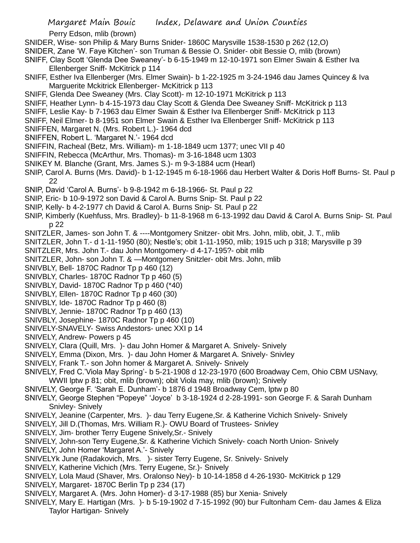Perry Edson, mlib (brown)

SNIDER, Wise- son Philip & Mary Burns Snider- 1860C Marysville 1538-1530 p 262 (12,O)

- SNIDER, Zane 'W. Faye Kitchen'- son Truman & Bessie O. Snider- obit Bessie O, mlib (brown)
- SNIFF, Clay Scott 'Glenda Dee Sweaney'- b 6-15-1949 m 12-10-1971 son Elmer Swain & Esther Iva Ellenberger Sniff- McKitrick p 114
- SNIFF, Esther Iva Ellenberger (Mrs. Elmer Swain)- b 1-22-1925 m 3-24-1946 dau James Quincey & Iva Marguerite Mckitrick Ellenberger- McKitrick p 113
- SNIFF, Glenda Dee Sweaney (Mrs. Clay Scott)- m 12-10-1971 McKitrick p 113
- SNIFF, Heather Lynn- b 4-15-1973 dau Clay Scott & Glenda Dee Sweaney Sniff- McKitrick p 113
- SNIFF, Leslie Kay- b 7-1963 dau Elmer Swain & Esther Iva Ellenberger Sniff- McKitrick p 113
- SNIFF, Neil Elmer- b 8-1951 son Elmer Swain & Esther Iva Ellenberger Sniff- McKitrick p 113
- SNIFFEN, Margaret N. (Mrs. Robert L.)- 1964 dcd
- SNIFFEN, Robert L. 'Margaret N.'- 1964 dcd
- SNIFFIN, Racheal (Betz, Mrs. William)- m 1-18-1849 ucm 1377; unec VII p 40
- SNIFFIN, Rebecca (McArthur, Mrs. Thomas)- m 3-16-1848 ucm 1303
- SNIKEY M. Blanche (Grant, Mrs. James S.)- m 9-3-1884 ucm (Hearl)
- SNIP, Carol A. Burns (Mrs. David)- b 1-12-1945 m 6-18-1966 dau Herbert Walter & Doris Hoff Burns- St. Paul p 22
- SNIP, David 'Carol A. Burns'- b 9-8-1942 m 6-18-1966- St. Paul p 22
- SNIP, Eric- b 10-9-1972 son David & Carol A. Burns Snip- St. Paul p 22
- SNIP, Kelly- b 4-2-1977 ch David & Carol A. Burns Snip- St. Paul p 22
- SNIP, Kimberly (Kuehfuss, Mrs. Bradley)- b 11-8-1968 m 6-13-1992 dau David & Carol A. Burns Snip- St. Paul p 22
- SNITZLER, James- son John T. & ----Montgomery Snitzer- obit Mrs. John, mlib, obit, J. T., mlib
- SNITZLER, John T.- d 1-11-1950 (80); Nestle's; obit 1-11-1950, mlib; 1915 uch p 318; Marysville p 39
- SNITZLER, Mrs. John T.- dau John Montgomery- d 4-17-195?- obit mlib
- SNITZLER, John- son John T. & —Montgomery Snitzler- obit Mrs. John, mlib
- SNIVBLY, Bell- 1870C Radnor Tp p 460 (12)
- SNIVBLY, Charles- 1870C Radnor Tp p 460 (5)
- SNIVBLY, David- 1870C Radnor Tp p 460 (\*40)
- SNIVBLY, Ellen- 1870C Radnor Tp p 460 (30)
- SNIVBLY, Ide- 1870C Radnor Tp p 460 (8)
- SNIVBLY, Jennie- 1870C Radnor Tp p 460 (13)
- SNIVBLY, Josephine- 1870C Radnor Tp p 460 (10)
- SNIVELY-SNAVELY- Swiss Andestors- unec XXI p 14
- SNIVELY, Andrew- Powers p 45
- SNIVELY, Clara (Quill, Mrs. )- dau John Homer & Margaret A. Snively- Snively
- SNIVELY, Emma (Dixon, Mrs. )- dau John Homer & Margaret A. Snively- Snivley
- SNIVELY, Frank T.- son John homer & Margaret A. Snively- Snively
- SNIVELY, Fred C.'Viola May Spring'- b 5-21-1908 d 12-23-1970 (600 Broadway Cem, Ohio CBM USNavy, WWII lptw p 81; obit, mlib (brown); obit Viola may, mlib (brown); Snively
- SNIVELY, George F. 'Sarah E. Dunham'- b 1876 d 1948 Broadway Cem, lptw p 80
- SNIVELY, George Stephen "Popeye" 'Joyce' b 3-18-1924 d 2-28-1991- son George F. & Sarah Dunham Snivley- Snively
- SNIVELY, Jeanine (Carpenter, Mrs. )- dau Terry Eugene,Sr. & Katherine Vichich Snively- Snively
- SNIVELY, Jill D.(Thomas, Mrs. William R.)- OWU Board of Trustees- Snivley
- SNIVELY, Jim- brother Terry Eugene Snively,Sr.- Snively
- SNIVELY, John-son Terry Eugene,Sr. & Katherine Vichich Snively- coach North Union- Snively
- SNIVELY, John Homer 'Margaret A.'- Snively
- SNIVELYk June (Radakovich, Mrs. )- sister Terry Eugene, Sr. Snively- Snively
- SNIVELY, Katherine Vichich (Mrs. Terry Eugene, Sr.)- Snively
- SNIVELY, Lola Maud (Shaver, Mrs. Oralonso Ney)- b 10-14-1858 d 4-26-1930- McKitrick p 129
- SNIVELY, Margaret- 1870C Berlin Tp p 234 (17)
- SNIVELY, Margaret A. (Mrs. John Homer)- d 3-17-1988 (85) bur Xenia- Snively
- SNIVELY, Mary E. Hartigan (Mrs. )- b 5-19-1902 d 7-15-1992 (90) bur Fultonham Cem- dau James & Eliza Taylor Hartigan- Snively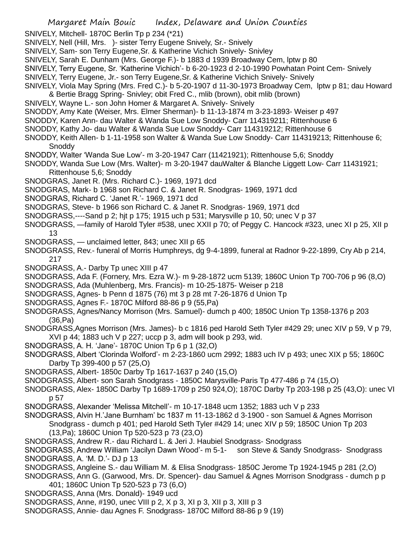SNIVELY, Mitchell- 1870C Berlin Tp p 234 (\*21)

- SNIVELY, Nell (Hill, Mrs. )- sister Terry Eugene Snively, Sr.- Snively
- SNIVELY, Sam- son Terry Eugene,Sr. & Katherine Vichich Snively- Snivley
- SNIVELY, Sarah E. Dunham (Mrs. George F.)- b 1883 d 1939 Broadway Cem, lptw p 80
- SNIVELY, Terry Eugene, Sr. 'Katherine Vichich'- b 6-20-1923 d 2-10-1990 Powhatan Point Cem- Snively
- SNIVELY, Terry Eugene, Jr.- son Terry Eugene,Sr. & Katherine Vichich Snively- Snively
- SNIVELY, Viola May Spring (Mrs. Fred C.)- b 5-20-1907 d 11-30-1973 Broadway Cem, lptw p 81; dau Howard & Bertie Bragg Spring- Snivley; obit Fred C., mlib (brown), obit mlib (brown)
- SNIVELY, Wayne L.- son John Homer & Margaret A. Snively- Snively
- SNODDY, Amy Kate (Weiser, Mrs. Elmer Sherman)- b 11-13-1874 m 3-23-1893- Weiser p 497
- SNODDY, Karen Ann- dau Walter & Wanda Sue Low Snoddy- Carr 114319211; Rittenhouse 6
- SNODDY, Kathy Jo- dau Walter & Wanda Sue Low Snoddy- Carr 114319212; Rittenhouse 6
- SNODDY, Keith Allen- b 1-11-1958 son Walter & Wanda Sue Low Snoddy- Carr 114319213; Rittenhouse 6; **Snoddy**
- SNODDY, Walter 'Wanda Sue Low'- m 3-20-1947 Carr (11421921); Rittenhouse 5,6; Snoddy
- SNODDY, Wanda Sue Low (Mrs. Walter)- m 3-20-1947 dauWalter & Blanche Liggett Low- Carr 11431921; Rittenhouse 5,6; Snoddy
- SNODGRAS, Janet R. (Mrs. Richard C.)- 1969, 1971 dcd
- SNODGRAS, Mark- b 1968 son Richard C. & Janet R. Snodgras- 1969, 1971 dcd
- SNODGRAS, Richard C. 'Janet R.'- 1969, 1971 dcd
- SNODGRAS, Steve- b 1966 son Richard C. & Janet R. Snodgras- 1969, 1971 dcd
- SNODGRASS,----Sand p 2; hjt p 175; 1915 uch p 531; Marysville p 10, 50; unec V p 37
- SNODGRASS, —family of Harold Tyler #538, unec XXII p 70; of Peggy C. Hancock #323, unec XI p 25, XII p 13
- SNODGRASS, unclaimed letter, 843; unec XII p 65
- SNODGRASS, Rev.- funeral of Morris Humphreys, dg 9-4-1899, funeral at Radnor 9-22-1899, Cry Ab p 214, 217
- SNODGRASS, A.- Darby Tp unec XIII p 47
- SNODGRASS, Ada F. (Fornery, Mrs. Ezra W.)- m 9-28-1872 ucm 5139; 1860C Union Tp 700-706 p 96 (8,O)
- SNODGRASS, Ada (Muhlenberg, Mrs. Francis)- m 10-25-1875- Weiser p 218
- SNODGRASS, Agnes- b Penn d 1875 (76) mt 3 p 28 mt 7-26-1876 d Union Tp
- SNODGRASS, Agnes F.- 1870C Milford 88-86 p 9 (55,Pa)
- SNODGRASS, Agnes/Nancy Morrison (Mrs. Samuel)- dumch p 400; 1850C Union Tp 1358-1376 p 203 (36,Pa)
- SNODGRASS,Agnes Morrison (Mrs. James)- b c 1816 ped Harold Seth Tyler #429 29; unec XIV p 59, V p 79, XVI p 44; 1883 uch V p 227; uccp p 3, adm will book p 293, wid.
- SNODGRASS, A. H. 'Jane'- 1870C Union Tp 6 p 1 (32,O)
- SNODGRASS, Albert 'Clorinda Wolford'- m 2-23-1860 ucm 2992; 1883 uch IV p 493; unec XIX p 55; 1860C Darby Tp 399-400 p 57 (25,O)
- SNODGRASS, Albert- 1850c Darby Tp 1617-1637 p 240 (15,O)
- SNODGRASS, Albert- son Sarah Snodgrass 1850C Marysville-Paris Tp 477-486 p 74 (15,O)
- SNODGRASS, Alex- 1850C Darby Tp 1689-1709 p 250 924,O); 1870C Darby Tp 203-198 p 25 (43,O): unec VI p 57
- SNODGRASS, Alexander 'Melissa Mitchell'- m 10-17-1848 ucm 1352; 1883 uch V p 233
- SNODGRASS, Alvin H.'Jane Burnham' bc 1837 m 11-13-1862 d 3-1900 son Samuel & Agnes Morrison Snodgrass - dumch p 401; ped Harold Seth Tyler #429 14; unec XIV p 59; 1850C Union Tp 203
	- (13,Pa); 1860C Union Tp 520-523 p 73 (23,O)
- SNODGRASS, Andrew R.- dau Richard L. & Jeri J. Haubiel Snodgrass- Snodgrass
- SNODGRASS, Andrew William 'Jacilyn Dawn Wood'- m 5-1- son Steve & Sandy Snodgrass- Snodgrass SNODGRASS, A. 'M. D.'- DJ p 13
- SNODGRASS, Angleine S.- dau William M. & Elisa Snodgrass- 1850C Jerome Tp 1924-1945 p 281 (2,O)
- SNODGRASS, Ann G. (Garwood, Mrs. Dr. Spencer)- dau Samuel & Agnes Morrison Snodgrass dumch p p 401; 1860C Union Tp 520-523 p 73 (6,O)
- SNODGRASS, Anna (Mrs. Donald)- 1949 ucd
- SNODGRASS, Anne, #190, unec VIII p 2, X p 3, XI p 3, XII p 3, XIII p 3
- SNODGRASS, Annie- dau Agnes F. Snodgrass- 1870C Milford 88-86 p 9 (19)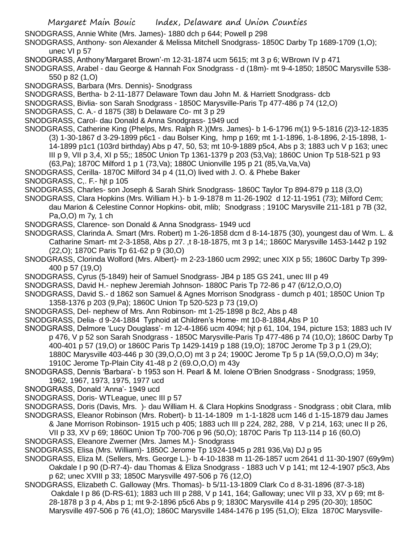- SNODGRASS, Annie White (Mrs. James)- 1880 dch p 644; Powell p 298
- SNODGRASS, Anthony- son Alexander & Melissa Mitchell Snodgrass- 1850C Darby Tp 1689-1709 (1,O); unec VI p 57
- SNODGRASS, Anthony'Margaret Brown'-m 12-31-1874 ucm 5615; mt 3 p 6; WBrown IV p 471
- SNODGRASS, Arabel dau George & Hannah Fox Snodgrass d (18m)- mt 9-4-1850; 1850C Marysville 538- 550 p 82 (1,O)
- SNODGRASS, Barbara (Mrs. Dennis)- Snodgrass
- SNODGRASS, Bertha- b 2-11-1877 Delaware Town dau John M. & Harriett Snodgrass- dcb
- SNODGRASS, Bivlia- son Sarah Snodgrass 1850C Marysville-Paris Tp 477-486 p 74 (12,O)
- SNODGRASS, C. A.- d 1875 (38) b Delaware Co- mt 3 p 29
- SNODGRASS, Carol- dau Donald & Anna Snodgrass- 1949 ucd
- SNODGRASS, Catherine King (Phelps, Mrs. Ralph R.)(Mrs. James)- b 1-6-1796 m(1) 9-5-1816 (2)3-12-1835 (3) 1-30-1867 d 3-29-1899 p6c1 - dau Bolser King, hmp p 169; mt 1-1-1896, 1-8-1896, 2-15-1898, 1- 14-1899 p1c1 (103rd birthday) Abs p 47, 50, 53; mt 10-9-1889 p5c4, Abs p 3; 1883 uch V p 163; unec III p 9, VII p 3,4, XI p 55;; 1850C Union Tp 1361-1379 p 203 (53,Va); 1860C Union Tp 518-521 p 93 (63,Pa); 1870C Milford 1 p 1 (73,Va); 1880C Unionville 195 p 21 (85,Va,Va,Va)
- SNODGRASS, Cerilla- 1870C Milford 34 p 4 (11,O) lived with J. O. & Phebe Baker
- SNODGRASS, C,. F.- hjt p 105
- SNODGRASS, Charles- son Joseph & Sarah Shirk Snodgrass- 1860C Taylor Tp 894-879 p 118 (3,O)
- SNODGRASS, Clara Hopkins (Mrs. William H.)- b 1-9-1878 m 11-26-1902 d 12-11-1951 (73); Milford Cem; dau Marion & Celestine Connor Hopkins- obit, mlib; Snodgrass ; 1910C Marysville 211-181 p 7B (32, Pa,O,O) m 7y, 1 ch
- SNODGRASS, Clarence- son Donald & Anna Snodgrass- 1949 ucd
- SNODGRASS, Clarinda A. Smart (Mrs. Robert) m 1-26-1858 dcm d 8-14-1875 (30), youngest dau of Wm. L. & Catharine Smart- mt 2-3-1858, Abs p 27. ,t 8-18-1875, mt 3 p 14;; 1860C Marysville 1453-1442 p 192 (22,O); 1870C Paris Tp 61-62 p 9 (30,O)
- SNODGRASS, Clorinda Wolford (Mrs. Albert)- m 2-23-1860 ucm 2992; unec XIX p 55; 1860C Darby Tp 399- 400 p 57 (19,O)
- SNODGRASS, Cyrus (5-1849) heir of Samuel Snodgrass- JB4 p 185 GS 241, unec III p 49
- SNODGRASS, David H.- nephew Jeremiah Johnson- 1880C Paris Tp 72-86 p 47 (6/12,O,O,O)
- SNODGRASS, David S.- d 1862 son Samuel & Agnes Morrison Snodgrass dumch p 401; 1850C Union Tp 1358-1376 p 203 (9,Pa); 1860C Union Tp 520-523 p 73 (19,O)
- SNODGRASS, Del- nephew of Mrs. Ann Robinson- mt 1-25-1898 p 8c2, Abs p 48
- SNODGRASS, Delia- d 9-24-1884 Typhoid at Children's Home- mt 10-8-1884,Abs P 10
- SNODGRASS, Delmore 'Lucy Douglass'- m 12-4-1866 ucm 4094; hjt p 61, 104, 194, picture 153; 1883 uch IV p 476, V p 52 son Sarah Snodgrass - 1850C Marysville-Paris Tp 477-486 p 74 (10,O); 1860C Darby Tp 400-401 p 57 (19,O) or 1860C Paris Tp 1429-1419 p 188 (19,O); 1870C Jerome Tp 3 p 1 (29,O); 1880C Marysville 403-446 p 30 (39,O,O,O) mt 3 p 24; 1900C Jerome Tp 5 p 1A (59,O,O,O) m 34y; 1910C Jerome Tp-Plain City 41-48 p 2 (69.O,O,O) m 43y
- SNODGRASS, Dennis 'Barbara'- b 1953 son H. Pearl & M. Iolene O'Brien Snodgrass Snodgrass; 1959, 1962, 1967, 1973, 1975, 1977 ucd
- SNODGRASS, Donald 'Anna'- 1949 ucd
- SNODGRASS, Doris- WTLeague, unec III p 57
- SNODGRASS, Doris (Davis, Mrs. )- dau William H. & Clara Hopkins Snodgrass Snodgrass ; obit Clara, mlib
- SNODGRASS, Eleanor Robinson (Mrs. Robert)- b 11-14-1809 m 1-1-1828 ucm 146 d 1-15-1879 dau James & Jane Morrison Robinson- 1915 uch p 405; 1883 uch III p 224, 282, 288, V p 214, 163; unec II p 26,
- VII p 33, XV p 69; 1860C Union Tp 700-706 p 96 (50,O); 1870C Paris Tp 113-114 p 16 (60,O)
- SNODGRASS, Eleanore Zwerner (Mrs. James M.)- Snodgrass
- SNODGRASS, Elisa (Mrs. William)- 1850C Jerome Tp 1924-1945 p 281 936,Va) DJ p 95
- SNODGRASS, Eliza M. (Sellers, Mrs. George L.)- b 4-10-1838 m 11-26-1857 ucm 2641 d 11-30-1907 (69y9m) Oakdale I p 90 (D-R7-4)- dau Thomas & Eliza Snodgrass - 1883 uch V p 141; mt 12-4-1907 p5c3, Abs p 62; unec XVIII p 33; 1850C Marysville 497-506 p 76 (12,O)
- SNODGRASS, Elizabeth C. Galloway (Mrs. Thomas)- b 5/11-13-1809 Clark Co d 8-31-1896 (87-3-18) Oakdale I p 86 (D-RS-61); 1883 uch III p 288, V p 141, 164; Galloway; unec VII p 33, XV p 69; mt 8- 28-1878 p 3 p 4, Abs p 1; mt 9-2-1896 p5c6 Abs p 9; 1830C Marysville 414 p 295 (20-30); 1850C Marysville 497-506 p 76 (41,O); 1860C Marysville 1484-1476 p 195 (51,O); Eliza 1870C Marysville-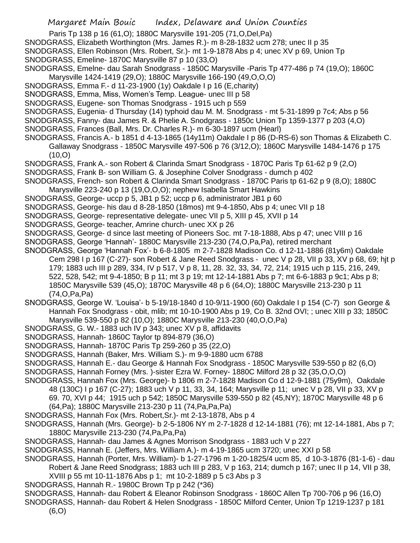- Paris Tp 138 p 16 (61,O); 1880C Marysville 191-205 (71,O,Del,Pa)
- SNODGRASS, Elizabeth Worthington (Mrs. James R.)- m 8-28-1832 ucm 278; unec II p 35
- SNODGRASS, Ellen Robinson (Mrs. Robert, Sr.)- mt 1-9-1878 Abs p 4; unec XV p 69, Union Tp
- SNODGRASS, Emeline- 1870C Marysville 87 p 10 (33,O)
- SNODGRASS, Emelne- dau Sarah Snodgrass 1850C Marysville -Paris Tp 477-486 p 74 (19,O); 1860C Marysville 1424-1419 (29,O); 1880C Marysville 166-190 (49,O,O,O)
- SNODGRASS, Emma F.- d 11-23-1900 (1y) Oakdale I p 16 (E,charity)
- SNODGRASS, Emma, Miss, Women's Temp. League- unec III p 58
- SNODGRASS, Eugene- son Thomas Snodgrass 1915 uch p 559
- SNODGRASS, Eugenia- d Thursday (14) typhoid dau M. M. Snodgrass mt 5-31-1899 p 7c4; Abs p 56
- SNODGRASS, Fanny- dau James R. & Phelie A. Snodgrass 1850c Union Tp 1359-1377 p 203 (4,O)
- SNODGRASS, Frances (Ball, Mrs. Dr. Charles R.)- m 6-30-1897 ucm (Hearl)
- SNODGRASS, Francis A.- b 1851 d 4-13-1865 (14y11m) Oakdale I p 86 (D-RS-6) son Thomas & Elizabeth C. Gallaway Snodgrass - 1850C Marysville 497-506 p 76 (3/12,O); 1860C Marysville 1484-1476 p 175  $(10, 0)$
- SNODGRASS, Frank A.- son Robert & Clarinda Smart Snodgrass 1870C Paris Tp 61-62 p 9 (2,O)
- SNODGRASS, Frank B- son William G. & Josephine Colver Snodgrass dumch p 402
- SNODGRASS, French- son Robert & Clarinda Smart Snodgrass 1870C Paris tp 61-62 p 9 (8,O); 1880C
- Marysville 223-240 p 13 (19,O,O,O); nephew Isabella Smart Hawkins
- SNODGRASS, George- uccp p 5, JB1 p 52; uccp p 6, administrator JB1 p 60
- SNODGRASS, George- his dau d 8-28-1850 (18mos) mt 9-4-1850, Abs p 4; unec VII p 18
- SNODGRASS, George- representative delegate- unec VII p 5, XIII p 45, XVII p 14
- SNODGRASS, George- teacher, Amrine church- unec XX p 26
- SNODGRASS, George- d since last meeting of Pioneers Soc. mt 7-18-1888, Abs p 47; unec VIII p 16
- SNODGRASS, George 'Hannah'- 1880C Marysville 213-230 (74,O,Pa,Pa), retired merchant
- SNODGRASS, George 'Hannah Fox'- b 6-8-1805 m 2-7-1828 Madison Co. d 12-11-1886 (81y6m) Oakdale Cem 298 I p 167 (C-27)- son Robert & Jane Reed Snodgrass - unec V p 28, VII p 33, XV p 68, 69; hjt p 179; 1883 uch III p 289, 334, IV p 517, V p 8, 11, 28. 32, 33, 34, 72, 214; 1915 uch p 115, 216, 249, 522, 528, 542; mt 9-4-1850; B p 11; mt 3 p 19; mt 12-14-1881 Abs p 7; mt 6-6-1883 p 9c1; Abs p 8; 1850C Marysville 539 (45,O); 1870C Marysville 48 p 6 (64,O); 1880C Marysville 213-230 p 11 (74,O,Pa,Pa)
- SNODGRASS, George W. 'Louisa'- b 5-19/18-1840 d 10-9/11-1900 (60) Oakdale I p 154 (C-7) son George & Hannah Fox Snodgrass - obit, mlib; mt 10-10-1900 Abs p 19, Co B. 32nd OVI; ; unec XIII p 33; 1850C Marysville 539-550 p 82 (10,O); 1880C Marysville 213-230 (40,O,O,Pa)
- SNODGRASS, G. W.- 1883 uch IV p 343; unec XV p 8, affidavits
- SNODGRASS, Hannah- 1860C Taylor tp 894-879 (36,O)
- SNODGRASS, Hannah- 1870C Paris Tp 259-260 p 35 (22,O)
- SNODGRASS, Hannah (Baker, Mrs. William S.)- m 9-9-1880 ucm 6788
- SNODGRASS, Hannah E.- dau George & Hannah Fox Snodgrass 1850C Marysville 539-550 p 82 (6,O)
- SNODGRASS, Hannah Forney (Mrs. )-sister Ezra W. Forney- 1880C Milford 28 p 32 (35,O,O,O)
- SNODGRASS, Hannah Fox (Mrs. George)- b 1806 m 2-7-1828 Madison Co d 12-9-1881 (75y9m), Oakdale 48 (130C) I p 167 (C-27); 1883 uch V p 11, 33, 34, 164; Marysville p 11; unec V p 28, VII p 33, XV p 69. 70, XVI p 44; 1915 uch p 542; 1850C Marysville 539-550 p 82 (45,NY); 1870C Marysville 48 p 6 (64,Pa); 1880C Marysville 213-230 p 11 (74,Pa,Pa,Pa)
- SNODGRASS, Hannah Fox (Mrs. Robert,Sr.)- mt 2-13-1878, Abs p 4
- SNODGRASS, Hannah (Mrs. George)- b 2-5-1806 NY m 2-7-1828 d 12-14-1881 (76); mt 12-14-1881, Abs p 7; 1880C Marysville 213-230 (74,Pa,Pa,Pa)
- SNODGRASS, Hannah- dau James & Agnes Morrison Snodgrass 1883 uch V p 227
- SNODGRASS, Hannah E. (Jeffers, Mrs. William A.)- m 4-19-1865 ucm 3720; unec XXI p 58
- SNODGRASS, Hannah (Porter, Mrs. William)- b 1-27-1796 m 1-20-1825/4 ucm 85, d 10-3-1876 (81-1-6) dau Robert & Jane Reed Snodgrass; 1883 uch III p 283, V p 163, 214; dumch p 167; unec II p 14, VII p 38,
	- XVIII p 55 mt 10-11-1876 Abs p 1; mt 10-2-1889 p 5 c3 Abs p 3
- SNODGRASS, Hannah R.- 1980C Brown Tp p 242 (\*36)
- SNODGRASS, Hannah- dau Robert & Eleanor Robinson Snodgrass 1860C Allen Tp 700-706 p 96 (16,O)
- SNODGRASS, Hannah- dau Robert & Helen Snodgrass 1850C Milford Center, Union Tp 1219-1237 p 181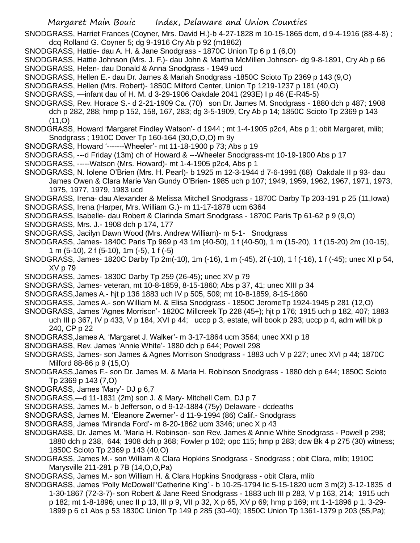SNODGRASS, Harriet Frances (Coyner, Mrs. David H.)-b 4-27-1828 m 10-15-1865 dcm, d 9-4-1916 (88-4-8) ; dcq Rolland G. Coyner 5; dg 9-1916 Cry Ab p 92 (m1862)

SNODGRASS, Hattie- dau A. H. & Jane Snodgrass - 1870C Union Tp 6 p 1 (6,O)

SNODGRASS, Hattie Johnson (Mrs. J. F.)- dau John & Martha McMillen Johnson- dg 9-8-1891, Cry Ab p 66 SNODGRASS, Helen- dau Donald & Anna Snodgrass - 1949 ucd

- SNODGRASS, Hellen E.- dau Dr. James & Mariah Snodgrass -1850C Scioto Tp 2369 p 143 (9,O)
- SNODGRASS, Hellen (Mrs. Robert)- 1850C Milford Center, Union Tp 1219-1237 p 181 (40,O)
- SNODGRASS, —infant dau of H. M. d 3-29-1906 Oakdale 2041 (293E) I p 46 (E-R45-5)
- SNODGRASS, Rev. Horace S.- d 2-21-1909 Ca. (70) son Dr. James M. Snodgrass 1880 dch p 487; 1908 dch p 282, 288; hmp p 152, 158, 167, 283; dg 3-5-1909, Cry Ab p 14; 1850C Scioto Tp 2369 p 143  $(11, 0)$

SNODGRASS, Howard 'Margaret Findley Watson'- d 1944 ; mt 1-4-1905 p2c4, Abs p 1; obit Margaret, mlib; Snodgrass ; 1910C Dover Tp 160-164 (30,O,O,O) m 9y

- SNODGRASS, Howard '-------Wheeler'- mt 11-18-1900 p 73; Abs p 19
- SNODGRASS, ---d Friday (13m) ch of Howard & ---Wheeler Snodgrass-mt 10-19-1900 Abs p 17
- SNODGRASS, -----Watson (Mrs. Howard)- mt 1-4-1905 p2c4, Abs p 1
- SNODGRASS, N. Iolene O'Brien (Mrs. H. Pearl)- b 1925 m 12-3-1944 d 7-6-1991 (68) Oakdale II p 93- dau James Owen & Clara Marie Van Gundy O'Brien- 1985 uch p 107; 1949, 1959, 1962, 1967, 1971, 1973, 1975, 1977, 1979, 1983 ucd

SNODGRASS, Irena- dau Alexander & Melissa Mitchell Snodgrass - 1870C Darby Tp 203-191 p 25 (11,Iowa)

- SNODGRASS, Irena (Harper, Mrs. William G.)- m 11-17-1878 ucm 6364
- SNODGRASS, Isabelle- dau Robert & Clarinda Smart Snodgrass 1870C Paris Tp 61-62 p 9 (9,O)
- SNODGRASS, Mrs. J.- 1908 dch p 174, 177
- SNODGRASS, Jacilyn Dawn Wood (Mrs. Andrew William)- m 5-1- Snodgrass
- SNODGRASS, James- 1840C Paris Tp 969 p 43 1m (40-50), 1 f (40-50), 1 m (15-20), 1 f (15-20) 2m (10-15), 1 m (5-10), 2 f (5-10), 1m (-5), 1 f (-5)
- SNODGRASS, James- 1820C Darby Tp 2m(-10), 1m (-16), 1 m (-45), 2f (-10), 1 f (-16), 1 f (-45); unec XI p 54, XV p 79
- SNODGRASS, James- 1830C Darby Tp 259 (26-45); unec XV p 79
- SNODGRASS, James- veteran, mt 10-8-1859, 8-15-1860; Abs p 37, 41; unec XIII p 34
- SNODGRASS,James A.- hjt p 136 1883 uch IV p 505, 509; mt 10-8-1859, 8-15-1860
- SNODGRASS, James A.- son William M. & Elisa Snodgrass 1850C JeromeTp 1924-1945 p 281 (12,O)
- SNODGRASS, James 'Agnes Morrison'- 1820C Millcreek Tp 228 (45+); hjt p 176; 1915 uch p 182, 407; 1883 uch III p 367, IV p 433, V p 184, XVI p 44; uccp p 3, estate, will book p 293; uccp p 4, adm will bk p 240, CP p 22
- SNODGRASS,James A. 'Margaret J. Walker'- m 3-17-1864 ucm 3564; unec XXI p 18
- SNODGRASS, Rev. James 'Annie White'- 1880 dch p 644; Powell 298
- SNODGRASS, James- son James & Agnes Morrison Snodgrass 1883 uch V p 227; unec XVI p 44; 1870C Milford 88-86 p 9 (15,O)
- SNODGRASS,James F.- son Dr. James M. & Maria H. Robinson Snodgrass 1880 dch p 644; 1850C Scioto Tp 2369 p 143 (7,O)
- SNODGRASS, James 'Mary'- DJ p 6,7
- SNODGRASS,—d 11-1831 (2m) son J. & Mary- Mitchell Cem, DJ p 7
- SNODGRASS, James M.- b Jefferson, o d 9-12-1884 (75y) Delaware dcdeaths
- SNODGRASS, James M. 'Eleanore Zwerner'- d 11-9-1994 (86) Calif.- Snodgrass
- SNODGRASS, James 'Miranda Ford'- m 8-20-1862 ucm 3346; unec X p 43
- SNODGRASS, Dr. James M. 'Maria H. Robinson- son Rev. James & Annie White Snodgrass Powell p 298; 1880 dch p 238, 644; 1908 dch p 368; Fowler p 102; opc 115; hmp p 283; dcw Bk 4 p 275 (30) witness; 1850C Scioto Tp 2369 p 143 (40,O)
- SNODGRASS, James M.- son William & Clara Hopkins Snodgrass Snodgrass ; obit Clara, mlib; 1910C Marysville 211-281 p 7B (14,O,O,Pa)
- SNODGRASS, James M.- son William H. & Clara Hopkins Snodgrass obit Clara, mlib
- SNODGRASS, James 'Polly McDowell''Catherine King' b 10-25-1794 lic 5-15-1820 ucm 3 m(2) 3-12-1835 d 1-30-1867 (72-3-7)- son Robert & Jane Reed Snodgrass - 1883 uch III p 283, V p 163, 214; 1915 uch p 182; mt 1-8-1896; unec II p 13, III p 9, VII p 32, X p 65, XV p 69; hmp p 169; mt 1-1-1896 p 1, 3-29- 1899 p 6 c1 Abs p 53 1830C Union Tp 149 p 285 (30-40); 1850C Union Tp 1361-1379 p 203 (55,Pa);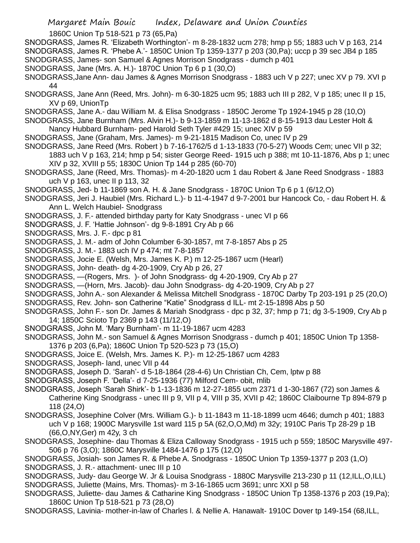1860C Union Tp 518-521 p 73 (65,Pa)

SNODGRASS, James R. 'Elizabeth Worthington'- m 8-28-1832 ucm 278; hmp p 55; 1883 uch V p 163, 214 SNODGRASS, James R. 'Phebe A.'- 1850C Union Tp 1359-1377 p 203 (30,Pa); uccp p 39 sec JB4 p 185 SNODGRASS, James- son Samuel & Agnes Morrison Snodgrass - dumch p 401

- SNODGRASS, Jane (Mrs. A. H.)- 1870C Union Tp 6 p 1 (30,O)
- SNODGRASS,Jane Ann- dau James & Agnes Morrison Snodgrass 1883 uch V p 227; unec XV p 79. XVI p 44
- SNODGRASS, Jane Ann (Reed, Mrs. John)- m 6-30-1825 ucm 95; 1883 uch III p 282, V p 185; unec II p 15, XV p 69, UnionTp
- SNODGRASS, Jane A.- dau William M. & Elisa Snodgrass 1850C Jerome Tp 1924-1945 p 28 (10,O)
- SNODGRASS, Jane Burnham (Mrs. Alvin H.)- b 9-13-1859 m 11-13-1862 d 8-15-1913 dau Lester Holt & Nancy Hubbard Burnham- ped Harold Seth Tyler #429 15; unec XIV p 59
- SNODGRASS, Jane (Graham, Mrs. James)- m 9-21-1815 Madison Co, unec IV p 29
- SNODGRASS, Jane Reed (Mrs. Robert ) b 7-16-1762/5 d 1-13-1833 (70-5-27) Woods Cem; unec VII p 32;

1883 uch V p 163, 214; hmp p 54; sister George Reed- 1915 uch p 388; mt 10-11-1876, Abs p 1; unec XIV p 32, XVIII p 55; 1830C Union Tp 144 p 285 (60-70)

- SNODGRASS, Jane (Reed, Mrs. Thomas)- m 4-20-1820 ucm 1 dau Robert & Jane Reed Snodgrass 1883 uch V p 163, unec II p 113, 32
- SNODGRASS, Jed- b 11-1869 son A. H. & Jane Snodgrass 1870C Union Tp 6 p 1 (6/12,O)
- SNODGRASS, Jeri J. Haubiel (Mrs. Richard L.)- b 11-4-1947 d 9-7-2001 bur Hancock Co, dau Robert H. & Ann L. Welch Haubiel- Snodgrass
- SNODGRASS, J. F.- attended birthday party for Katy Snodgrass unec VI p 66
- SNODGRASS, J. F. 'Hattie Johnson'- dg 9-8-1891 Cry Ab p 66
- SNODGRASS, Mrs. J. F.- dpc p 81
- SNODGRASS, J. M.- adm of John Columber 6-30-1857, mt 7-8-1857 Abs p 25
- SNODGRASS, J. M.- 1883 uch IV p 474; mt 7-8-1857
- SNODGRASS, Jocie E. (Welsh, Mrs. James K. P.) m 12-25-1867 ucm (Hearl)
- SNODGRASS, John- death- dg 4-20-1909, Cry Ab p 26, 27
- SNODGRASS, —(Rogers, Mrs. )- of John Snodgrass- dg 4-20-1909, Cry Ab p 27
- SNODGRASS, —(Horn, Mrs. Jacob)- dau John Snodgrass- dg 4-20-1909, Cry Ab p 27
- SNODGRASS, John A.- son Alexander & Melissa Mitchell Snodgrass 1870C Darby Tp 203-191 p 25 (20,O)
- SNODGRASS, Rev. John- son Catherine "Katie" Snodgrass d ILL- mt 2-15-1898 Abs p 50
- SNODGRASS, John F.- son Dr. James & Mariah Snodgrass dpc p 32, 37; hmp p 71; dg 3-5-1909, Cry Ab p 14; 1850C Scioto Tp 2369 p 143 (11/12,O)
- SNODGRASS, John M. 'Mary Burnham'- m 11-19-1867 ucm 4283
- SNODGRASS, John M.- son Samuel & Agnes Morrison Snodgrass dumch p 401; 1850C Union Tp 1358- 1376 p 203 (6,Pa); 1860C Union Tp 520-523 p 73 (15,O)
- SNODGRASS, Joice E. (Welsh, Mrs. James K. P.)- m 12-25-1867 ucm 4283
- SNODGRASS, Joseph- land, unec VII p 44
- SNODGRASS, Joseph D. 'Sarah'- d 5-18-1864 (28-4-6) Un Christian Ch, Cem, lptw p 88
- SNODGRASS, Joseph F. 'Della'- d 7-25-1936 (77) Milford Cem- obit, mlib
- SNODGRASS, Joseph 'Sarah Shirk'- b 1-13-1836 m 12-27-1855 ucm 2371 d 1-30-1867 (72) son James & Catherine King Snodgrass - unec III p 9, VII p 4, VIII p 35, XVII p 42; 1860C Claibourne Tp 894-879 p 118 (24,O)
- SNODGRASS, Josephine Colver (Mrs. William G.)- b 11-1843 m 11-18-1899 ucm 4646; dumch p 401; 1883 uch V p 168; 1900C Marysville 1st ward 115 p 5A (62,O,O,Md) m 32y; 1910C Paris Tp 28-29 p 1B (66,O,NY,Ger) m 42y, 3 ch
- SNODGRASS, Josephine- dau Thomas & Eliza Calloway Snodgrass 1915 uch p 559; 1850C Marysville 497- 506 p 76 (3,O); 1860C Marysville 1484-1476 p 175 (12,O)
- SNODGRASS, Josiah- son James R. & Phebe A. Snodgrass 1850C Union Tp 1359-1377 p 203 (1,O) SNODGRASS, J. R.- attachment- unec III p 10
- 
- SNODGRASS, Judy- dau George W. Jr & Louisa Snodgrass 1880C Marysville 213-230 p 11 (12,ILL,O,ILL) SNODGRASS, Juliette (Mains, Mrs. Thomas)- m 3-16-1865 ucm 3691; unrc XXI p 58
- SNODGRASS, Juliette- dau James & Catharine King Snodgrass 1850C Union Tp 1358-1376 p 203 (19,Pa); 1860C Union Tp 518-521 p 73 (28,O)
- SNODGRASS, Lavinia- mother-in-law of Charles l. & Nellie A. Hanawalt- 1910C Dover tp 149-154 (68,ILL,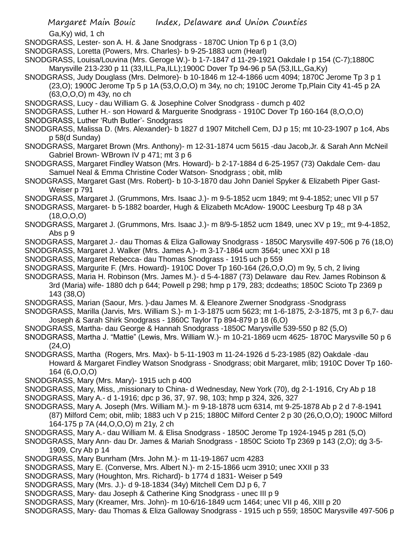Ga,Ky) wid, 1 ch

- SNODGRASS, Lester- son A. H. & Jane Snodgrass 1870C Union Tp 6 p 1 (3,O)
- SNODGRASS, Loretta (Powers, Mrs. Charles)- b 9-25-1883 ucm (Hearl)
- SNODGRASS, Louisa/Louvina (Mrs. Geroge W.)- b 1-7-1847 d 11-29-1921 Oakdale I p 154 (C-7);1880C Marysville 213-230 p 11 (33,ILL,Pa,ILL);1900C Dover Tp 94-96 p 5A (53,ILL,Ga,Ky)
- SNODGRASS, Judy Douglass (Mrs. Delmore)- b 10-1846 m 12-4-1866 ucm 4094; 1870C Jerome Tp 3 p 1 (23,O); 1900C Jerome Tp 5 p 1A (53,O,O,O) m 34y, no ch; 1910C Jerome Tp,Plain City 41-45 p 2A (63,O,O,O) m 43y, no ch
- SNODGRASS, Lucy dau William G. & Josephine Colver Snodgrass dumch p 402
- SNODGRASS, Luther H.- son Howard & Marguerite Snodgrass 1910C Dover Tp 160-164 (8,O,O,O)
- SNODGRASS, Luther 'Ruth Butler'- Snodgrass
- SNODGRASS, Malissa D. (Mrs. Alexander)- b 1827 d 1907 Mitchell Cem, DJ p 15; mt 10-23-1907 p 1c4, Abs p 58(d Sunday)
- SNODGRASS, Margaret Brown (Mrs. Anthony)- m 12-31-1874 ucm 5615 -dau Jacob,Jr. & Sarah Ann McNeil Gabriel Brown- WBrown IV p 471; mt 3 p 6
- SNODGRASS, Margaret Findley Watson (Mrs. Howard)- b 2-17-1884 d 6-25-1957 (73) Oakdale Cem- dau Samuel Neal & Emma Christine Coder Watson- Snodgrass ; obit, mlib
- SNODGRASS, Margaret Gast (Mrs. Robert)- b 10-3-1870 dau John Daniel Spyker & Elizabeth Piper Gast-Weiser p 791
- SNODGRASS, Margaret J. (Grummons, Mrs. Isaac J.)- m 9-5-1852 ucm 1849; mt 9-4-1852; unec VII p 57
- SNODGRASS, Margaret- b 5-1882 boarder, Hugh & Elizabeth McAdow- 1900C Leesburg Tp 48 p 3A (18,O,O,O)
- SNODGRASS, Margaret J. (Grummons, Mrs. Isaac J.)- m 8/9-5-1852 ucm 1849, unec XV p 19;, mt 9-4-1852, Abs p 9
- SNODGRASS, Margaret J.- dau Thomas & Eliza Galloway Snodgrass 1850C Marysville 497-506 p 76 (18,O)
- SNODGRASS, Margaret J. Walker (Mrs. James A.)- m 3-17-1864 ucm 3564; unec XXI p 18
- SNODGRASS, Margaret Rebecca- dau Thomas Snodgrass 1915 uch p 559
- SNODGRASS, Margurite F. (Mrs. Howard)- 1910C Dover Tp 160-164 (26,O,O,O) m 9y, 5 ch, 2 living
- SNODGRASS, Maria H. Robinson (Mrs. James M.)- d 5-4-1887 (73) Delaware dau Rev. James Robinson & 3rd (Maria) wife- 1880 dch p 644; Powell p 298; hmp p 179, 283; dcdeaths; 1850C Scioto Tp 2369 p 143 (38,O)
- SNODGRASS, Marian (Saour, Mrs. )-dau James M. & Eleanore Zwerner Snodgrass -Snodgrass
- SNODGRASS, Marilla (Jarvis, Mrs. William S.)- m 1-3-1875 ucm 5623; mt 1-6-1875, 2-3-1875, mt 3 p 6,7- dau Joseph & Sarah Shirk Snodgrass - 1860C Taylor Tp 894-879 p 18 (6,O)
- SNODGRASS, Martha- dau George & Hannah Snodgrass -1850C Marysville 539-550 p 82 (5,O)
- SNODGRASS, Martha J. "Mattie" (Lewis, Mrs. William W.)- m 10-21-1869 ucm 4625- 1870C Marysville 50 p 6 (24,O)
- SNODGRASS, Martha (Rogers, Mrs. Max)- b 5-11-1903 m 11-24-1926 d 5-23-1985 (82) Oakdale -dau Howard & Margaret Findley Watson Snodgrass - Snodgrass; obit Margaret, mlib; 1910C Dover Tp 160- 164 (6,O,O,O)
- SNODGRASS, Mary (Mrs. Mary)- 1915 uch p 400
- SNODGRASS, Mary, Miss, ,missionary to China- d Wednesday, New York (70), dg 2-1-1916, Cry Ab p 18 SNODGRASS, Mary A.- d 1-1916; dpc p 36, 37, 97. 98, 103; hmp p 324, 326, 327
- SNODGRASS, Mary A. Joseph (Mrs. William M.)- m 9-18-1878 ucm 6314, mt 9-25-1878 Ab p 2 d 7-8-1941 (87) Milford Cem; obit, mlib; 1883 uch V p 215; 1880C Milford Center 2 p 30 (26,O,O,O); 1900C Milford 164-175 p 7A (44,O,O,O) m 21y, 2 ch
- SNODGRASS, Mary A.- dau William M. & Elisa Snodgrass 1850C Jerome Tp 1924-1945 p 281 (5,O)
- SNODGRASS, Mary Ann- dau Dr. James & Mariah Snodgrass 1850C Scioto Tp 2369 p 143 (2,O); dg 3-5- 1909, Cry Ab p 14
- SNODGRASS, Mary Bunrham (Mrs. John M.)- m 11-19-1867 ucm 4283
- SNODGRASS, Mary E. (Converse, Mrs. Albert N.)- m 2-15-1866 ucm 3910; unec XXII p 33
- SNODGRASS, Mary (Houghton, Mrs. Richard)- b 1774 d 1831- Weiser p 549
- SNODGRASS, Mary (Mrs. J.)- d 9-18-1834 (34y) Mitchell Cem DJ p 6, 7
- SNODGRASS, Mary- dau Joseph & Catherine King Snodgrass unec III p 9
- SNODGRASS, Mary (Kreamer, Mrs. John)- m 10-6/16-1849 ucm 1464; unec VII p 46, XIII p 20
- SNODGRASS, Mary- dau Thomas & Eliza Galloway Snodgrass 1915 uch p 559; 1850C Marysville 497-506 p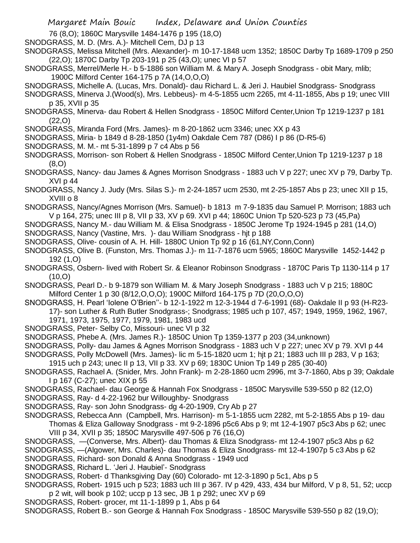76 (8,O); 1860C Marysville 1484-1476 p 195 (18,O)

SNODGRASS, M. D. (Mrs. A.)- Mitchell Cem, DJ p 13

SNODGRASS, Melissa Mitchell (Mrs. Alexander)- m 10-17-1848 ucm 1352; 1850C Darby Tp 1689-1709 p 250 (22,O); 1870C Darby Tp 203-191 p 25 (43,O); unec VI p 57

SNODGRASS, Merrel/Merle H.- b 5-1886 son William M. & Mary A. Joseph Snodgrass - obit Mary, mlib; 1900C Milford Center 164-175 p 7A (14,O,O,O)

SNODGRASS, Michelle A. (Lucas, Mrs. Donald)- dau Richard L. & Jeri J. Haubiel Snodgrass- Snodgrass

SNODGRASS, Minerva J.(Wood(s), Mrs. Lebbeus)- m 4-5-1855 ucm 2265, mt 4-11-1855, Abs p 19; unec VIII p 35, XVII p 35

SNODGRASS, Minerva- dau Robert & Hellen Snodgrass - 1850C Milford Center,Union Tp 1219-1237 p 181 (22,O)

SNODGRASS, Miranda Ford (Mrs. James)- m 8-20-1862 ucm 3346; unec XX p 43

SNODGRASS, Miria- b 1849 d 8-28-1850 (1y4m) Oakdale Cem 787 (D86) I p 86 (D-R5-6)

SNODGRASS, M. M.- mt 5-31-1899 p 7 c4 Abs p 56

SNODGRASS, Morrison- son Robert & Hellen Snodgrass - 1850C Milford Center,Union Tp 1219-1237 p 18 (8,O)

SNODGRASS, Nancy- dau James & Agnes Morrison Snodgrass - 1883 uch V p 227; unec XV p 79, Darby Tp. XVI p 44

SNODGRASS, Nancy J. Judy (Mrs. Silas S.)- m 2-24-1857 ucm 2530, mt 2-25-1857 Abs p 23; unec XII p 15, XVIII o 8

SNODGRASS, Nancy/Agnes Morrison (Mrs. Samuel)- b 1813 m 7-9-1835 dau Samuel P. Morrison; 1883 uch V p 164, 275; unec III p 8, VII p 33, XV p 69. XVI p 44; 1860C Union Tp 520-523 p 73 (45,Pa)

SNODGRASS, Nancy M.- dau William M. & Elisa Snodgrass - 1850C Jerome Tp 1924-1945 p 281 (14,O)

SNODGRASS, Nancy (Vastine, Mrs. )- dau William Snodgrass - hjt p 188

SNODGRASS, Olive- cousin of A. H. Hill- 1880C Union Tp 92 p 16 (61,NY,Conn,Conn)

SNODGRASS, Olive B. (Funston, Mrs. Thomas J.)- m 11-7-1876 ucm 5965; 1860C Marysville 1452-1442 p 192 (1,O)

SNODGRASS, Osbern- lived with Robert Sr. & Eleanor Robinson Snodgrass - 1870C Paris Tp 1130-114 p 17  $(10, O)$ 

SNODGRASS, Pearl D.- b 9-1879 son William M. & Mary Joseph Snodgrass - 1883 uch V p 215; 1880C Milford Center 1 p 30 (8/12,O,O,O); 1900C Milford 164-175 p 7D (20,O,O,O)

SNODGRASS, H. Pearl 'Iolene O'Brien''- b 12-1-1922 m 12-3-1944 d 7-6-1991 (68)- Oakdale II p 93 (H-R23- 17)- son Luther & Ruth Butler Snodgrass-; Snodgrass; 1985 uch p 107, 457; 1949, 1959, 1962, 1967, 1971, 1973, 1975, 1977, 1979, 1981, 1983 ucd

SNODGRASS, Peter- Selby Co, Missouri- unec VI p 32

SNODGRASS, Phebe A. (Mrs. James R.)- 1850C Union Tp 1359-1377 p 203 (34,unknown)

SNODGRASS, Polly- dau James & Agnes Morrison Snodgrass - 1883 uch V p 227; unec XV p 79. XVI p 44

SNODGRASS, Polly McDowell (Mrs. James)- lic m 5-15-1820 ucm 1; hjt p 21; 1883 uch III p 283, V p 163;

1915 uch p 243; unec II p 13, VII p 33. XV p 69; 1830C Union Tp 149 p 285 (30-40)

SNODGRASS, Rachael A. (Snider, Mrs. John Frank)- m 2-28-1860 ucm 2996, mt 3-7-1860, Abs p 39; Oakdale I p 167 (C-27); unec XIX p 55

SNODGRASS, Rachael- dau George & Hannah Fox Snodgrass - 1850C Marysville 539-550 p 82 (12,O)

SNODGRASS, Ray- d 4-22-1962 bur Willoughby- Snodgrass

- SNODGRASS, Ray- son John Snodgrass- dg 4-20-1909, Cry Ab p 27
- SNODGRASS, Rebecca Ann (Campbell, Mrs. Harrison)- m 5-1-1855 ucm 2282, mt 5-2-1855 Abs p 19- dau Thomas & Eliza Galloway Snodgrass - mt 9-2-1896 p5c6 Abs p 9; mt 12-4-1907 p5c3 Abs p 62; unec VIII p 34, XVII p 35; 1850C Marysville 497-506 p 76 (16,O)
- SNODGRASS, —(Converse, Mrs. Albert)- dau Thomas & Eliza Snodgrass- mt 12-4-1907 p5c3 Abs p 62

SNODGRASS, —(Algower, Mrs. Charles)- dau Thomas & Eliza Snodgrass- mt 12-4-1907p 5 c3 Abs p 62

SNODGRASS, Richard- son Donald & Anna Snodgrass - 1949 ucd

SNODGRASS, Richard L. 'Jeri J. Haubiel'- Snodgrass

SNODGRASS, Robert- d Thanksgiving Day (60) Colorado- mt 12-3-1890 p 5c1, Abs p 5

- SNODGRASS, Robert- 1915 uch p 523; 1883 uch III p 367. IV p 429, 433, 434 bur Milford, V p 8, 51, 52; uccp p 2 wit, will book p 102; uccp p 13 sec, JB 1 p 292; unec XV p 69
- SNODGRASS, Robert- grocer, mt 11-1-1899 p 1, Abs p 64

SNODGRASS, Robert B.- son George & Hannah Fox Snodgrass - 1850C Marysville 539-550 p 82 (19,O);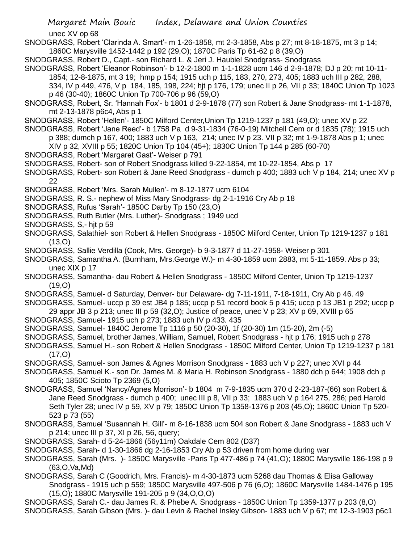Margaret Main Bouic Index, Delaware and Union Counties unec XV op 68 SNODGRASS, Robert 'Clarinda A. Smart'- m 1-26-1858, mt 2-3-1858, Abs p 27; mt 8-18-1875, mt 3 p 14; 1860C Marysville 1452-1442 p 192 (29,O); 1870C Paris Tp 61-62 p 8 (39,O) SNODGRASS, Robert D., Capt.- son Richard L. & Jeri J. Haubiel Snodgrass- Snodgrass SNODGRASS, Robert 'Eleanor Robinson'- b 12-2-1800 m 1-1-1828 ucm 146 d 2-9-1878; DJ p 20; mt 10-11- 1854; 12-8-1875, mt 3 19; hmp p 154; 1915 uch p 115, 183, 270, 273, 405; 1883 uch III p 282, 288, 334, IV p 449, 476, V p 184, 185, 198, 224; hjt p 176, 179; unec II p 26, VII p 33; 1840C Union Tp 1023 p 46 (30-40); 1860C Union Tp 700-706 p 96 (59,O) SNODGRASS, Robert, Sr. 'Hannah Fox'- b 1801 d 2-9-1878 (77) son Robert & Jane Snodgrass- mt 1-1-1878, mt 2-13-1878 p6c4, Abs p 1 SNODGRASS, Robert 'Hellen'- 1850C Milford Center,Union Tp 1219-1237 p 181 (49,O); unec XV p 22 SNODGRASS, Robert 'Jane Reed'- b 1758 Pa d 9-31-1834 (76-0-19) Mitchell Cem or d 1835 (78); 1915 uch p 388; dumch p 167, 400; 1883 uch V p 163, 214; unec IV p 23. VII p 32; mt 1-9-1878 Abs p 1; unec XIV p 32, XVIII p 55; 1820C Union Tp 104 (45+); 1830C Union Tp 144 p 285 (60-70) SNODGRASS, Robert 'Margaret Gast'- Weiser p 791 SNODGRASS, Robert- son of Robert Snodgrass killed 9-22-1854, mt 10-22-1854, Abs p 17 SNODGRASS, Robert- son Robert & Jane Reed Snodgrass - dumch p 400; 1883 uch V p 184, 214; unec XV p 22 SNODGRASS, Robert 'Mrs. Sarah Mullen'- m 8-12-1877 ucm 6104 SNODGRASS, R. S.- nephew of Miss Mary Snodgrass- dg 2-1-1916 Cry Ab p 18 SNODGRASS, Rufus 'Sarah'- 1850C Darby Tp 150 (23,O) SNODGRASS, Ruth Butler (Mrs. Luther)- Snodgrass ; 1949 ucd SNODGRASS, S,- hjt p 59 SNODGRASS, Salathiel- son Robert & Hellen Snodgrass - 1850C Milford Center, Union Tp 1219-1237 p 181 (13,O) SNODGRASS, Sallie Verdilla (Cook, Mrs. George)- b 9-3-1877 d 11-27-1958- Weiser p 301 SNODGRASS, Samantha A. (Burnham, Mrs.George W.)- m 4-30-1859 ucm 2883, mt 5-11-1859. Abs p 33; unec XIX p 17 SNODGRASS, Samantha- dau Robert & Hellen Snodgrass - 1850C Milford Center, Union Tp 1219-1237 (19,O) SNODGRASS, Samuel- d Saturday, Denver- bur Delaware- dg 7-11-1911, 7-18-1911, Cry Ab p 46. 49 SNODGRASS, Samuel- uccp p 39 est JB4 p 185; uccp p 51 record book 5 p 415; uccp p 13 JB1 p 292; uccp p 29 appr JB 3 p 213; unec III p 59 (32,O); Justice of peace, unec V p 23; XV p 69, XVIII p 65 SNODGRASS, Samuel- 1915 uch p 273; 1883 uch IV p 433. 435 SNODGRASS, Samuel- 1840C Jerome Tp 1116 p 50 (20-30), 1f (20-30) 1m (15-20), 2m (-5) SNODGRASS, Samuel, brother James, William, Samuel, Robert Snodgrass - hjt p 176; 1915 uch p 278 SNODGRASS, Samuel H.- son Robert & Hellen Snodgrass - 1850C Milford Center, Union Tp 1219-1237 p 181  $(17, 0)$ SNODGRASS, Samuel- son James & Agnes Morrison Snodgrass - 1883 uch V p 227; unec XVI p 44 SNODGRASS, Samuel K.- son Dr. James M. & Maria H. Robinson Snodgrass - 1880 dch p 644; 1908 dch p 405; 1850C Scioto Tp 2369 (5,O) SNODGRASS, Samuel 'Nancy/Agnes Morrison'- b 1804 m 7-9-1835 ucm 370 d 2-23-187-(66) son Robert & Jane Reed Snodgrass - dumch p 400; unec III p 8, VII p 33; 1883 uch V p 164 275, 286; ped Harold Seth Tyler 28; unec IV p 59, XV p 79; 1850C Union Tp 1358-1376 p 203 (45,O); 1860C Union Tp 520- 523 p 73 (55) SNODGRASS, Samuel 'Susannah H. Gill'- m 8-16-1838 ucm 504 son Robert & Jane Snodgrass - 1883 uch V p 214; unec III p 37, XI p 26, 56, query; SNODGRASS, Sarah- d 5-24-1866 (56y11m) Oakdale Cem 802 (D37) SNODGRASS, Sarah- d 1-30-1866 dg 2-16-1853 Cry Ab p 53 driven from home during war SNODGRASS, Sarah (Mrs. )- 1850C Marysville -Paris Tp 477-486 p 74 (41,O); 1880C Marysville 186-198 p 9 (63,O,Va,Md)

SNODGRASS, Sarah C (Goodrich, Mrs. Francis)- m 4-30-1873 ucm 5268 dau Thomas & Elisa Galloway Snodgrass - 1915 uch p 559; 1850C Marysville 497-506 p 76 (6,O); 1860C Marysville 1484-1476 p 195 (15,O); 1880C Marysville 191-205 p 9 (34,O,O,O)

SNODGRASS, Sarah C.- dau James R. & Phebe A. Snodgrass - 1850C Union Tp 1359-1377 p 203 (8,O) SNODGRASS, Sarah Gibson (Mrs. )- dau Levin & Rachel Insley Gibson- 1883 uch V p 67; mt 12-3-1903 p6c1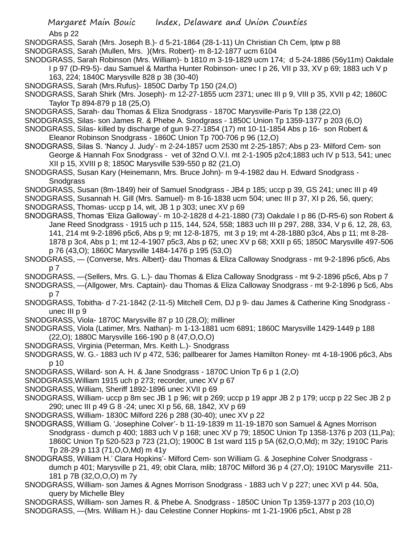Abs p 22

- SNODGRASS, Sarah (Mrs. Joseph B.)- d 5-21-1864 (28-1-11) Un Christian Ch Cem, lptw p 88
- SNODGRASS, Sarah (Mullen, Mrs. )(Mrs. Robert)- m 8-12-1877 ucm 6104
- SNODGRASS, Sarah Robinson (Mrs. William)- b 1810 m 3-19-1829 ucm 174; d 5-24-1886 (56y11m) Oakdale I p 97 (D-R9-5)- dau Samuel & Martha Hunter Robinson- unec I p 26, VII p 33, XV p 69; 1883 uch V p

163, 224; 1840C Marysville 828 p 38 (30-40)

- SNODGRASS, Sarah (Mrs.Rufus)- 1850C Darby Tp 150 (24,O)
- SNODGRASS, Sarah Shirk (Mrs. Joseph)- m 12-27-1855 ucm 2371; unec III p 9, VIII p 35, XVII p 42; 1860C Taylor Tp 894-879 p 18 (25,O)
- SNODGRASS, Sarah- dau Thomas & Eliza Snodgrass 1870C Marysville-Paris Tp 138 (22,O)
- SNODGRASS, Silas- son James R. & Phebe A. Snodgrass 1850C Union Tp 1359-1377 p 203 (6,O)
- SNODGRASS, Silas- killed by discharge of gun 9-27-1854 (17) mt 10-11-1854 Abs p 16- son Robert & Eleanor Robinson Snodgrass - 1860C Union Tp 700-706 p 96 (12,O)
- SNODGRASS, Silas S. 'Nancy J. Judy'- m 2-24-1857 ucm 2530 mt 2-25-1857; Abs p 23- Milford Cem- son George & Hannah Fox Snodgrass - vet of 32nd O.V.I. mt 2-1-1905 p2c4;1883 uch IV p 513, 541; unec XII p 15, XVIII p 8; 1850C Marysville 539-550 p 82 (21,O)
- SNODGRASS, Susan Kary (Heinemann, Mrs. Bruce John)- m 9-4-1982 dau H. Edward Snodgrass **Snodgrass**
- SNODGRASS, Susan (8m-1849) heir of Samuel Snodgrass JB4 p 185; uccp p 39, GS 241; unec III p 49
- SNODGRASS, Susannah H. Gill (Mrs. Samuel)- m 8-16-1838 ucm 504; unec III p 37, XI p 26, 56, query;
- SNODGRASS, Thomas- uccp p 14, wit, JB 1 p 303; unec XV p 69
- SNODGRASS, Thomas 'Eliza Galloway'- m 10-2-1828 d 4-21-1880 (73) Oakdale I p 86 (D-R5-6) son Robert & Jane Reed Snodgrass - 1915 uch p 115, 144, 524, 558; 1883 uch III p 297, 288, 334, V p 6, 12, 28, 63, 141, 214 mt 9-2-1896 p5c6, Abs p 9; mt 12-8-1875, mt 3 p 19; mt 4-28-1880 p3c4, Abs p 11; mt 8-28- 1878 p 3c4, Abs p 1; mt 12-4-1907 p5c3, Abs p 62; unec XV p 68; XXII p 65; 1850C Marysville 497-506 p 76 (43,O); 1860C Marysville 1484-1476 p 195 (53,O)
- SNODGRASS, (Converse, Mrs. Albert)- dau Thomas & Eliza Calloway Snodgrass mt 9-2-1896 p5c6, Abs p 7
- SNODGRASS, —(Sellers, Mrs. G. L.)- dau Thomas & Eliza Calloway Snodgrass mt 9-2-1896 p5c6, Abs p 7
- SNODGRASS, —(Allgower, Mrs. Captain)- dau Thomas & Eliza Calloway Snodgrass mt 9-2-1896 p 5c6, Abs p 7
- SNODGRASS, Tobitha- d 7-21-1842 (2-11-5) Mitchell Cem, DJ p 9- dau James & Catherine King Snodgrass unec III p 9
- SNODGRASS, Viola- 1870C Marysville 87 p 10 (28,O); milliner
- SNODGRASS, Viola (Latimer, Mrs. Nathan)- m 1-13-1881 ucm 6891; 1860C Marysville 1429-1449 p 188 (22,O); 1880C Marysville 166-190 p 8 (47,O,O,O)
- SNODGRASS, Virginia (Peterman, Mrs. Keith L.)- Snodgrass
- SNODGRASS, W. G.- 1883 uch IV p 472, 536; pallbearer for James Hamilton Roney- mt 4-18-1906 p6c3, Abs p 10
- SNODGRASS, Willard- son A. H. & Jane Snodgrass 1870C Union Tp 6 p 1 (2,O)
- SNODGRASS,William 1915 uch p 273; recorder, unec XV p 67
- SNODGRASS, William, Sheriff 1892-1896 unec XVII p 69
- SNODGRASS, William- uccp p 8m sec JB 1 p 96; wit p 269; uccp p 19 appr JB 2 p 179; uccp p 22 Sec JB 2 p 290; unec III p 49 G 8 -24; unec XI p 56, 68, 1842, XV p 69
- SNODGRASS, William- 1830C Milford 226 p 288 (30-40); unec XV p 22
- SNODGRASS, William G. 'Josephine Colver'- b 11-19-1839 m 11-19-1870 son Samuel & Agnes Morrison Snodgrass - dumch p 400; 1883 uch V p 168; unec XV p 79; 1850C Union Tp 1358-1376 p 203 (11,Pa); 1860C Union Tp 520-523 p 723 (21,O); 1900C B 1st ward 115 p 5A (62,O,O,Md); m 32y; 1910C Paris Tp 28-29 p 113 (71,O,O,Md) m 41y
- SNODGRASS, William H.' Clara Hopkins'- Milford Cem- son William G. & Josephine Colver Snodgrass dumch p 401; Marysville p 21, 49; obit Clara, mlib; 1870C Milford 36 p 4 (27,O); 1910C Marysville 211- 181 p 7B (32,O,O,O) m 7y
- SNODGRASS, William- son James & Agnes Morrison Snodgrass 1883 uch V p 227; unec XVI p 44. 50a, query by Michelle Bley
- SNODGRASS, William- son James R. & Phebe A. Snodgrass 1850C Union Tp 1359-1377 p 203 (10,O) SNODGRASS, —(Mrs. William H.)- dau Celestine Conner Hopkins- mt 1-21-1906 p5c1, Abst p 28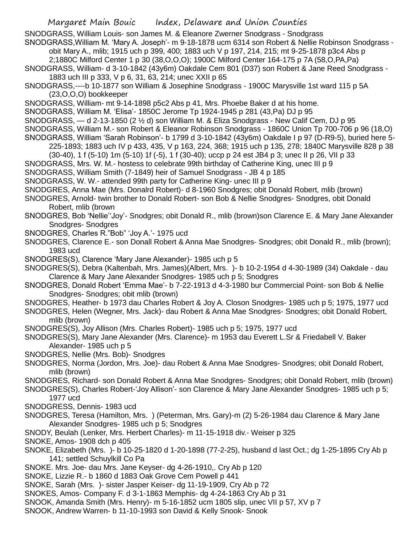SNODGRASS, William Louis- son James M. & Eleanore Zwerner Snodgrass - Snodgrass

SNODGRASS,William M. 'Mary A. Joseph'- m 9-18-1878 ucm 6314 son Robert & Nellie Robinson Snodgrass obit Mary A., mlib; 1915 uch p 399, 400; 1883 uch V p 197, 214, 215; mt 9-25-1878 p3c4 Abs p

2;1880C Milford Center 1 p 30 (38,O,O,O); 1900C Milford Center 164-175 p 7A (58,O,PA,Pa)

SNODGRASS, William- d 3-10-1842 (43y6m) Oakdale Cem 801 (D37) son Robert & Jane Reed Snodgrass - 1883 uch III p 333, V p 6, 31, 63, 214; unec XXII p 65

SNODGRASS,----b 10-1877 son William & Josephine Snodgrass - 1900C Marysville 1st ward 115 p 5A (23,O,O,O) bookkeeper

SNODGRASS, William- mt 9-14-1898 p5c2 Abs p 41, Mrs. Phoebe Baker d at his home.

SNODGRASS, William M. 'Elisa'- 1850C Jerome Tp 1924-1945 p 281 (43,Pa) DJ p 95

SNODGRASS, — d 2-13-1850 (2 ½ d) son William M. & Eliza Snodgrass - New Calif Cem, DJ p 95

SNODGRASS, William M.- son Robert & Eleanor Robinson Snodgrass - 1860C Union Tp 700-706 p 96 (18,O)

SNODGRASS, William 'Sarah Robinson'- b 1799 d 3-10-1842 (43y6m) Oakdale I p 97 (D-R9-5), buried here 5-

225-1893; 1883 uch IV p 433, 435, V p 163, 224, 368; 1915 uch p 135, 278; 1840C Marysville 828 p 38

(30-40), 1 f (5-10) 1m (5-10) 1f (-5), 1 f (30-40); uccp p 24 est JB4 p 3; unec II p 26, VII p 33

SNODGRASS, Mrs. W. M.- hostess to celebrate 99th birthday of Catherine King, unec III p 9

SNODGRASS, William Smith (7-1849) heir of Samuel Snodgrass - JB 4 p 185

SNODGRASS, W. W.- attended 99th party for Catherine King- unec III p 9

SNODGRES, Anna Mae (Mrs. Donalrd Robert)- d 8-1960 Snodgres; obit Donald Robert, mlib (brown)

SNODGRES, Arnold- twin brother to Donald Robert- son Bob & Nellie Snodgres- Snodgres, obit Donald Robert, mlib (brown

SNODGRES, Bob 'Nellie''Joy'- Snodgres; obit Donald R., mlib (brown)son Clarence E. & Mary Jane Alexander Snodgres- Snodgres

- SNODGRES, Charles R."Bob" 'Joy A.'- 1975 ucd
- SNODGRES, Clarence E.- son Donall Robert & Anna Mae Snodgres- Snodgres; obit Donald R., mlib (brown); 1983 ucd

SNODGRES(S), Clarence 'Mary Jane Alexander)- 1985 uch p 5

SNODGRES(S), Debra (Kaltenbah, Mrs. James)(Albert, Mrs. )- b 10-2-1954 d 4-30-1989 (34) Oakdale - dau Clarence & Mary Jane Alexander Snodgres- 1985 uch p 5; Snodgres

SNODGRES, Donald Robert 'Emma Mae'- b 7-22-1913 d 4-3-1980 bur Commercial Point- son Bob & Nellie Snodgres- Snodgres; obit mlib (brown)

SNODGRES, Heather- b 1973 dau Charles Robert & Joy A. Closon Snodgres- 1985 uch p 5; 1975, 1977 ucd

SNODGRES, Helen (Wegner, Mrs. Jack)- dau Robert & Anna Mae Snodgres- Snodgres; obit Donald Robert, mlib (brown)

SNODGRES(S), Joy Allison (Mrs. Charles Robert)- 1985 uch p 5; 1975, 1977 ucd

SNODGRES(S), Mary Jane Alexander (Mrs. Clarence)- m 1953 dau Everett L.Sr & Friedabell V. Baker Alexander- 1985 uch p 5

SNODGRES, Nellie (Mrs. Bob)- Snodgres

SNODGRES, Norma (Jordon, Mrs. Joe)- dau Robert & Anna Mae Snodgres- Snodgres; obit Donald Robert, mlib (brown)

SNODGRES, Richard- son Donald Robert & Anna Mae Snodgres- Snodgres; obit Donald Robert, mlib (brown)

SNODGRES(S), Charles Robert-'Joy Allison'- son Clarence & Mary Jane Alexander Snodgres- 1985 uch p 5; 1977 ucd

SNODGRESS, Dennis- 1983 ucd

SNODGRES, Teresa (Hamilton, Mrs. ) (Peterman, Mrs. Gary)-m (2) 5-26-1984 dau Clarence & Mary Jane Alexander Snodgres- 1985 uch p 5; Snodgres

SNODY, Beulah (Lenker, Mrs. Herbert Charles)- m 11-15-1918 div.- Weiser p 325

SNOKE, Amos- 1908 dch p 405

- SNOKE, Elizabeth (Mrs. )- b 10-25-1820 d 1-20-1898 (77-2-25), husband d last Oct.; dg 1-25-1895 Cry Ab p 141; settled Schuylkill Co Pa
- SNOKE. Mrs. Joe- dau Mrs. Jane Keyser- dg 4-26-1910,. Cry Ab p 120
- SNOKE, Lizzie R.- b 1860 d 1883 Oak Grove Cem Powell p 441

SNOKE, Sarah (Mrs. )- sister Jasper Keiser- dg 11-19-1909, Cry Ab p 72

SNOKES, Amos- Company F. d 3-1-1863 Memphis- dg 4-24-1863 Cry Ab p 31

- SNOOK, Amanda Smith (Mrs. Henry)- m 5-16-1852 ucm 1805 slip, unec VII p 57, XV p 7
- SNOOK, Andrew Warren- b 11-10-1993 son David & Kelly Snook- Snook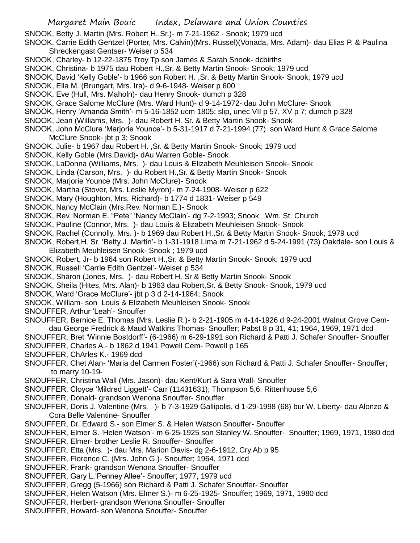SNOOK, Betty J. Martin (Mrs. Robert H.,Sr.)- m 7-21-1962 - Snook; 1979 ucd

- SNOOK, Carrie Edith Gentzel (Porter, Mrs. Calvin)(Mrs. Russel)(Vonada, Mrs. Adam)- dau Elias P. & Paulina Shreckengast Gentser- Weiser p 534
- SNOOK, Charley- b 12-22-1875 Troy Tp son James & Sarah Snook- dcbirths
- SNOOK, Christina- b 1975 dau Robert H.,Sr. & Betty Martin Snook- Snook; 1979 ucd
- SNOOK, David 'Kelly Goble'- b 1966 son Robert H. ,Sr. & Betty Martin Snook- Snook; 1979 ucd
- SNOOK, Ella M. (Brungart, Mrs. Ira)- d 9-6-1948- Weiser p 600
- SNOOK, Eve (Hull, Mrs. Maholn)- dau Henry Snook- dumch p 328
- SNOOK, Grace Salome McClure (Mrs. Ward Hunt)- d 9-14-1972- dau John McClure- Snook
- SNOOK, Henry 'Amanda Smith'- m 5-16-1852 ucm 1805; slip, unec VII p 57, XV p 7; dumch p 328
- SNOOK, Jean (Williams, Mrs. )- dau Robert H. Sr. & Betty Martin Snook- Snook
- SNOOK, John McClure 'Marjorie Younce'- b 5-31-1917 d 7-21-1994 (77) son Ward Hunt & Grace Salome McClure Snook- jbt p 3; Snook
- SNOOK, Julie- b 1967 dau Robert H. ,Sr. & Betty Martin Snook- Snook; 1979 ucd
- SNOOK, Kelly Goble (Mrs.David)- dAu Warren Goble- Snook
- SNOOK, LaDonna (Williams, Mrs. )- dau Louis & Elizabeth Meuhleisen Snook- Snook
- SNOOK, Linda (Carson, Mrs. )- du Robert H.,Sr. & Betty Martin Snook- Snook
- SNOOK, Marjorie Younce (Mrs. John McClure)- Snook
- SNOOK, Martha (Stover, Mrs. Leslie Myron)- m 7-24-1908- Weiser p 622
- SNOOK, Mary (Houghton, Mrs. Richard)- b 1774 d 1831- Weiser p 549
- SNOOK, Nancy McClain (Mrs.Rev. Norman E.)- Snook
- SNOOK, Rev. Norman E. "Pete" 'Nancy McClain'- dg 7-2-1993; Snook Wm. St. Church
- SNOOK, Pauline (Connor, Mrs. )- dau Louis & Elizabeth Meuhleisen Snook- Snook
- SNOOK, Rachel (Connolly, Mrs. )- b 1969 dau Robert H.,Sr. & Betty Martin Snook- Snook; 1979 ucd
- SNOOK, Robert,H. Sr. 'Betty J. Martin'- b 1-31-1918 Lima m 7-21-1962 d 5-24-1991 (73) Oakdale- son Louis & Elizabeth Meuhleisen Snook- Snook ; 1979 ucd
- SNOOK, Robert, Jr- b 1964 son Robert H.,Sr. & Betty Martin Snook- Snook; 1979 ucd
- SNOOK, Russell 'Carrie Edith Gentzel'- Weiser p 534
- SNOOK, Sharon (Jones, Mrs. )- dau Robert H. Sr & Betty Martin Snook- Snook
- SNOOK, Sheila (Hites, Mrs. Alan)- b 1963 dau Robert,Sr. & Betty Snook- Snook, 1979 ucd
- SNOOK, Ward 'Grace McClure'- jbt p 3 d 2-14-1964; Snook
- SNOOK, William- son Louis & Elizabeth Meuhleisen Snook- Snook
- SNOUFFER, Arthur 'Leah'- Snouffer
- SNOUFFER, Bernice E. Thomas (Mrs. Leslie R.)- b 2-21-1905 m 4-14-1926 d 9-24-2001 Walnut Grove Cemdau George Fredrick & Maud Watkins Thomas- Snouffer; Pabst 8 p 31, 41; 1964, 1969, 1971 dcd
- SNOUFFER, Bret 'Winnie Bostdorff'- (6-1966) m 6-29-1991 son Richard & Patti J. Schafer Snouffer- Snouffer SNOUFFER, Charles A.- b 1862 d 1941 Powell Cem- Powell p 165
- SNOUFFER, ChArles K.- 1969 dcd
- SNOUFFER, Chet Alan- 'Maria del Carmen Foster'(-1966) son Richard & Patti J. Schafer Snouffer- Snouffer; to marry 10-19-
- SNOUFFER, Christina Wall (Mrs. Jason)- dau Kent/Kurt & Sara Wall- Snouffer
- SNOUFFER, Cloyce 'Mildred Liggett'- Carr (11431631); Thompson 5,6; Rittenhouse 5,6
- SNOUFFER, Donald- grandson Wenona Snouffer- Snouffer
- SNOUFFER, Doris J. Valentine (Mrs. )- b 7-3-1929 Gallipolis, d 1-29-1998 (68) bur W. Liberty- dau Alonzo & Cora Belle Valentine- Snouffer
- SNOUFFER, Dr. Edward S.- son Elmer S. & Helen Watson Snouffer- Snouffer
- SNOUFFER, Elmer S. 'Helen Watson'- m 6-25-1925 son Stanley W. Snouffer- Snouffer; 1969, 1971, 1980 dcd
- SNOUFFER, Elmer- brother Leslie R. Snouffer- Snouffer
- SNOUFFER, Etta (Mrs. )- dau Mrs. Marion Davis- dg 2-6-1912, Cry Ab p 95
- SNOUFFER, Florence C. (Mrs. John G.)- Snouffer; 1964, 1971 dcd
- SNOUFFER, Frank- grandson Wenona Snouffer- Snouffer
- SNOUFFER, Gary L.'Penney Allee'- Snouffer; 1977, 1979 ucd
- SNOUFFER, Gregg (5-1966) son Richard & Patti J. Schafer Snouffer- Snouffer
- SNOUFFER, Helen Watson (Mrs. Elmer S.)- m 6-25-1925- Snouffer; 1969, 1971, 1980 dcd
- SNOUFFER, Herbert- grandson Wenona Snouffer- Snouffer
- SNOUFFER, Howard- son Wenona Snouffer- Snouffer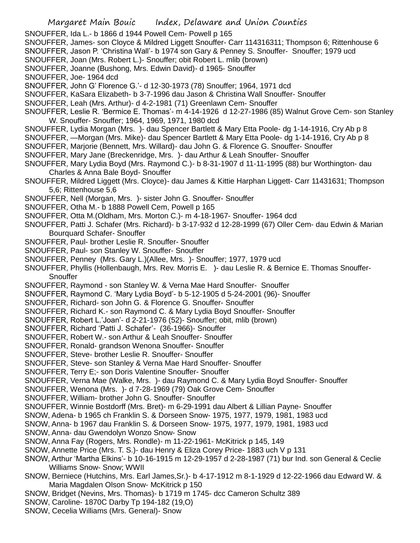- SNOUFFER, Ida L.- b 1866 d 1944 Powell Cem- Powell p 165
- SNOUFFER, James- son Cloyce & Mildred Liggett Snouffer- Carr 114316311; Thompson 6; Rittenhouse 6 SNOUFFER, Jason P. 'Christina Wall'- b 1974 son Gary & Penney S. Snouffer- Snouffer; 1979 ucd
- SNOUFFER, Joan (Mrs. Robert L.)- Snouffer; obit Robert L. mlib (brown)
- SNOUFFER, Joanne (Bushong, Mrs. Edwin David)- d 1965- Snouffer
- SNOUFFER, Joe- 1964 dcd
- SNOUFFER, John G' Florence G.'- d 12-30-1973 (78) Snouffer; 1964, 1971 dcd
- SNOUFFER, KaSara Elizabeth- b 3-7-1996 dau Jason & Christina Wall Snouffer- Snouffer
- SNOUFFER, Leah (Mrs. Arthur)- d 4-2-1981 (71) Greenlawn Cem- Snouffer
- SNOUFFER, Leslie R. 'Bermice E. Thomas'- m 4-14-1926 d 12-27-1986 (85) Walnut Grove Cem- son Stanley W. Snouffer- Snouffer; 1964, 1969, 1971, 1980 dcd
- SNOUFFER, Lydia Morgan (Mrs. )- dau Spencer Bartlett & Mary Etta Poole- dg 1-14-1916, Cry Ab p 8
- SNOUFFER, —Morgan (Mrs. Mike)- dau Spencer Bartlett & Mary Etta Poole- dg 1-14-1916, Cry Ab p 8
- SNOUFFER, Marjorie (Bennett, Mrs. Willard)- dau John G. & Florence G. Snouffer- Snouffer
- SNOUFFER, Mary Jane (Breckenridge, Mrs. )- dau Arthur & Leah Snouffer- Snouffer
- SNOUFFER, Mary Lydia Boyd (Mrs. Raymond C.)- b 8-31-1907 d 11-11-1995 (88) bur Worthington- dau Charles & Anna Bale Boyd- Snouffer
- SNOUFFER, Mildred Liggett (Mrs. Cloyce)- dau James & Kittie Harphan Liggett- Carr 11431631; Thompson 5,6; Rittenhouse 5,6
- SNOUFFER, Nell (Morgan, Mrs. )- sister John G. Snouffer- Snouffer
- SNOUFFER, Otha M.- b 1888 Powell Cem, Powell p 165
- SNOUFFER, Otta M.(Oldham, Mrs. Morton C.)- m 4-18-1967- Snouffer- 1964 dcd
- SNOUFFER, Patti J. Schafer (Mrs. Richard)- b 3-17-932 d 12-28-1999 (67) Oller Cem- dau Edwin & Marian Bourquard Schafer- Snouffer
- SNOUFFER, Paul- brother Leslie R. Snouffer- Snouffer
- SNOUFFER, Paul- son Stanley W. Snouffer- Snouffer
- SNOUFFER, Penney (Mrs. Gary L.)(Allee, Mrs. )- Snouffer; 1977, 1979 ucd
- SNOUFFER, Phyllis (Hollenbaugh, Mrs. Rev. Morris E. )- dau Leslie R. & Bernice E. Thomas Snouffer-**Snouffer**
- SNOUFFER, Raymond son Stanley W. & Verna Mae Hard Snouffer- Snouffer
- SNOUFFER, Raymond C. 'Mary Lydia Boyd'- b 5-12-1905 d 5-24-2001 (96)- Snouffer
- SNOUFFER, Richard- son John G. & Florence G. Snouffer- Snouffer
- SNOUFFER, Richard K.- son Raymond C. & Mary Lydia Boyd Snouffer- Snouffer
- SNOUFFER, Robert L.'Joan'- d 2-21-1976 (52)- Snouffer; obit, mlib (brown)
- SNOUFFER, Richard 'Patti J. Schafer'- (36-1966)- Snouffer
- SNOUFFER, Robert W.- son Arthur & Leah Snouffer- Snouffer
- SNOUFFER, Ronald- grandson Wenona Snouffer- Snouffer
- SNOUFFER, Steve- brother Leslie R. Snouffer- Snouffer
- SNOUFFER, Steve- son Stanley & Verna Mae Hard Snouffer- Snouffer
- SNOUFFER, Terry E;- son Doris Valentine Snouffer- Snouffer
- SNOUFFER, Verna Mae (Walke, Mrs. )- dau Raymond C. & Mary Lydia Boyd Snouffer- Snouffer
- SNOUFFER, Wenona (Mrs. )- d 7-28-1969 (79) Oak Grove Cem- Snouffer
- SNOUFFER, William- brother John G. Snouffer- Snouffer
- SNOUFFER, Winnie Bostdorff (Mrs. Bret)- m 6-29-1991 dau Albert & Lillian Payne- Snouffer
- SNOW, Adena- b 1965 ch Franklin S. & Dorseen Snow- 1975, 1977, 1979, 1981, 1983 ucd
- SNOW, Anna- b 1967 dau Franklin S. & Dorseen Snow- 1975, 1977, 1979, 1981, 1983 ucd
- SNOW, Anna- dau Gwendolyn Wonzo Snow- Snow
- SNOW, Anna Fay (Rogers, Mrs. Rondle)- m 11-22-1961- McKitrick p 145, 149
- SNOW, Annette Price (Mrs. T. S.)- dau Henry & Eliza Corey Price- 1883 uch V p 131
- SNOW, Arthur 'Martha Elkins'- b 10-16-1915 m 12-29-1957 d 2-28-1987 (71) bur Ind. son General & Ceclie Williams Snow- Snow; WWII
- SNOW, Berniece (Hutchins, Mrs. Earl James,Sr.)- b 4-17-1912 m 8-1-1929 d 12-22-1966 dau Edward W. & Maria Magdalen Olson Snow- McKitrick p 150
- SNOW, Bridget (Nevins, Mrs. Thomas)- b 1719 m 1745- dcc Cameron Schultz 389
- SNOW, Caroline- 1870C Darby Tp 194-182 (19,O)
- SNOW, Cecelia Williams (Mrs. General)- Snow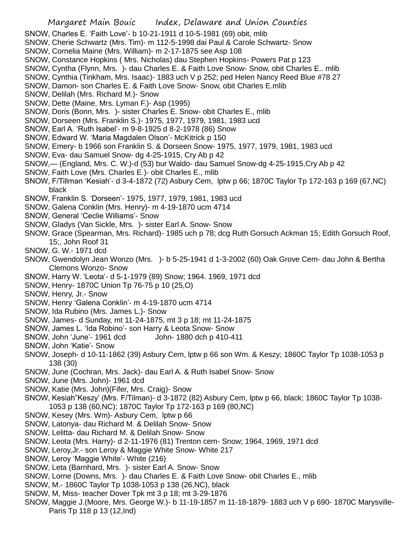- SNOW, Charles E. 'Faith Love'- b 10-21-1911 d 10-5-1981 (69) obit, mlib
- SNOW, Cherie Schwartz (Mrs. Tim)- m 112-5-1998 dai Paul & Carole Schwartz- Snow
- SNOW, Cornelia Maine (Mrs. William)- m 2-17-1875 see Asp 108
- SNOW, Constance Hopkins ( Mrs. Nicholas) dau Stephen Hopkins- Powers Pat p 123
- SNOW, Cyntha (Flynn, Mrs. )- dau Charles E. & Faith Love Snow- Snow, obit Charles E.. mlib
- SNOW, Cynthia (Tinkham, Mrs. Isaac)- 1883 uch V p 252; ped Helen Nancy Reed Blue #78 27
- SNOW, Damon- son Charles E. & Faith Love Snow- Snow, obit Charles E.mlib
- SNOW, Delilah (Mrs. Richard M.)- Snow
- SNOW, Dette (Maine, Mrs. Lyman F.)- Asp (1995)
- SNOW, Doris (Bonn, Mrs. )- sister Charles E. Snow- obit Charles E., mlib
- SNOW, Dorseen (Mrs. Franklin S.)- 1975, 1977, 1979, 1981, 1983 ucd
- SNOW, Earl A. 'Ruth Isabel'- m 9-8-1925 d 8-2-1978 (86) Snow
- SNOW, Edward W. 'Maria Magdalen Olson'- McKitrick p 150
- SNOW, Emery- b 1966 son Franklin S. & Dorseen Snow- 1975, 1977, 1979, 1981, 1983 ucd
- SNOW, Eva- dau Samuel Snow- dg 4-25-1915, Cry Ab p 42
- SNOW,— (England, Mrs. C. W.)-d (53) bur Waldo- dau Samuel Snow-dg 4-25-1915,Cry Ab p 42
- SNOW, Faith Love (Mrs. Charles E.)- obit Charles E., mlib
- SNOW, F/Tillman 'Kesiah'- d 3-4-1872 (72) Asbury Cem, lptw p 66; 1870C Taylor Tp 172-163 p 169 (67,NC) black
- SNOW, Franklin S. 'Dorseen'- 1975, 1977, 1979, 1981, 1983 ucd
- SNOW, Galena Conklin (Mrs. Henry)- m 4-19-1870 ucm 4714
- SNOW, General 'Ceclie Williams'- Snow
- SNOW, Gladys (Van Sickle, Mrs. )- sister Earl A. Snow- Snow
- SNOW, Grace (Spearman, Mrs. Richard)- 1985 uch p 78; dcg Ruth Gorsuch Ackman 15; Edith Gorsuch Roof, 15;, John Roof 31
- SNOW, G. W.- 1971 dcd
- SNOW, Gwendolyn Jean Wonzo (Mrs. )- b 5-25-1941 d 1-3-2002 (60) Oak Grove Cem- dau John & Bertha Clemons Wonzo- Snow
- SNOW, Harry W. 'Leota'- d 5-1-1979 (89) Snow; 1964. 1969, 1971 dcd
- SNOW, Henry- 1870C Union Tp 76-75 p 10 (25,O)
- SNOW, Henry, Jr.- Snow
- SNOW, Henry 'Galena Conklin'- m 4-19-1870 ucm 4714
- SNOW, Ida Rubino (Mrs. James L.)- Snow
- SNOW, James- d Sunday, mt 11-24-1875, mt 3 p 18; mt 11-24-1875
- SNOW, James L. 'Ida Robino'- son Harry & Leota Snow- Snow
- SNOW, John 'June'- 1961 dcd John- 1880 dch p 410-411
- SNOW, John 'Katie'- Snow
- SNOW, Joseph- d 10-11-1862 (39) Asbury Cem, lptw p 66 son Wm. & Keszy; 1860C Taylor Tp 1038-1053 p 138 (30)
- SNOW, June (Cochran, Mrs. Jack)- dau Earl A. & Ruth Isabel Snow- Snow
- SNOW, June (Mrs. John)- 1961 dcd
- SNOW, Katie (Mrs. John)(Fifer, Mrs. Craig)- Snow
- SNOW, Kesiah"Keszy' (Mrs. F/Tilman)- d 3-1872 (82) Asbury Cem, lptw p 66, black; 1860C Taylor Tp 1038- 1053 p 138 (60,NC); 1870C Taylor Tp 172-163 p 169 (80,NC)
- SNOW, Kesey (Mrs. Wm)- Asbury Cem, lptw p 66
- SNOW, Latonya- dau Richard M. & Delilah Snow- Snow
- SNOW, Lelitta- dau Richard M. & Delilah Snow- Snow
- SNOW, Leota (Mrs. Harry)- d 2-11-1976 (81) Trenton cem- Snow; 1964, 1969, 1971 dcd
- SNOW, Leroy,Jr.- son Leroy & Maggie White Snow- White 217
- SNOW, Leroy 'Maggie White'- White (216)
- SNOW, Leta (Barnhard, Mrs. )- sister Earl A. Snow- Snow
- SNOW, Lorne (Downs, Mrs. )- dau Charles E. & Faith Love Snow- obit Charles E., mlib
- SNOW, M.- 1860C Taylor Tp 1038-1053 p 138 (26,NC), black
- SNOW, M, Miss- teacher Dover Tpk mt 3 p 18; mt 3-29-1876
- SNOW, Maggie J.(Moore, Mrs. George W.)- b 11-19-1857 m 11-18-1879- 1883 uch V p 690- 1870C Marysville-Paris Tp 118 p 13 (12,Ind)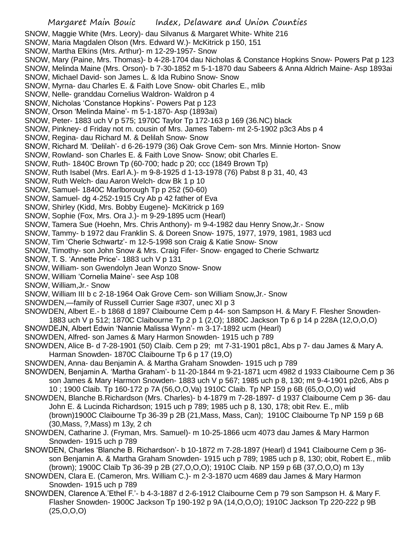SNOW, Maggie White (Mrs. Leory)- dau Silvanus & Margaret White- White 216

- SNOW, Maria Magdalen Olson (Mrs. Edward W.)- McKitrick p 150, 151
- SNOW, Martha Elkins (Mrs. Arthur)- m 12-29-1957- Snow
- SNOW, Mary (Paine, Mrs. Thomas)- b 4-28-1704 dau Nicholas & Constance Hopkins Snow- Powers Pat p 123

SNOW, Melinda Maine (Mrs. Orson)- b 7-30-1852 m 5-1-1870 dau Sabeers & Anna Aldrich Maine- Asp 1893ai

SNOW, Michael David- son James L. & Ida Rubino Snow- Snow

SNOW, Myrna- dau Charles E. & Faith Love Snow- obit Charles E., mlib

- SNOW, Nelle- granddau Cornelius Waldron- Waldron p 4
- SNOW, Nicholas 'Constance Hopkins'- Powers Pat p 123

SNOW, Orson 'Melinda Maine'- m 5-1-1870- Asp (1893ai)

SNOW, Peter- 1883 uch V p 575; 1970C Taylor Tp 172-163 p 169 (36.NC) black

SNOW, Pinkney- d Friday not m. cousin of Mrs. James Tabern- mt 2-5-1902 p3c3 Abs p 4

- SNOW, Regina- dau Richard M. & Delilah Snow- Snow
- SNOW, Richard M. 'Delilah'- d 6-26-1979 (36) Oak Grove Cem- son Mrs. Minnie Horton- Snow

SNOW, Rowland- son Charles E. & Faith Love Snow- Snow; obit Charles E.

SNOW, Ruth- 1840C Brown Tp (60-700; hadc p 20; ccc (1849 Brown Tp)

- SNOW, Ruth Isabel (Mrs. Earl A.)- m 9-8-1925 d 1-13-1978 (76) Pabst 8 p 31, 40, 43
- SNOW, Ruth Welch- dau Aaron Welch- dcw Bk 1 p 10
- SNOW, Samuel- 1840C Marlborough Tp p 252 (50-60)
- SNOW, Samuel- dg 4-252-1915 Cry Ab p 42 father of Eva
- SNOW, Shirley (Kidd, Mrs. Bobby Eugene)- McKitrick p 169
- SNOW, Sophie (Fox, Mrs. Ora J.)- m 9-29-1895 ucm (Hearl)
- SNOW, Tamera Sue (Hoehn, Mrs. Chris Anthony)- m 9-4-1982 dau Henry Snow,Jr.- Snow
- SNOW, Tammy- b 1972 dau Franklin S. & Doreen Snow- 1975, 1977, 1979, 1981, 1983 ucd
- SNOW, Tim 'Cherie Schwartz'- m 12-5-1998 son Craig & Katie Snow- Snow
- SNOW, Timothy- son John Snow & Mrs. Craig Fifer- Snow- engaged to Cherie Schwartz
- SNOW, T. S. 'Annette Price'- 1883 uch V p 131
- SNOW, William- son Gwendolyn Jean Wonzo Snow- Snow
- SNOW, William 'Cornelia Maine'- see Asp 108

SNOW, William,Jr.- Snow

- SNOW, William III b c 2-18-1964 Oak Grove Cem- son William Snow,Jr.- Snow
- SNOWDEN,—family of Russell Currier Sage #307, unec XI p 3
- SNOWDEN, Albert E.- b 1868 d 1897 Claibourne Cem p 44- son Sampson H. & Mary F. Flesher Snowden-1883 uch V p 512; 1870C Claibourne Tp 2 p 1 (2,O); 1880C Jackson Tp 6 p 14 p 228A (12,O,O,O)
- SNOWDEJN, Albert Edwin 'Nannie Malissa Wynn'- m 3-17-1892 ucm (Hearl)
- SNOWDEN, Alfred- son James & Mary Harmon Snowden- 1915 uch p 789
- SNOWDEN, Alice B- d 7-28-1901 (50) Claib. Cem p 29; mt 7-31-1901 p8c1, Abs p 7- dau James & Mary A. Harman Snowden- 1870C Claibourne Tp 6 p 17 (19,O)
- SNOWDEN, Anna- dau Benjamin A. & Martha Graham Snowden- 1915 uch p 789
- SNOWDEN, Benjamin A. 'Martha Graham'- b 11-20-1844 m 9-21-1871 ucm 4982 d 1933 Claibourne Cem p 36 son James & Mary Harmon Snowden- 1883 uch V p 567; 1985 uch p 8, 130; mt 9-4-1901 p2c6, Abs p 10 ; 1900 Claib. Tp 160-172 p 7A (56,O,O,Va) 1910C Claib. Tp NP 159 p 6B (65,O,O,O) wid
- SNOWDEN, Blanche B.Richardson (Mrs. Charles)- b 4-1879 m 7-28-1897- d 1937 Claibourne Cem p 36- dau John E. & Lucinda Richardson; 1915 uch p 789; 1985 uch p 8, 130, 178; obit Rev. E., mlib (brown)1900C Claibourne Tp 36-39 p 2B (21,Mass, Mass, Can); 1910C Claibourne Tp NP 159 p 6B (30,Mass, ?,Mass) m 13y, 2 ch
- SNOWDEN, Catharine J. (Fryman, Mrs. Samuel)- m 10-25-1866 ucm 4073 dau James & Mary Harmon Snowden- 1915 uch p 789
- SNOWDEN, Charles 'Blanche B. Richardson'- b 10-1872 m 7-28-1897 (Hearl) d 1941 Claibourne Cem p 36 son Benjamin A. & Martha Graham Snowden- 1915 uch p 789; 1985 uch p 8, 130; obit, Robert E., mlib (brown); 1900C Claib Tp 36-39 p 2B (27,O,O,O); 1910C Claib. NP 159 p 6B (37,O,O,O) m 13y
- SNOWDEN, Clara E. (Cameron, Mrs. William C.)- m 2-3-1870 ucm 4689 dau James & Mary Harmon Snowden- 1915 uch p 789
- SNOWDEN, Clarence A.'Ethel F.'- b 4-3-1887 d 2-6-1912 Claibourne Cem p 79 son Sampson H. & Mary F. Flasher Snowden- 1900C Jackson Tp 190-192 p 9A (14,O,O,O); 1910C Jackson Tp 220-222 p 9B (25,O,O,O)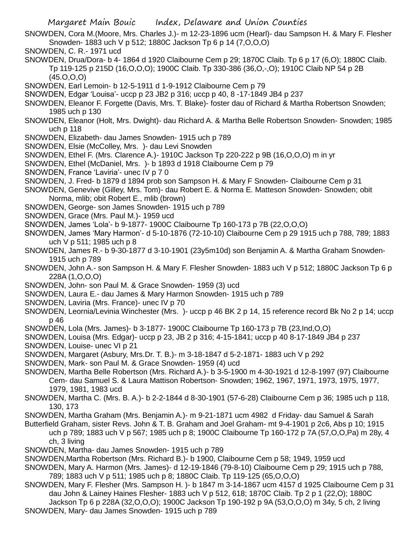- SNOWDEN, Cora M.(Moore, Mrs. Charles J.)- m 12-23-1896 ucm (Hearl)- dau Sampson H. & Mary F. Flesher Snowden- 1883 uch V p 512; 1880C Jackson Tp 6 p 14 (7,O,O,O)
- SNOWDEN, C. R.- 1971 ucd
- SNOWDEN, Drua/Dora- b 4- 1864 d 1920 Claibourne Cem p 29; 1870C Claib. Tp 6 p 17 (6,O); 1880C Claib. Tp 119-125 p 215D (16,O,O,O); 1900C Claib. Tp 330-386 (36,O,-,O); 1910C Claib NP 54 p 2B  $(45.0.0.0)$
- SNOWDEN, Earl Lemoin- b 12-5-1911 d 1-9-1912 Claibourne Cem p 79
- SNOWDEN, Edgar 'Louisa'- uccp p 23 JB2 p 316; uccp p 40, 8 -17-1849 JB4 p 237
- SNOWDEN, Eleanor F. Forgette (Davis, Mrs. T. Blake)- foster dau of Richard & Martha Robertson Snowden; 1985 uch p 130
- SNOWDEN, Eleanor (Holt, Mrs. Dwight)- dau Richard A. & Martha Belle Robertson Snowden- Snowden; 1985 uch p 118
- SNOWDEN, Elizabeth- dau James Snowden- 1915 uch p 789
- SNOWDEN, Elsie (McColley, Mrs. )- dau Levi Snowden
- SNOWDEN, Ethel F. (Mrs. Clarence A.)- 1910C Jackson Tp 220-222 p 9B (16,O,O,O) m in yr
- SNOWDEN, Ethel (McDaniel, Mrs. )- b 1893 d 1918 Claibourne Cem p 79
- SNOWDEN, France 'Laviria'- unec IV p 7 0
- SNOWDEN, J. Fred- b 1879 d 1894 prob son Sampson H. & Mary F Snowden- Claibourne Cem p 31
- SNOWDEN, Genevive (Gilley, Mrs. Tom)- dau Robert E. & Norma E. Matteson Snowden- Snowden; obit Norma, mlib; obit Robert E., mlib (brown)
- SNOWDEN, George- son James Snowden- 1915 uch p 789
- SNOWDEN, Grace (Mrs. Paul M.)- 1959 ucd
- SNOWDEN, James 'Lola'- b 9-1877- 1900C Claibourne Tp 160-173 p 7B (22,O,O,O)
- SNOWDEN, James 'Mary Harmon'- d 5-10-1876 (72-10-10) Claibourne Cem p 29 1915 uch p 788, 789; 1883 uch V p 511; 1985 uch p 8
- SNOWDEN, James R.- b 9-30-1877 d 3-10-1901 (23y5m10d) son Benjamin A. & Martha Graham Snowden-1915 uch p 789
- SNOWDEN, John A.- son Sampson H. & Mary F. Flesher Snowden- 1883 uch V p 512; 1880C Jackson Tp 6 p 228A (1,O,O,O)
- SNOWDEN, John- son Paul M. & Grace Snowden- 1959 (3) ucd
- SNOWDEN, Laura E.- dau James & Mary Harmon Snowden- 1915 uch p 789
- SNOWDEN, Laviria (Mrs. France)- unec IV p 70
- SNOWDEN, Leornia/Levinia Winchester (Mrs. )- uccp p 46 BK 2 p 14, 15 reference record Bk No 2 p 14; uccp p 46
- SNOWDEN, Lola (Mrs. James)- b 3-1877- 1900C Claibourne Tp 160-173 p 7B (23,Ind,O,O)
- SNOWDEN, Louisa (Mrs. Edgar)- uccp p 23, JB 2 p 316; 4-15-1841; uccp p 40 8-17-1849 JB4 p 237
- SNOWDEN, Louise- unec VI p 21
- SNOWDEN, Margaret (Asbury, Mrs.Dr. T. B.)- m 3-18-1847 d 5-2-1871- 1883 uch V p 292
- SNOWDEN, Mark- son Paul M. & Grace Snowden- 1959 (4) ucd
- SNOWDEN, Martha Belle Robertson (Mrs. Richard A.)- b 3-5-1900 m 4-30-1921 d 12-8-1997 (97) Claibourne Cem- dau Samuel S. & Laura Mattison Robertson- Snowden; 1962, 1967, 1971, 1973, 1975, 1977, 1979, 1981, 1983 ucd
- SNOWDEN, Martha C. (Mrs. B. A.)- b 2-2-1844 d 8-30-1901 (57-6-28) Claibourne Cem p 36; 1985 uch p 118, 130, 173
- SNOWDEN, Martha Graham (Mrs. Benjamin A.)- m 9-21-1871 ucm 4982 d Friday- dau Samuel & Sarah
- Butterfield Graham, sister Revs. John & T. B. Graham and Joel Graham- mt 9-4-1901 p 2c6, Abs p 10; 1915 uch p 789; 1883 uch V p 567; 1985 uch p 8; 1900C Claibourne Tp 160-172 p 7A (57,O,O,Pa) m 28y, 4 ch, 3 living
- SNOWDEN, Martha- dau James Snowden- 1915 uch p 789
- SNOWDEN,Martha Robertson (Mrs. Richard B.)- b 1900, Claibourne Cem p 58; 1949, 1959 ucd
- SNOWDEN, Mary A. Harmon (Mrs. James)- d 12-19-1846 (79-8-10) Claibourne Cem p 29; 1915 uch p 788, 789; 1883 uch V p 511; 1985 uch p 8; 1880C Claib. Tp 119-125 (65,O,O,O)
- SNOWDEN, Mary F. Flesher (Mrs. Sampson H. )- b 1847 m 3-14-1867 ucm 4157 d 1925 Claibourne Cem p 31 dau John & Lainey Haines Flesher- 1883 uch V p 512, 618; 1870C Claib. Tp 2 p 1 (22,O); 1880C
- Jackson Tp 6 p 228A (32,O,O,O); 1900C Jackson Tp 190-192 p 9A (53,O,O,O) m 34y, 5 ch, 2 living SNOWDEN, Mary- dau James Snowden- 1915 uch p 789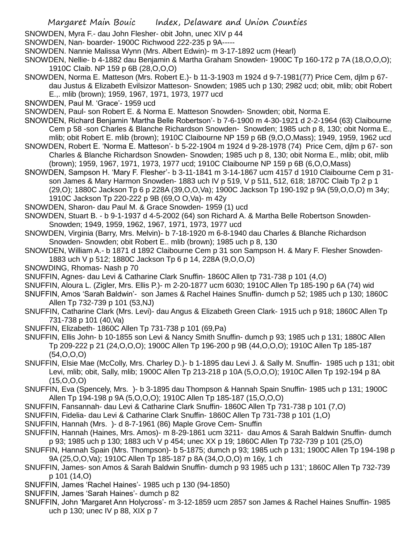SNOWDEN, Myra F.- dau John Flesher- obit John, unec XIV p 44

SNOWDEN, Nan- boarder- 1900C Richwood 222-235 p 9A-----

- SNOWDEN. Nannie Malissa Wynn (Mrs. Albert Edwin)- m 3-17-1892 ucm (Hearl)
- SNOWDEN, Nellie- b 4-1882 dau Benjamin & Martha Graham Snowden- 1900C Tp 160-172 p 7A (18,O,O,O); 1910C Claib. NP 159 p 6B (28,O,O,O)
- SNOWDEN, Norma E. Matteson (Mrs. Robert E.)- b 11-3-1903 m 1924 d 9-7-1981(77) Price Cem, djlm p 67 dau Justus & Elizabeth Evilsizor Matteson- Snowden; 1985 uch p 130; 2982 ucd; obit, mlib; obit Robert
	- E.,. mlib (brown); 1959, 1967, 1971, 1973, 1977 ucd
- SNOWDEN, Paul M. 'Grace'- 1959 ucd
- SNOWDEN, Paul- son Robert E. & Norma E. Matteson Snowden- Snowden; obit, Norma E.
- SNOWDEN, Richard Benjamin 'Martha Belle Robertson'- b 7-6-1900 m 4-30-1921 d 2-2-1964 (63) Claibourne Cem p 58 -son Charles & Blanche Richardson Snowden- Snowden; 1985 uch p 8, 130; obit Norma E.,
- mlib; obit Robert E. mlib (brown); 1910C Claibourne NP 159 p 6B (9,O,O,Mass); 1949, 1959, 1962 ucd SNOWDEN, Robert E. 'Norma E. Matteson'- b 5-22-1904 m 1924 d 9-28-1978 (74) Price Cem, djlm p 67- son Charles & Blanche Richardson Snowden- Snowden; 1985 uch p 8, 130; obit Norma E., mlib; obit, mlib
- (brown); 1959, 1967, 1971, 1973, 1977 ucd; 1910C Claibourne NP 159 p 6B (6,O,O,Mass) SNOWDEN, Sampson H. 'Mary F. Flesher'- b 3-11-1841 m 3-14-1867 ucm 4157 d 1910 Claibourne Cem p 31 son James & Mary Harmon Snowden- 1883 uch IV p 519, V p 511, 512, 618; 1870C Claib Tp 2 p 1 (29,O); 1880C Jackson Tp 6 p 228A (39,O,O,Va); 1900C Jackson Tp 190-192 p 9A (59,O,O,O) m 34y; 1910C Jackson Tp 220-222 p 9B (69,O O,Va)- m 42y
- SNOWDEN, Sharon- dau Paul M. & Grace Snowden- 1959 (1) ucd
- SNOWDEN, Stuart B. b 9-1-1937 d 4-5-2002 (64) son Richard A. & Martha Belle Robertson Snowden-Snowden; 1949, 1959, 1962, 1967, 1971, 1973, 1977 ucd
- SNOWDEN, Virginia (Barry, Mrs. Melvin)- b 7-18-1920 m 6-8-1940 dau Charles & Blanche Richardson Snowden- Snowden; obit Robert E.. mlib (brown); 1985 uch p 8, 130
- SNOWDEN, William A.- b 1871 d 1892 Claibourne Cem p 31 son Sampson H. & Mary F. Flesher Snowden-1883 uch V p 512; 1880C Jackson Tp 6 p 14, 228A (9,O,O,O)
- SNOWDING, Rhomas- Nash p 70
- SNUFFIN, Agnes- dau Levi & Catharine Clark Snuffin- 1860C Allen tp 731-738 p 101 (4,O)
- SNUFFIN, Aloura L. (Zigler, Mrs. Ellis P.)- m 2-20-1877 ucm 6030; 1910C Allen Tp 185-190 p 6A (74) wid
- SNUFFIN, Amos 'Sarah Baldwin'- son James & Rachel Haines Snuffin- dumch p 52; 1985 uch p 130; 1860C Allen Tp 732-739 p 101 (53,NJ)
- SNUFFIN, Catharine Clark (Mrs. Levi)- dau Angus & Elizabeth Green Clark- 1915 uch p 918; 1860C Allen Tp 731-738 p 101 (40,Va)
- SNUFFIN, Elizabeth- 1860C Allen Tp 731-738 p 101 (69,Pa)
- SNUFFIN, Ellis John- b 10-1855 son Levi & Nancy Smith Snuffin- dumch p 93; 1985 uch p 131; 1880C Allen Tp 209-222 p 21 (24,O,O,O); 1900C Allen Tp 196-200 p 9B (44,O,O,O); 1910C Allen Tp 185-187 (54,O,O,O)
- SNUFFIN, Elsie Mae (McColly, Mrs. Charley D.)- b 1-1895 dau Levi J. & Sally M. Snuffin- 1985 uch p 131; obit Levi, mlib; obit, Sally, mlib; 1900C Allen Tp 213-218 p 10A (5,O,O,O); 1910C Allen Tp 192-194 p 8A (15,O,O,O)
- SNUFFIN, Eva (Spencely, Mrs. )- b 3-1895 dau Thompson & Hannah Spain Snuffin- 1985 uch p 131; 1900C Allen Tp 194-198 p 9A (5,O,O,O); 1910C Allen Tp 185-187 (15,O,O,O)
- SNUFFIN, Fansannah- dau Levi & Catharine Clark Snuffin- 1860C Allen Tp 731-738 p 101 (7,O)
- SNUFFIN, Fidelia- dau Levi & Catharine Clark Snuffin- 1860C Allen Tp 731-738 p 101 (1,O)
- SNUFFIN, Hannah (Mrs. )- d 8-7-1961 (86) Maple Grove Cem- Snuffin
- SNUFFIN, Hannah (Haines, Mrs. Amos)- m 8-29-1861 ucm 3211- dau Amos & Sarah Baldwin Snuffin- dumch p 93; 1985 uch p 130; 1883 uch V p 454; unec XX p 19; 1860C Allen Tp 732-739 p 101 (25,O)
- SNUFFIN, Hannah Spain (Mrs. Thompson)- b 5-1875; dumch p 93; 1985 uch p 131; 1900C Allen Tp 194-198 p 9A (25,O,O,Va); 1910C Allen Tp 185-187 p 8A (34,O,O,O) m 16y, 1 ch
- SNUFFIN, James- son Amos & Sarah Baldwin Snuffin- dumch p 93 1985 uch p 131'; 1860C Allen Tp 732-739 p 101 (14,O)
- SNUFFIN, James 'Rachel Haines'- 1985 uch p 130 (94-1850)
- SNUFFIN, James 'Sarah Haines'- dumch p 82
- SNUFFIN, John 'Margaret Ann Holycross'- m 3-12-1859 ucm 2857 son James & Rachel Haines Snuffin- 1985 uch p 130; unec IV p 88, XIX p 7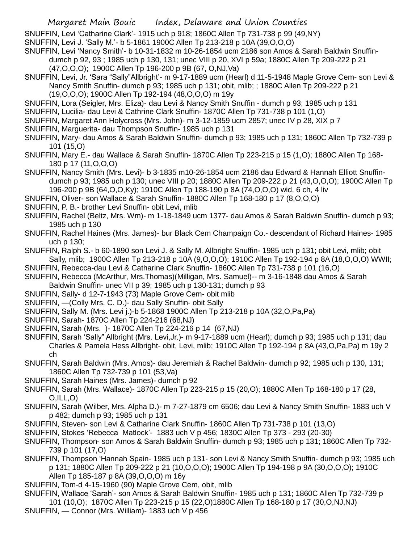SNUFFIN, Levi 'Catharine Clark'- 1915 uch p 918; 1860C Allen Tp 731-738 p 99 (49,NY)

SNUFFIN, Levi J. 'Sally M.'- b 5-1861 1900C Allen Tp 213-218 p 10A (39,O,O,O)

SNUFFIN, Levi 'Nancy Smith'- b 10-31-1832 m 10-26-1854 ucm 2186 son Amos & Sarah Baldwin Snuffin-

dumch p 92, 93 ; 1985 uch p 130, 131; unec VIII p 20, XVI p 59a; 1880C Allen Tp 209-222 p 21 (47,O,O,O); 1900C Allen Tp 196-200 p 9B (67, O,NJ,Va)

- SNUFFIN, Levi, Jr. 'Sara "Sally"Allbright'- m 9-17-1889 ucm (Hearl) d 11-5-1948 Maple Grove Cem- son Levi & Nancy Smith Snuffin- dumch p 93; 1985 uch p 131; obit, mlib; ; 1880C Allen Tp 209-222 p 21
	- (19,O,O,O); 1900C Allen Tp 192-194 (48,O,O,O) m 19y
- SNUFFIN, Lora (Seigler, Mrs. Eliza)- dau Levi & Nancy Smith Snuffin dumch p 93; 1985 uch p 131
- SNUFFIN, Lucilia- dau Levi & Cathrine Clark Snuffin- 1870C Allen Tp 731-738 p 101 (1,O)
- SNUFFIN, Margaret Ann Holycross (Mrs. John)- m 3-12-1859 ucm 2857; unec IV p 28, XIX p 7
- SNUFFIN, Marguerita- dau Thompson Snuffin- 1985 uch p 131
- SNUFFIN, Mary- dau Amos & Sarah Baldwin Snuffin- dumch p 93; 1985 uch p 131; 1860C Allen Tp 732-739 p 101 (15,O)
- SNUFFIN, Mary E.- dau Wallace & Sarah Snuffin- 1870C Allen Tp 223-215 p 15 (1,O); 1880C Allen Tp 168- 180 p 17 (11,O,O,O)
- SNUFFIN, Nancy Smith (Mrs. Levi)- b 3-1835 m10-26-1854 ucm 2186 dau Edward & Hannah Elliott Snuffindumch p 93; 1985 uch p 130; unec VIII p 20; 1880C Allen Tp 209-222 p 21 (43,O,O,O); 1900C Allen Tp 196-200 p 9B (64,O,O,Ky); 1910C Allen Tp 188-190 p 8A (74,O,O,O) wid, 6 ch, 4 liv
- SNUFFIN, Oliver- son Wallace & Sarah Snuffin- 1880C Allen Tp 168-180 p 17 (8,O,O,O)
- SNUFFIN, P. B.- brother Levi Snuffin- obit Levi, mlib
- SNUFFIN, Rachel (Beltz, Mrs. Wm)- m 1-18-1849 ucm 1377- dau Amos & Sarah Baldwin Snuffin- dumch p 93; 1985 uch p 130
- SNUFFIN, Rachel Haines (Mrs. James)- bur Black Cem Champaign Co.- descendant of Richard Haines- 1985 uch p 130;
- SNUFFIN, Ralph S.- b 60-1890 son Levi J. & Sally M. Allbright Snuffin- 1985 uch p 131; obit Levi, mlib; obit Sally, mlib; 1900C Allen Tp 213-218 p 10A (9,O,O,O); 1910C Allen Tp 192-194 p 8A (18,O,O,O) WWII;
- SNUFFIN, Rebecca-dau Levi & Catharine Clark Snuffin- 1860C Allen Tp 731-738 p 101 (16,O)
- SNUFFIN, Rebecca (McArthur, Mrs.Thomas)(Milligan, Mrs. Samuel)-- m 3-16-1848 dau Amos & Sarah Baldwin Snuffin- unec VII p 39; 1985 uch p 130-131; dumch p 93
- SNUFFIN, Sally- d 12-7-1943 (73) Maple Grove Cem- obit mlib
- SNUFFIN, —(Colly Mrs. C. D.)- dau Sally Snuffin- obit Sally
- SNUFFIN, Sally M. (Mrs. Levi j.)-b 5-1868 1900C Allen Tp 213-218 p 10A (32,O,Pa,Pa)
- SNUFFIN, Sarah- 1870C Allen Tp 224-216 (68,NJ)
- SNUFFIN, Sarah (Mrs. )- 1870C Allen Tp 224-216 p 14 (67,NJ)
- SNUFFIN, Sarah 'Sally" Allbright (Mrs. Levi,Jr.)- m 9-17-1889 ucm (Hearl); dumch p 93; 1985 uch p 131; dau Charles & Pamela Hess Allbright- obit, Levi, mlib; 1910C Allen Tp 192-194 p 8A (43,O,Pa,Pa) m 19y 2 ch
- SNUFFIN, Sarah Baldwin (Mrs. Amos)- dau Jeremiah & Rachel Baldwin- dumch p 92; 1985 uch p 130, 131; 1860C Allen Tp 732-739 p 101 (53,Va)
- SNUFFIN, Sarah Haines (Mrs. James)- dumch p 92
- SNUFFIN, Sarah (Mrs. Wallace)- 1870C Allen Tp 223-215 p 15 (20,O); 1880C Allen Tp 168-180 p 17 (28, O,ILL,O)
- SNUFFIN, Sarah (Wilber, Mrs. Alpha D.)- m 7-27-1879 cm 6506; dau Levi & Nancy Smith Snuffin- 1883 uch V p 482; dumch p 93; 1985 uch p 131
- SNUFFIN, Steven- son Levi & Catharine Clark Snuffin- 1860C Allen Tp 731-738 p 101 (13,O)
- SNUFFIN, Stokes 'Rebecca Matlock'- 1883 uch V p 456; 1830C Allen Tp 373 293 (20-30)
- SNUFFIN, Thompson- son Amos & Sarah Baldwin Snuffin- dumch p 93; 1985 uch p 131; 1860C Allen Tp 732- 739 p 101 (17,O)
- SNUFFIN, Thompson 'Hannah Spain- 1985 uch p 131- son Levi & Nancy Smith Snuffin- dumch p 93; 1985 uch p 131; 1880C Allen Tp 209-222 p 21 (10,O,O,O); 1900C Allen Tp 194-198 p 9A (30,O,O,O); 1910C Allen Tp 185-187 p 8A (39,O,O,O) m 16y
- SNUFFIN, Tom-d 4-15-1960 (90) Maple Grove Cem, obit, mlib
- SNUFFIN, Wallace 'Sarah'- son Amos & Sarah Baldwin Snuffin- 1985 uch p 131; 1860C Allen Tp 732-739 p 101 (10,O); 1870C Allen Tp 223-215 p 15 (22,O)1880C Allen Tp 168-180 p 17 (30,O,NJ,NJ)
- SNUFFIN, Connor (Mrs. William)- 1883 uch V p 456